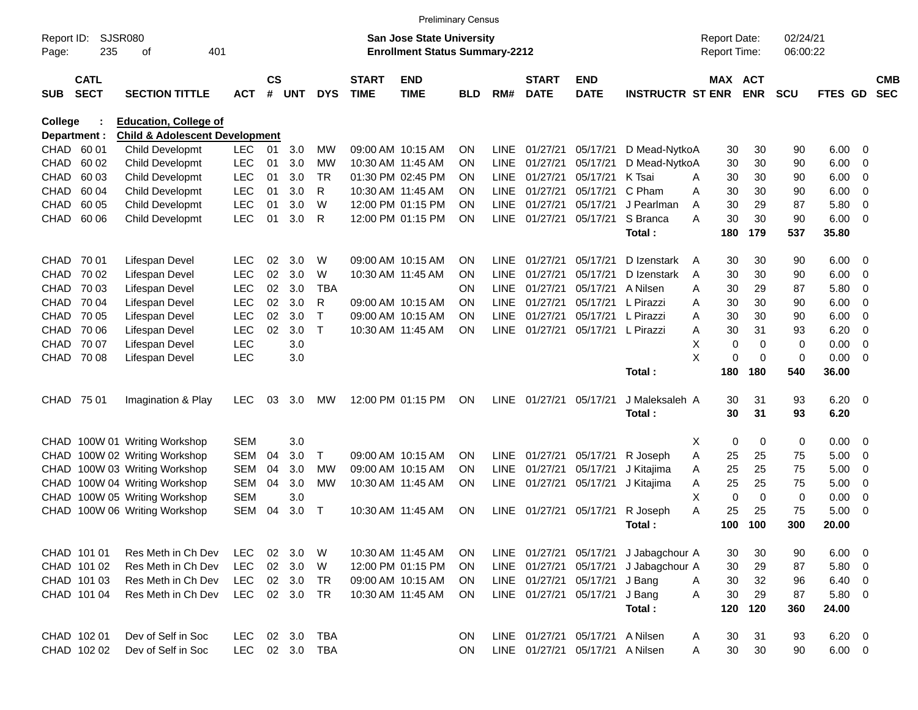|                            |                            |                                           |                   |                    |            |            |                             | <b>Preliminary Census</b>                                                 |                 |                            |                             |                           |                            |        |                                            |             |                      |                |                            |                          |
|----------------------------|----------------------------|-------------------------------------------|-------------------|--------------------|------------|------------|-----------------------------|---------------------------------------------------------------------------|-----------------|----------------------------|-----------------------------|---------------------------|----------------------------|--------|--------------------------------------------|-------------|----------------------|----------------|----------------------------|--------------------------|
| Report ID:<br>Page:        | SJSR080<br>235             | 401<br>οf                                 |                   |                    |            |            |                             | <b>San Jose State University</b><br><b>Enrollment Status Summary-2212</b> |                 |                            |                             |                           |                            |        | <b>Report Date:</b><br><b>Report Time:</b> |             | 02/24/21<br>06:00:22 |                |                            |                          |
| <b>SUB</b>                 | <b>CATL</b><br><b>SECT</b> | <b>SECTION TITTLE</b>                     | ACT               | $\mathsf{cs}$<br># | <b>UNT</b> | <b>DYS</b> | <b>START</b><br><b>TIME</b> | <b>END</b><br><b>TIME</b>                                                 | <b>BLD</b>      | RM#                        | <b>START</b><br><b>DATE</b> | <b>END</b><br><b>DATE</b> | <b>INSTRUCTR ST ENR</b>    |        | MAX ACT                                    | <b>ENR</b>  | <b>SCU</b>           | FTES GD        |                            | <b>CMB</b><br><b>SEC</b> |
| College                    |                            | <b>Education, College of</b>              |                   |                    |            |            |                             |                                                                           |                 |                            |                             |                           |                            |        |                                            |             |                      |                |                            |                          |
|                            | Department :               | <b>Child &amp; Adolescent Development</b> |                   |                    |            |            |                             |                                                                           |                 |                            |                             |                           |                            |        |                                            |             |                      |                |                            |                          |
| CHAD                       | 60 01                      | Child Developmt                           | <b>LEC</b>        | 01                 | 3.0        | <b>MW</b>  |                             | 09:00 AM 10:15 AM                                                         | <b>ON</b>       | LINE                       | 01/27/21                    | 05/17/21                  | D Mead-NytkoA              |        | 30                                         | 30          | 90                   | 6.00           | - 0                        |                          |
| <b>CHAD</b>                | 60 02                      | Child Developmt                           | <b>LEC</b>        | 01                 | 3.0        | МW         |                             | 10:30 AM 11:45 AM                                                         | <b>ON</b>       | <b>LINE</b>                | 01/27/21                    | 05/17/21                  | D Mead-NytkoA              |        | 30                                         | 30          | 90                   | 6.00           | $\mathbf 0$                |                          |
| <b>CHAD</b>                | 60 03                      | Child Developmt                           | <b>LEC</b>        | 01                 | 3.0        | <b>TR</b>  |                             | 01:30 PM 02:45 PM                                                         | <b>ON</b>       | <b>LINE</b>                | 01/27/21                    | 05/17/21                  | K Tsai                     | A      | 30                                         | 30          | 90                   | 6.00           | 0                          |                          |
| <b>CHAD</b>                | 60 04                      | Child Developmt                           | <b>LEC</b>        | 01                 | 3.0        | R          |                             | 10:30 AM 11:45 AM                                                         | <b>ON</b>       | <b>LINE</b>                | 01/27/21                    | 05/17/21                  | C Pham                     | A      | 30                                         | 30          | 90                   | 6.00           | $\overline{0}$             |                          |
| <b>CHAD</b>                | 60 05                      | Child Developmt                           | LEC               | 01                 | 3.0        | W          |                             | 12:00 PM 01:15 PM                                                         | <b>ON</b>       | <b>LINE</b>                | 01/27/21                    | 05/17/21                  | J Pearlman                 | A      | 30                                         | 29          | 87                   | 5.80           | $\mathbf 0$                |                          |
| CHAD                       | 60 06                      | Child Developmt                           | LEC               | 01                 | 3.0        | R          |                             | 12:00 PM 01:15 PM                                                         | <b>ON</b>       | LINE                       | 01/27/21                    | 05/17/21                  | S Branca<br>Total:         | Α      | 30<br>180                                  | 30<br>179   | 90<br>537            | 6.00<br>35.80  | $\overline{0}$             |                          |
|                            |                            |                                           |                   |                    |            |            |                             |                                                                           |                 |                            |                             | 05/17/21                  |                            |        |                                            |             |                      |                |                            |                          |
| <b>CHAD</b>                | 70 01                      | Lifespan Devel                            | <b>LEC</b><br>LEC | 02<br>02           | 3.0        | W<br>W     |                             | 09:00 AM 10:15 AM                                                         | <b>ON</b>       | LINE.                      | 01/27/21                    |                           | D Izenstark<br>D Izenstark | A      | 30                                         | 30          | 90                   | 6.00           | - 0                        |                          |
| <b>CHAD</b><br><b>CHAD</b> | 70 02<br>70 03             | Lifespan Devel<br>Lifespan Devel          | LEC               | 02                 | 3.0<br>3.0 | <b>TBA</b> |                             | 10:30 AM 11:45 AM                                                         | <b>ON</b><br>ON | <b>LINE</b><br><b>LINE</b> | 01/27/21<br>01/27/21        | 05/17/21<br>05/17/21      | A Nilsen                   | A<br>Α | 30<br>30                                   | 30<br>29    | 90<br>87             | 6.00<br>5.80   | $\mathbf 0$<br>$\mathbf 0$ |                          |
| <b>CHAD</b>                | 70 04                      | Lifespan Devel                            | LEC               | 02                 | 3.0        | R          |                             | 09:00 AM 10:15 AM                                                         | <b>ON</b>       | <b>LINE</b>                | 01/27/21                    | 05/17/21                  | L Pirazzi                  | A      | 30                                         | 30          | 90                   | 6.00           | 0                          |                          |
| <b>CHAD</b>                | 70 05                      | Lifespan Devel                            | LEC               | 02                 | 3.0        | Т          |                             | 09:00 AM 10:15 AM                                                         | <b>ON</b>       | <b>LINE</b>                | 01/27/21                    | 05/17/21                  | L Pirazzi                  | A      | 30                                         | 30          | 90                   | 6.00           | $\mathbf 0$                |                          |
| <b>CHAD</b>                | 70 06                      | Lifespan Devel                            | LEC               | 02                 | 3.0        | Т          |                             | 10:30 AM 11:45 AM                                                         | <b>ON</b>       | <b>LINE</b>                | 01/27/21                    | 05/17/21                  | L Pirazzi                  | A      | 30                                         | 31          | 93                   | 6.20           | $\mathbf 0$                |                          |
| <b>CHAD</b>                | 70 07                      | Lifespan Devel                            | LEC               |                    | 3.0        |            |                             |                                                                           |                 |                            |                             |                           |                            | X      | 0                                          | 0           | 0                    | 0.00           | $\mathbf 0$                |                          |
| CHAD                       | 70 08                      | Lifespan Devel                            | LEC               |                    | 3.0        |            |                             |                                                                           |                 |                            |                             |                           |                            | X      | 0                                          | 0           | $\mathbf 0$          | 0.00           | $\overline{0}$             |                          |
|                            |                            |                                           |                   |                    |            |            |                             |                                                                           |                 |                            |                             |                           | Total:                     |        | 180                                        | 180         | 540                  | 36.00          |                            |                          |
| CHAD.                      | 75 01                      | Imagination & Play                        | <b>LEC</b>        | 03                 | 3.0        | МW         |                             | 12:00 PM 01:15 PM                                                         | <b>ON</b>       | LINE                       | 01/27/21                    | 05/17/21                  | J Maleksaleh A             |        | 30                                         | 31          | 93                   | 6.20           | - 0                        |                          |
|                            |                            |                                           |                   |                    |            |            |                             |                                                                           |                 |                            |                             |                           | Total:                     |        | 30                                         | 31          | 93                   | 6.20           |                            |                          |
|                            |                            | CHAD 100W 01 Writing Workshop             | <b>SEM</b>        |                    | 3.0        |            |                             |                                                                           |                 |                            |                             |                           |                            | Χ      | 0                                          | 0           | 0                    | 0.00           | 0                          |                          |
| <b>CHAD</b>                |                            | 100W 02 Writing Workshop                  | <b>SEM</b>        | 04                 | 3.0        | Т          |                             | 09:00 AM 10:15 AM                                                         | <b>ON</b>       | LINE                       | 01/27/21                    | 05/17/21                  | R Joseph                   | A      | 25                                         | 25          | 75                   | 5.00           | $\mathbf 0$                |                          |
| <b>CHAD</b>                |                            | 100W 03 Writing Workshop                  | <b>SEM</b>        | 04                 | 3.0        | МW         |                             | 09:00 AM 10:15 AM                                                         | <b>ON</b>       | <b>LINE</b>                | 01/27/21                    | 05/17/21                  | J Kitajima                 | A      | 25                                         | 25          | 75                   | 5.00           | 0                          |                          |
| <b>CHAD</b>                |                            | 100W 04 Writing Workshop                  | <b>SEM</b>        | 04                 | 3.0        | МW         |                             | 10:30 AM 11:45 AM                                                         | ON              | <b>LINE</b>                | 01/27/21                    | 05/17/21                  | J Kitajima                 | A      | 25                                         | 25          | 75                   | 5.00           | 0                          |                          |
| <b>CHAD</b>                |                            | 100W 05 Writing Workshop                  | <b>SEM</b>        |                    | 3.0        |            |                             |                                                                           |                 |                            |                             |                           |                            | X      | 0                                          | $\mathbf 0$ | 0                    | 0.00           | $\mathbf 0$                |                          |
| CHAD                       |                            | 100W 06 Writing Workshop                  | <b>SEM</b>        | 04                 | 3.0        | Т          |                             | 10:30 AM 11:45 AM                                                         | <b>ON</b>       | <b>LINE</b>                | 01/27/21                    | 05/17/21                  | R Joseph                   | A      | 25                                         | 25          | 75                   | 5.00           | $\mathbf 0$                |                          |
|                            |                            |                                           |                   |                    |            |            |                             |                                                                           |                 |                            |                             |                           | Total:                     |        | 100                                        | 100         | 300                  | 20.00          |                            |                          |
|                            | CHAD 101 01                | Res Meth in Ch Dev                        | <b>LEC</b>        | 02                 | 3.0        | W          |                             | 10:30 AM 11:45 AM                                                         | ON              |                            | LINE 01/27/21               | 05/17/21                  | J Jabagchour A             |        | 30                                         | 30          | 90                   | 6.00           | $\overline{\phantom{0}}$   |                          |
|                            | CHAD 101 02                | Res Meth in Ch Dev                        | <b>LEC</b>        |                    | 02 3.0     | W          |                             | 12:00 PM 01:15 PM                                                         | ON              |                            | LINE 01/27/21               | 05/17/21                  | J Jabagchour A             |        | 30                                         | 29          | 87                   | 5.80 0         |                            |                          |
|                            | CHAD 101 03                | Res Meth in Ch Dev                        | <b>LEC</b>        |                    | 02 3.0     | <b>TR</b>  |                             | 09:00 AM 10:15 AM                                                         | ON              |                            | LINE 01/27/21               | 05/17/21                  | J Bang                     | A      | 30                                         | 32          | 96                   | $6.40\quad 0$  |                            |                          |
|                            | CHAD 101 04                | Res Meth in Ch Dev                        | <b>LEC</b>        |                    | 02 3.0     | <b>TR</b>  |                             | 10:30 AM 11:45 AM                                                         | <b>ON</b>       |                            | LINE 01/27/21               | 05/17/21                  | J Bang                     | Α      | 30                                         | 29          | 87                   | 5.80 0         |                            |                          |
|                            |                            |                                           |                   |                    |            |            |                             |                                                                           |                 |                            |                             |                           | Total:                     |        | 120                                        | 120         | 360                  | 24.00          |                            |                          |
|                            | CHAD 102 01                | Dev of Self in Soc                        | <b>LEC</b>        | 02                 | 3.0        | <b>TBA</b> |                             |                                                                           | ON              |                            | LINE 01/27/21               | 05/17/21                  | A Nilsen                   | A      | 30                                         | 31          | 93                   | $6.20 \quad 0$ |                            |                          |
|                            | CHAD 102 02                | Dev of Self in Soc                        | <b>LEC</b>        |                    | 02 3.0     | TBA        |                             |                                                                           | ON              |                            | LINE 01/27/21               | 05/17/21                  | A Nilsen                   | Α      | 30                                         | 30          | 90                   | $6.00 \t 0$    |                            |                          |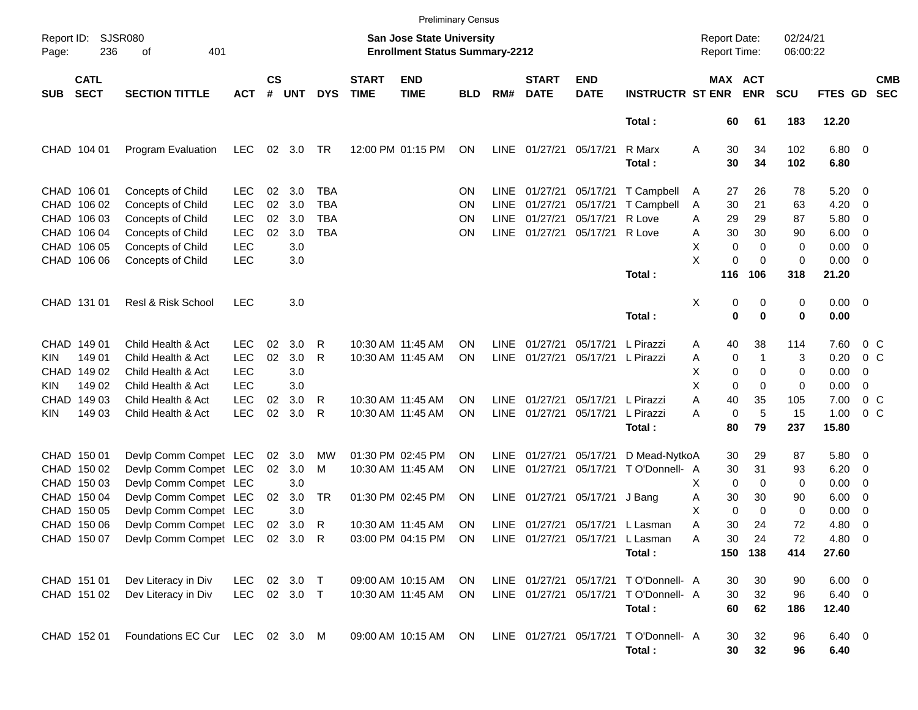|                     |                            |                                 |              |                    |            |            |                             |                                                                           | <b>Preliminary Census</b> |             |                             |                           |                                      |   |                                     |                       |                      |                  |                          |                          |
|---------------------|----------------------------|---------------------------------|--------------|--------------------|------------|------------|-----------------------------|---------------------------------------------------------------------------|---------------------------|-------------|-----------------------------|---------------------------|--------------------------------------|---|-------------------------------------|-----------------------|----------------------|------------------|--------------------------|--------------------------|
| Report ID:<br>Page: | 236                        | <b>SJSR080</b><br>401<br>оf     |              |                    |            |            |                             | <b>San Jose State University</b><br><b>Enrollment Status Summary-2212</b> |                           |             |                             |                           |                                      |   | <b>Report Date:</b><br>Report Time: |                       | 02/24/21<br>06:00:22 |                  |                          |                          |
| <b>SUB</b>          | <b>CATL</b><br><b>SECT</b> | <b>SECTION TITTLE</b>           | <b>ACT</b>   | $\mathsf{cs}$<br># | <b>UNT</b> | <b>DYS</b> | <b>START</b><br><b>TIME</b> | <b>END</b><br><b>TIME</b>                                                 | <b>BLD</b>                | RM#         | <b>START</b><br><b>DATE</b> | <b>END</b><br><b>DATE</b> | <b>INSTRUCTR ST ENR</b>              |   |                                     | MAX ACT<br><b>ENR</b> | <b>SCU</b>           | FTES GD          |                          | <b>CMB</b><br><b>SEC</b> |
|                     |                            |                                 |              |                    |            |            |                             |                                                                           |                           |             |                             |                           | Total:                               |   | 60                                  | 61                    | 183                  | 12.20            |                          |                          |
|                     | CHAD 104 01                | Program Evaluation              | LEC          | 02                 | 3.0        | TR         |                             | 12:00 PM 01:15 PM                                                         | ON                        | <b>LINE</b> | 01/27/21                    | 05/17/21                  | R Marx<br>Total:                     | Α | 30<br>30                            | 34<br>34              | 102<br>102           | $6.80$ 0<br>6.80 |                          |                          |
|                     | CHAD 106 01                | Concepts of Child               | <b>LEC</b>   | 02                 | 3.0        | TBA        |                             |                                                                           | ΟN                        | <b>LINE</b> | 01/27/21                    | 05/17/21                  | T Campbell                           | A | 27                                  | 26                    | 78                   | 5.20             | $\overline{\phantom{0}}$ |                          |
|                     | CHAD 106 02                | <b>Concepts of Child</b>        | <b>LEC</b>   | 02                 | 3.0        | <b>TBA</b> |                             |                                                                           | ΟN                        | <b>LINE</b> | 01/27/21                    | 05/17/21                  | T Campbell                           | A | 30                                  | 21                    | 63                   | 4.20             | $\overline{\mathbf{0}}$  |                          |
|                     | CHAD 106 03                | <b>Concepts of Child</b>        | <b>LEC</b>   | 02                 | 3.0        | <b>TBA</b> |                             |                                                                           | ΟN                        | <b>LINE</b> | 01/27/21                    | 05/17/21                  | R Love                               | A | 29                                  | 29                    | 87                   | 5.80             | $\overline{\phantom{0}}$ |                          |
|                     | CHAD 106 04                | Concepts of Child               | <b>LEC</b>   | 02                 | 3.0        | <b>TBA</b> |                             |                                                                           | ΟN                        | <b>LINE</b> | 01/27/21                    | 05/17/21 R Love           |                                      | Α | 30                                  | 30                    | 90                   | 6.00             | $\overline{\mathbf{0}}$  |                          |
|                     | CHAD 106 05                | Concepts of Child               | <b>LEC</b>   |                    | 3.0        |            |                             |                                                                           |                           |             |                             |                           |                                      | х | $\mathbf 0$                         | 0                     | 0                    | 0.00             | $\overline{\mathbf{0}}$  |                          |
|                     | CHAD 106 06                | Concepts of Child               | <b>LEC</b>   |                    | 3.0        |            |                             |                                                                           |                           |             |                             |                           |                                      | X | 0                                   | $\Omega$              | 0                    | 0.00             | $\overline{\phantom{0}}$ |                          |
|                     |                            |                                 |              |                    |            |            |                             |                                                                           |                           |             |                             |                           | Total:                               |   | 116                                 | 106                   | 318                  | 21.20            |                          |                          |
|                     | CHAD 131 01                | Resl & Risk School              | <b>LEC</b>   |                    | 3.0        |            |                             |                                                                           |                           |             |                             |                           |                                      | Χ | 0                                   | 0                     | 0                    | $0.00 \t 0$      |                          |                          |
|                     |                            |                                 |              |                    |            |            |                             |                                                                           |                           |             |                             |                           | Total:                               |   | 0                                   | $\bf{0}$              | 0                    | 0.00             |                          |                          |
|                     | CHAD 149 01                | Child Health & Act              | <b>LEC</b>   | 02                 | 3.0        | R          |                             | 10:30 AM 11:45 AM                                                         | OΝ                        | <b>LINE</b> | 01/27/21                    | 05/17/21                  | L Pirazzi                            | Α | 40                                  | 38                    | 114                  | 7.60             | $0\,$ C                  |                          |
| KIN                 | 149 01                     | Child Health & Act              | <b>LEC</b>   | 02                 | 3.0        | R          |                             | 10:30 AM 11:45 AM                                                         | ΟN                        | <b>LINE</b> | 01/27/21                    |                           | 05/17/21 L Pirazzi                   | Α | 0                                   | 1                     | 3                    | 0.20             | 0 <sup>o</sup>           |                          |
|                     | CHAD 149 02                | Child Health & Act              | <b>LEC</b>   |                    | 3.0        |            |                             |                                                                           |                           |             |                             |                           |                                      | х | 0                                   | 0                     | 0                    | 0.00             | 0                        |                          |
| KIN                 | 149 02                     | Child Health & Act              | <b>LEC</b>   |                    | 3.0        |            |                             |                                                                           |                           |             |                             |                           |                                      | X | 0                                   | 0                     | 0                    | 0.00             | 0                        |                          |
|                     | CHAD 149 03                | Child Health & Act              | <b>LEC</b>   | 02                 | 3.0        | R          |                             | 10:30 AM 11:45 AM                                                         | ON                        | <b>LINE</b> | 01/27/21                    | 05/17/21                  | L Pirazzi                            | Α | 40                                  | 35                    | 105                  | 7.00             | $0\,C$                   |                          |
| KIN                 | 149 03                     | Child Health & Act              | <b>LEC</b>   | 02                 | 3.0        | R          |                             | 10:30 AM 11:45 AM                                                         | ΟN                        | <b>LINE</b> | 01/27/21                    | 05/17/21                  | L Pirazzi                            | Α | $\mathbf 0$                         | 5                     | 15                   | 1.00             | 0 <sup>o</sup>           |                          |
|                     |                            |                                 |              |                    |            |            |                             |                                                                           |                           |             |                             |                           | Total:                               |   | 80                                  | 79                    | 237                  | 15.80            |                          |                          |
|                     | CHAD 150 01                | Devlp Comm Compet LEC           |              | 02 <sub>o</sub>    | 3.0        | MW         |                             | 01:30 PM 02:45 PM                                                         | OΝ                        | <b>LINE</b> | 01/27/21                    | 05/17/21                  | D Mead-NytkoA                        |   | 30                                  | 29                    | 87                   | $5.80 \quad 0$   |                          |                          |
|                     | CHAD 150 02                | Devlp Comm Compet LEC           |              | 02                 | 3.0        | м          |                             | 10:30 AM 11:45 AM                                                         | ON                        | <b>LINE</b> | 01/27/21                    |                           | 05/17/21 TO'Donnell- A               |   | 30                                  | 31                    | 93                   | 6.20             | $\overline{\mathbf{0}}$  |                          |
|                     | CHAD 150 03                | Devlp Comm Compet LEC           |              |                    | 3.0        |            |                             |                                                                           |                           |             |                             |                           |                                      | х | $\mathbf 0$                         | 0                     | 0                    | 0.00             | $\overline{\mathbf{0}}$  |                          |
|                     | CHAD 150 04                | Devlp Comm Compet LEC           |              | 02                 | 3.0        | <b>TR</b>  |                             | 01:30 PM 02:45 PM                                                         | ON                        | LINE        |                             | 01/27/21 05/17/21 J Bang  |                                      | Α | 30                                  | 30                    | 90                   | 6.00             | $\overline{\mathbf{0}}$  |                          |
|                     | CHAD 150 05                | Devlp Comm Compet LEC           |              |                    | 3.0        |            |                             |                                                                           |                           |             |                             |                           |                                      | х | $\mathbf 0$                         | $\Omega$              | 0                    | 0.00             | 0                        |                          |
|                     | CHAD 150 06                | Devlp Comm Compet LEC           |              | 02                 | 3.0        | R          |                             | 10:30 AM 11:45 AM                                                         | ON                        |             |                             |                           | LINE 01/27/21 05/17/21 L Lasman      | Α | 30                                  | 24                    | 72                   | 4.80             | - 0                      |                          |
|                     | CHAD 150 07                | Devlp Comm Compet LEC 02 3.0 R  |              |                    |            |            |                             | 03:00 PM 04:15 PM ON                                                      |                           |             |                             |                           | LINE 01/27/21 05/17/21 L Lasman      | Α | 30                                  | 24                    | 72                   | $4.80\ 0$        |                          |                          |
|                     |                            |                                 |              |                    |            |            |                             |                                                                           |                           |             |                             |                           | Total:                               |   |                                     | 150 138               | 414                  | 27.60            |                          |                          |
|                     | CHAD 151 01                | Dev Literacy in Div             | LEC          |                    | 02 3.0 T   |            |                             | 09:00 AM 10:15 AM                                                         | <b>ON</b>                 |             |                             |                           | LINE 01/27/21 05/17/21 TO'Donnell- A |   | 30                                  | 30                    | 90                   | $6.00 \t 0$      |                          |                          |
|                     | CHAD 151 02                | Dev Literacy in Div             | LEC 02 3.0 T |                    |            |            |                             | 10:30 AM 11:45 AM                                                         | ON                        |             |                             |                           | LINE 01/27/21 05/17/21 TO'Donnell- A |   | 30                                  | 32                    | 96                   | $6.40\quad 0$    |                          |                          |
|                     |                            |                                 |              |                    |            |            |                             |                                                                           |                           |             |                             |                           | Total:                               |   | 60                                  | 62                    | 186                  | 12.40            |                          |                          |
|                     | CHAD 152 01                | Foundations EC Cur LEC 02 3.0 M |              |                    |            |            |                             | 09:00 AM 10:15 AM                                                         | ON.                       |             |                             |                           | LINE 01/27/21 05/17/21 TO'Donnell- A |   | 30                                  | 32                    | 96                   | $6.40\ 0$        |                          |                          |
|                     |                            |                                 |              |                    |            |            |                             |                                                                           |                           |             |                             |                           | Total:                               |   | 30                                  | 32                    | 96                   | 6.40             |                          |                          |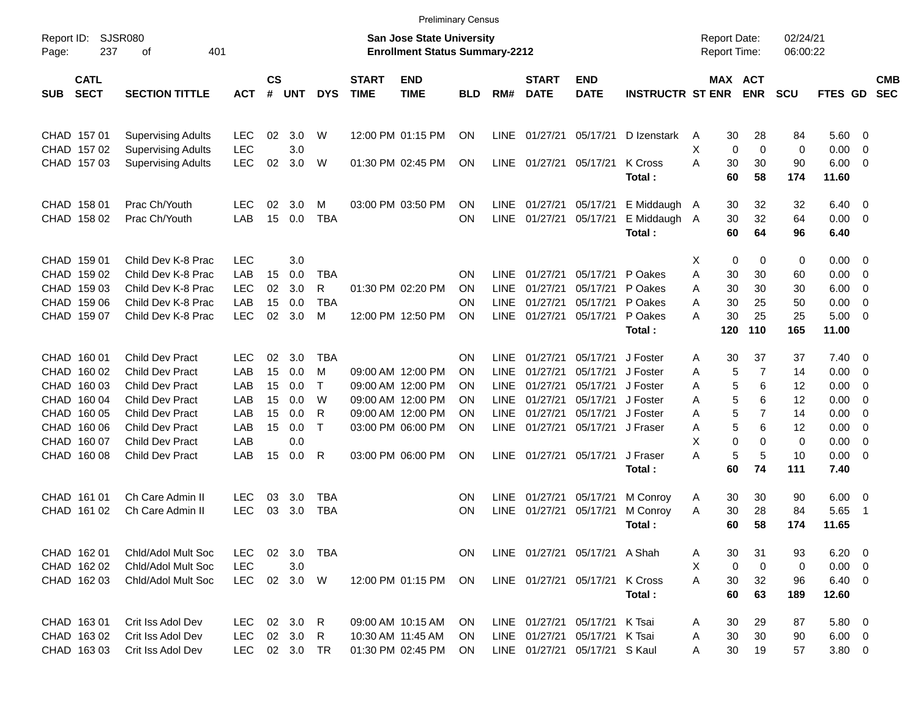|                                          |                             |            |                    |            |              |                             |                                                                    | <b>Preliminary Census</b> |             |                             |                               |                         |                                     |             |                       |                      |                 |                         |                          |
|------------------------------------------|-----------------------------|------------|--------------------|------------|--------------|-----------------------------|--------------------------------------------------------------------|---------------------------|-------------|-----------------------------|-------------------------------|-------------------------|-------------------------------------|-------------|-----------------------|----------------------|-----------------|-------------------------|--------------------------|
| Report ID:<br>237<br>Page:               | <b>SJSR080</b><br>401<br>οf |            |                    |            |              |                             | San Jose State University<br><b>Enrollment Status Summary-2212</b> |                           |             |                             |                               |                         | <b>Report Date:</b><br>Report Time: |             |                       | 02/24/21<br>06:00:22 |                 |                         |                          |
| <b>CATL</b><br><b>SECT</b><br><b>SUB</b> | <b>SECTION TITTLE</b>       | <b>ACT</b> | $\mathsf{cs}$<br># | <b>UNT</b> | <b>DYS</b>   | <b>START</b><br><b>TIME</b> | <b>END</b><br><b>TIME</b>                                          | <b>BLD</b>                | RM#         | <b>START</b><br><b>DATE</b> | <b>END</b><br><b>DATE</b>     | <b>INSTRUCTR ST ENR</b> |                                     |             | MAX ACT<br><b>ENR</b> | <b>SCU</b>           | <b>FTES GD</b>  |                         | <b>CMB</b><br><b>SEC</b> |
| CHAD 157 01                              | <b>Supervising Adults</b>   | <b>LEC</b> | 02                 | 3.0        | W            |                             | 12:00 PM 01:15 PM                                                  | ON                        | <b>LINE</b> | 01/27/21                    | 05/17/21                      | D Izenstark             | A                                   | 30          | 28                    | 84                   | 5.60            | - 0                     |                          |
| CHAD 157 02                              | <b>Supervising Adults</b>   | <b>LEC</b> |                    | 3.0        |              |                             |                                                                    |                           |             |                             |                               |                         | X                                   | $\mathbf 0$ | 0                     | 0                    | 0.00            | 0                       |                          |
| CHAD 157 03                              | <b>Supervising Adults</b>   | <b>LEC</b> | 02                 | 3.0        | W            |                             | 01:30 PM 02:45 PM                                                  | ON                        | <b>LINE</b> | 01/27/21                    | 05/17/21                      | K Cross<br>Total:       | Α                                   | 30<br>60    | 30<br>58              | 90<br>174            | 6.00<br>11.60   | 0                       |                          |
| CHAD 158 01                              | Prac Ch/Youth               | LEC        | 02                 | 3.0        | м            |                             | 03:00 PM 03:50 PM                                                  | ΟN                        | <b>LINE</b> | 01/27/21                    | 05/17/21                      | E Middaugh A            |                                     | 30          | 32                    | 32                   | 6.40            | 0                       |                          |
| CHAD 158 02                              | Prac Ch/Youth               | LAB        | 15                 | 0.0        | <b>TBA</b>   |                             |                                                                    | ON                        | <b>LINE</b> | 01/27/21                    | 05/17/21                      | E Middaugh A<br>Total:  |                                     | 30<br>60    | 32<br>64              | 64<br>96             | 0.00<br>6.40    | - 0                     |                          |
| CHAD 159 01                              | Child Dev K-8 Prac          | <b>LEC</b> |                    | 3.0        |              |                             |                                                                    |                           |             |                             |                               |                         | X                                   | 0           | 0                     | 0                    | 0.00            | $\overline{0}$          |                          |
| CHAD 159 02                              | Child Dev K-8 Prac          | LAB        | 15                 | 0.0        | <b>TBA</b>   |                             |                                                                    | ΟN                        | LINE        | 01/27/21                    | 05/17/21                      | P Oakes                 | Α                                   | 30          | 30                    | 60                   | 0.00            | 0                       |                          |
| CHAD 159 03                              | Child Dev K-8 Prac          | <b>LEC</b> | 02                 | 3.0        | R            |                             | 01:30 PM 02:20 PM                                                  | ΟN                        | <b>LINE</b> | 01/27/21                    | 05/17/21                      | P Oakes                 | Α                                   | 30          | 30                    | 30                   | 6.00            | 0                       |                          |
| CHAD 159 06                              | Child Dev K-8 Prac          | LAB        | 15                 | 0.0        | <b>TBA</b>   |                             |                                                                    | ΟN                        | <b>LINE</b> | 01/27/21                    | 05/17/21                      | P Oakes                 | Α                                   | 30          | 25                    | 50                   | 0.00            | 0                       |                          |
| CHAD 159 07                              | Child Dev K-8 Prac          | <b>LEC</b> | 02                 | 3.0        | M            |                             | 12:00 PM 12:50 PM                                                  | ΟN                        | <b>LINE</b> | 01/27/21                    | 05/17/21                      | P Oakes<br>Total:       | А                                   | 30<br>120   | 25<br>110             | 25<br>165            | 5.00<br>11.00   | $\overline{0}$          |                          |
|                                          |                             |            |                    |            |              |                             |                                                                    |                           |             |                             |                               |                         |                                     |             |                       |                      |                 |                         |                          |
| CHAD 160 01                              | <b>Child Dev Pract</b>      | LEC        | 02                 | 3.0        | TBA          |                             |                                                                    | ΟN                        | LINE.       | 01/27/21                    | 05/17/21                      | J Foster                | Α                                   | 30          | 37                    | 37                   | 7.40            | $\overline{0}$          |                          |
| CHAD 160 02                              | <b>Child Dev Pract</b>      | LAB        | 15                 | 0.0        | M            |                             | 09:00 AM 12:00 PM                                                  | ON                        | <b>LINE</b> | 01/27/21                    | 05/17/21                      | J Foster                | Α                                   | 5           | 7                     | 14                   | 0.00            | 0                       |                          |
| CHAD 160 03                              | <b>Child Dev Pract</b>      | LAB        | 15                 | 0.0        | $\mathsf{T}$ |                             | 09:00 AM 12:00 PM                                                  | ΟN                        | LINE        | 01/27/21                    | 05/17/21                      | J Foster                | Α                                   | 5           | 6                     | 12                   | 0.00            | 0                       |                          |
| CHAD 160 04                              | <b>Child Dev Pract</b>      | LAB        | 15                 | 0.0        | W            |                             | 09:00 AM 12:00 PM                                                  | ΟN                        | LINE        | 01/27/21                    | 05/17/21                      | J Foster                | Α                                   | 5           | 6                     | 12                   | 0.00            | 0                       |                          |
| CHAD 160 05                              | <b>Child Dev Pract</b>      | LAB        | 15                 | 0.0        | R            |                             | 09:00 AM 12:00 PM                                                  | ΟN                        | <b>LINE</b> | 01/27/21                    | 05/17/21                      | J Foster                | Α                                   | 5           | 7                     | 14                   | 0.00            | 0                       |                          |
| CHAD 160 06                              | <b>Child Dev Pract</b>      | LAB        | 15                 | 0.0        | $\mathsf{T}$ |                             | 03:00 PM 06:00 PM                                                  | ON                        | <b>LINE</b> | 01/27/21                    | 05/17/21                      | J Fraser                | Α                                   | 5           | 6                     | 12                   | 0.00            | 0                       |                          |
| CHAD 160 07                              | <b>Child Dev Pract</b>      | LAB        |                    | 0.0        |              |                             |                                                                    |                           |             |                             |                               |                         | X                                   | 0           | 0                     | 0                    | 0.00            | 0                       |                          |
| CHAD 160 08                              | <b>Child Dev Pract</b>      | LAB        | 15                 | 0.0        | R            |                             | 03:00 PM 06:00 PM                                                  | ΟN                        | LINE        | 01/27/21                    | 05/17/21                      | J Fraser                | Α                                   | 5           | 5                     | 10                   | 0.00            | 0                       |                          |
|                                          |                             |            |                    |            |              |                             |                                                                    |                           |             |                             |                               | Total:                  |                                     | 60          | 74                    | 111                  | 7.40            |                         |                          |
| CHAD 161 01                              | Ch Care Admin II            | <b>LEC</b> | 03                 | 3.0        | <b>TBA</b>   |                             |                                                                    | ON                        | <b>LINE</b> | 01/27/21                    | 05/17/21                      | M Conroy                | A                                   | 30          | 30                    | 90                   | 6.00            | $\overline{\mathbf{0}}$ |                          |
| CHAD 161 02                              | Ch Care Admin II            | <b>LEC</b> | 03                 | 3.0        | <b>TBA</b>   |                             |                                                                    | ΟN                        | <b>LINE</b> | 01/27/21                    | 05/17/21                      | M Conroy                | Α                                   | 30          | 28                    | 84                   | 5.65            | -1                      |                          |
|                                          |                             |            |                    |            |              |                             |                                                                    |                           |             |                             |                               | Total :                 |                                     | 60          | 58                    | 174                  | 11.65           |                         |                          |
| CHAD 162 01                              | Chid/Adol Mult Soc          | LEC.       | 02                 | 3.0        | TBA          |                             |                                                                    | ON.                       |             |                             | LINE 01/27/21 05/17/21 A Shah |                         | Α                                   | 30          | 31                    | 93                   | $6.20 \quad 0$  |                         |                          |
| CHAD 162 02                              | Chld/Adol Mult Soc          | LEC        |                    | 3.0        |              |                             |                                                                    |                           |             |                             |                               |                         | Χ                                   | 0           | 0                     | 0                    | $0.00 \t 0$     |                         |                          |
| CHAD 162 03                              | Chid/Adol Mult Soc          | <b>LEC</b> |                    | 02 3.0 W   |              |                             | 12:00 PM 01:15 PM                                                  | ON                        |             |                             | LINE 01/27/21 05/17/21        | K Cross<br>Total:       | Α                                   | 30<br>60    | 32<br>63              | 96<br>189            | 6.40 0<br>12.60 |                         |                          |
|                                          |                             |            |                    |            |              |                             |                                                                    |                           |             |                             |                               |                         |                                     |             |                       |                      |                 |                         |                          |
| CHAD 163 01                              | Crit Iss Adol Dev           | <b>LEC</b> |                    | 02 3.0     | R            |                             | 09:00 AM 10:15 AM                                                  | <b>ON</b>                 |             | LINE 01/27/21 05/17/21      |                               | K Tsai                  | A                                   | 30          | 29                    | 87                   | $5.80\ 0$       |                         |                          |
| CHAD 163 02                              | Crit Iss Adol Dev           | <b>LEC</b> |                    | 02 3.0     | R            |                             | 10:30 AM 11:45 AM                                                  | <b>ON</b>                 |             |                             | LINE 01/27/21 05/17/21 K Tsai |                         | A                                   | 30          | 30                    | 90                   | $6.00 \quad 0$  |                         |                          |
| CHAD 163 03                              | Crit Iss Adol Dev           | <b>LEC</b> |                    | 02 3.0 TR  |              |                             | 01:30 PM 02:45 PM                                                  | ON                        |             |                             | LINE 01/27/21 05/17/21 S Kaul |                         | A                                   | 30          | 19                    | 57                   | $3.80\ 0$       |                         |                          |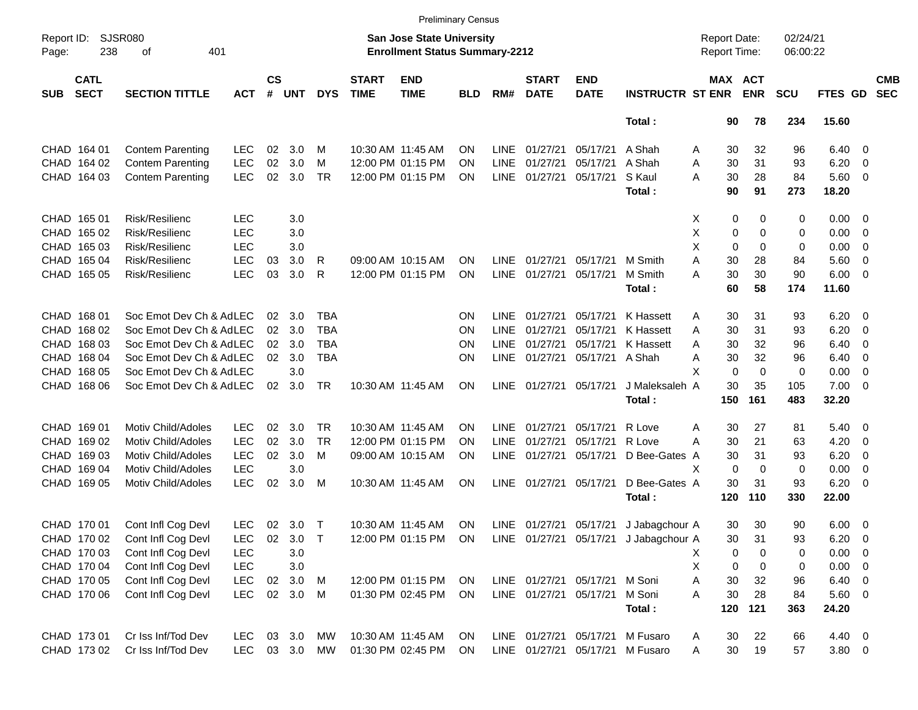|                     |                            |                             |            |                    |            |            |                             |                                                                           | <b>Preliminary Census</b> |             |                             |                               |                                       |                                     |                              |                      |                |                          |                          |
|---------------------|----------------------------|-----------------------------|------------|--------------------|------------|------------|-----------------------------|---------------------------------------------------------------------------|---------------------------|-------------|-----------------------------|-------------------------------|---------------------------------------|-------------------------------------|------------------------------|----------------------|----------------|--------------------------|--------------------------|
| Report ID:<br>Page: | 238                        | <b>SJSR080</b><br>401<br>оf |            |                    |            |            |                             | <b>San Jose State University</b><br><b>Enrollment Status Summary-2212</b> |                           |             |                             |                               |                                       | <b>Report Date:</b><br>Report Time: |                              | 02/24/21<br>06:00:22 |                |                          |                          |
| <b>SUB</b>          | <b>CATL</b><br><b>SECT</b> | <b>SECTION TITTLE</b>       | <b>ACT</b> | $\mathsf{cs}$<br># | <b>UNT</b> | <b>DYS</b> | <b>START</b><br><b>TIME</b> | <b>END</b><br><b>TIME</b>                                                 | <b>BLD</b>                | RM#         | <b>START</b><br><b>DATE</b> | <b>END</b><br><b>DATE</b>     | <b>INSTRUCTR ST ENR</b>               |                                     | <b>MAX ACT</b><br><b>ENR</b> | <b>SCU</b>           | FTES GD        |                          | <b>CMB</b><br><b>SEC</b> |
|                     |                            |                             |            |                    |            |            |                             |                                                                           |                           |             |                             |                               | Total:                                | 90                                  | 78                           | 234                  | 15.60          |                          |                          |
|                     | CHAD 164 01                | <b>Contem Parenting</b>     | <b>LEC</b> | 02                 | 3.0        | M          |                             | 10:30 AM 11:45 AM                                                         | OΝ                        | <b>LINE</b> | 01/27/21                    | 05/17/21                      | A Shah                                | 30<br>Α                             | 32                           | 96                   | $6.40 \quad 0$ |                          |                          |
|                     | CHAD 164 02                | <b>Contem Parenting</b>     | <b>LEC</b> | 02                 | 3.0        | м          |                             | 12:00 PM 01:15 PM                                                         | OΝ                        | <b>LINE</b> | 01/27/21                    | 05/17/21                      | A Shah                                | 30<br>Α                             | 31                           | 93                   | 6.20           | $\overline{\phantom{0}}$ |                          |
|                     | CHAD 164 03                | <b>Contem Parenting</b>     | <b>LEC</b> | 02                 | 3.0        | TR         |                             | 12:00 PM 01:15 PM                                                         | ΟN                        | <b>LINE</b> | 01/27/21                    | 05/17/21                      | S Kaul                                | 30<br>A                             | 28                           | 84                   | 5.60 0         |                          |                          |
|                     |                            |                             |            |                    |            |            |                             |                                                                           |                           |             |                             |                               | Total:                                | 90                                  | 91                           | 273                  | 18.20          |                          |                          |
|                     | CHAD 165 01                | Risk/Resilienc              | <b>LEC</b> |                    | 3.0        |            |                             |                                                                           |                           |             |                             |                               |                                       | 0<br>X                              | 0                            | 0                    | $0.00 \t 0$    |                          |                          |
|                     | CHAD 165 02                | Risk/Resilienc              | <b>LEC</b> |                    | 3.0        |            |                             |                                                                           |                           |             |                             |                               |                                       | х<br>0                              | 0                            | 0                    | 0.00           | $\overline{\phantom{0}}$ |                          |
|                     | CHAD 165 03                | Risk/Resilienc              | <b>LEC</b> |                    | 3.0        |            |                             |                                                                           |                           |             |                             |                               |                                       | X<br>$\mathbf 0$                    | 0                            | 0                    | 0.00           | $\overline{\mathbf{0}}$  |                          |
|                     | CHAD 165 04                | Risk/Resilienc              | <b>LEC</b> | 03                 | 3.0        | R          |                             | 09:00 AM 10:15 AM                                                         | ΟN                        | <b>LINE</b> | 01/27/21                    | 05/17/21                      | M Smith                               | Α<br>30                             | 28                           | 84                   | 5.60           | $\overline{\phantom{0}}$ |                          |
|                     | CHAD 165 05                | Risk/Resilienc              | <b>LEC</b> | 03                 | 3.0        | R          |                             | 12:00 PM 01:15 PM                                                         | ΟN                        | <b>LINE</b> | 01/27/21                    | 05/17/21                      | M Smith                               | 30<br>А                             | 30                           | 90                   | $6.00 \quad 0$ |                          |                          |
|                     |                            |                             |            |                    |            |            |                             |                                                                           |                           |             |                             |                               | Total:                                | 60                                  | 58                           | 174                  | 11.60          |                          |                          |
|                     | CHAD 168 01                | Soc Emot Dev Ch & AdLEC     |            | 02                 | 3.0        | TBA        |                             |                                                                           | ON                        | <b>LINE</b> | 01/27/21                    | 05/17/21                      | K Hassett                             | 30<br>Α                             | 31                           | 93                   | 6.20           | $\overline{\phantom{0}}$ |                          |
|                     | CHAD 168 02                | Soc Emot Dev Ch & AdLEC     |            | 02                 | 3.0        | <b>TBA</b> |                             |                                                                           | ΟN                        | <b>LINE</b> | 01/27/21                    | 05/17/21                      | K Hassett                             | 30<br>Α                             | 31                           | 93                   | 6.20           | $\overline{\mathbf{0}}$  |                          |
|                     | CHAD 168 03                | Soc Emot Dev Ch & AdLEC     |            | 02                 | 3.0        | <b>TBA</b> |                             |                                                                           | ΟN                        | <b>LINE</b> | 01/27/21                    | 05/17/21                      | K Hassett                             | 30<br>A                             | 32                           | 96                   | 6.40           | $\overline{\mathbf{0}}$  |                          |
|                     | CHAD 168 04                | Soc Emot Dev Ch & AdLEC     |            | 02                 | 3.0        | <b>TBA</b> |                             |                                                                           | ΟN                        | <b>LINE</b> | 01/27/21                    | 05/17/21 A Shah               |                                       | Α<br>30                             | 32                           | 96                   | 6.40           | $\overline{\mathbf{0}}$  |                          |
|                     | CHAD 168 05                | Soc Emot Dev Ch & AdLEC     |            |                    | 3.0        |            |                             |                                                                           |                           |             |                             |                               |                                       | X<br>$\mathbf 0$                    | $\mathbf 0$                  | 0                    | 0.00           | $\overline{\mathbf{0}}$  |                          |
|                     | CHAD 168 06                | Soc Emot Dev Ch & AdLEC     |            | 02                 | 3.0        | <b>TR</b>  |                             | 10:30 AM 11:45 AM                                                         | ΟN                        | <b>LINE</b> | 01/27/21 05/17/21           |                               | J Maleksaleh A                        | 30                                  | 35                           | 105                  | $7.00 \t 0$    |                          |                          |
|                     |                            |                             |            |                    |            |            |                             |                                                                           |                           |             |                             |                               | Total:                                | 150                                 | 161                          | 483                  | 32.20          |                          |                          |
|                     | CHAD 169 01                | <b>Motiv Child/Adoles</b>   | <b>LEC</b> | 02                 | 3.0        | <b>TR</b>  |                             | 10:30 AM 11:45 AM                                                         | ON                        | <b>LINE</b> | 01/27/21                    | 05/17/21                      | R Love                                | 30<br>Α                             | 27                           | 81                   | 5.40           | $\overline{\phantom{0}}$ |                          |
|                     | CHAD 169 02                | Motiv Child/Adoles          | <b>LEC</b> | 02                 | 3.0        | TR         |                             | 12:00 PM 01:15 PM                                                         | OΝ                        | <b>LINE</b> | 01/27/21                    | 05/17/21                      | R Love                                | А<br>30                             | 21                           | 63                   | 4.20           | $\overline{\mathbf{0}}$  |                          |
|                     | CHAD 169 03                | Motiv Child/Adoles          | <b>LEC</b> | 02                 | 3.0        | м          |                             | 09:00 AM 10:15 AM                                                         | ΟN                        | <b>LINE</b> | 01/27/21                    | 05/17/21                      | D Bee-Gates A                         | 30                                  | 31                           | 93                   | 6.20           | $\overline{\mathbf{0}}$  |                          |
|                     | CHAD 169 04                | Motiv Child/Adoles          | <b>LEC</b> |                    | 3.0        |            |                             |                                                                           |                           |             |                             |                               |                                       | $\mathbf 0$<br>х                    | $\Omega$                     | 0                    | 0.00           | $\overline{\mathbf{0}}$  |                          |
|                     | CHAD 169 05                | Motiv Child/Adoles          | <b>LEC</b> | 02                 | 3.0        | M          |                             | 10:30 AM 11:45 AM                                                         | <b>ON</b>                 | <b>LINE</b> |                             | 01/27/21 05/17/21             | D Bee-Gates A                         | 30                                  | 31                           | 93                   | 6.20           | $\overline{\mathbf{0}}$  |                          |
|                     |                            |                             |            |                    |            |            |                             |                                                                           |                           |             |                             |                               | Total:                                | 120                                 | 110                          | 330                  | 22.00          |                          |                          |
|                     | CHAD 170 01                | Cont Infl Cog Devl          | LEC.       |                    | 02 3.0     | $\top$     |                             | 10:30 AM 11:45 AM                                                         | <b>ON</b>                 |             |                             | LINE 01/27/21 05/17/21        | J Jabagchour A                        | 30                                  | 30                           | 90                   | $6.00 \t 0$    |                          |                          |
|                     | CHAD 170 02                | Cont Infl Cog Devl          | LEC        | 02                 | 3.0        | $\top$     |                             | 12:00 PM 01:15 PM ON                                                      |                           |             |                             |                               | LINE 01/27/21 05/17/21 J Jabagchour A | 30                                  | 31                           | 93                   | 6.20           | $\overline{\phantom{0}}$ |                          |
|                     | CHAD 170 03                | Cont Infl Cog Devl          | <b>LEC</b> |                    | 3.0        |            |                             |                                                                           |                           |             |                             |                               |                                       | 0<br>х                              | 0                            | 0                    | $0.00 \t 0$    |                          |                          |
|                     | CHAD 170 04                | Cont Infl Cog Devl          | <b>LEC</b> |                    | 3.0        |            |                             |                                                                           |                           |             |                             |                               |                                       | х<br>0                              | 0                            | 0                    | $0.00 \t 0$    |                          |                          |
|                     | CHAD 170 05                | Cont Infl Cog Devl          | <b>LEC</b> | 02 <sub>o</sub>    | 3.0        | M          |                             | 12:00 PM 01:15 PM                                                         | ON                        |             |                             | LINE 01/27/21 05/17/21 M Soni |                                       | Α<br>30                             | 32                           | 96                   | $6.40\quad 0$  |                          |                          |
|                     | CHAD 170 06                | Cont Infl Cog Devl          | <b>LEC</b> |                    | 02 3.0 M   |            |                             | 01:30 PM 02:45 PM                                                         | ON                        |             |                             | LINE 01/27/21 05/17/21 M Soni |                                       | 30<br>Α                             | 28                           | 84                   | $5.60$ 0       |                          |                          |
|                     |                            |                             |            |                    |            |            |                             |                                                                           |                           |             |                             |                               | Total:                                | 120                                 | 121                          | 363                  | 24.20          |                          |                          |
|                     | CHAD 173 01                | Cr Iss Inf/Tod Dev          | LEC.       |                    | 03 3.0     | МW         |                             | 10:30 AM 11:45 AM                                                         | <b>ON</b>                 |             |                             |                               | LINE 01/27/21 05/17/21 M Fusaro       | 30<br>A                             | 22                           | 66                   | 4.40 0         |                          |                          |
|                     | CHAD 173 02                | Cr Iss Inf/Tod Dev          | <b>LEC</b> |                    | 03 3.0     | MW         |                             | 01:30 PM 02:45 PM                                                         | ON                        |             |                             |                               | LINE 01/27/21 05/17/21 M Fusaro       | $30\,$<br>Α                         | 19                           | 57                   | $3.80\ 0$      |                          |                          |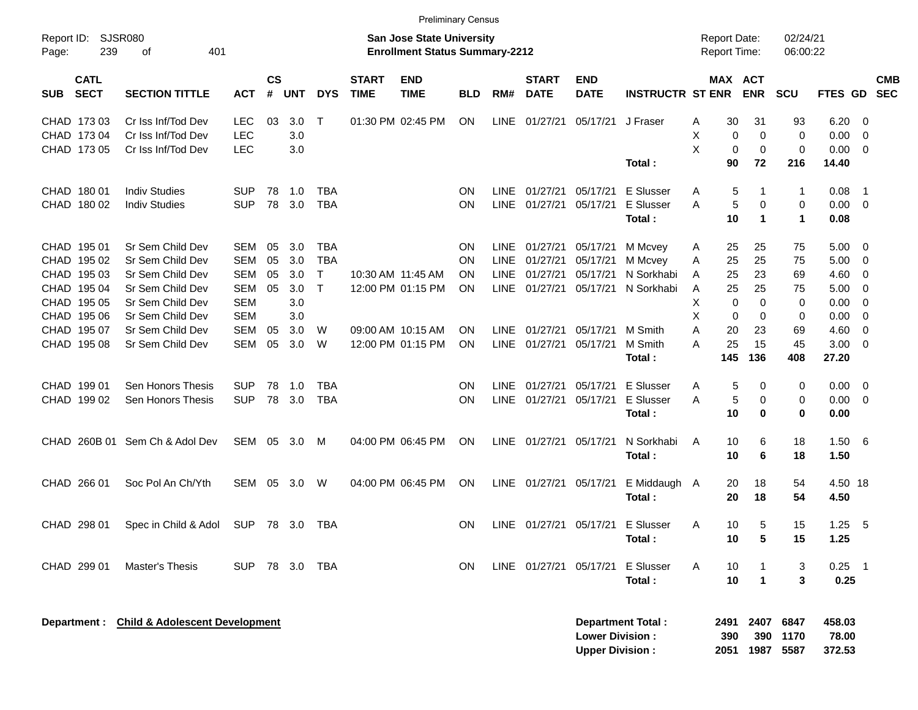|                                          |                                           |            |                    |            |              |                             | <b>Preliminary Census</b>                                                 |            |             |                             |                                                  |                          |        |                                     |                     |                      |                           |                         |                          |
|------------------------------------------|-------------------------------------------|------------|--------------------|------------|--------------|-----------------------------|---------------------------------------------------------------------------|------------|-------------|-----------------------------|--------------------------------------------------|--------------------------|--------|-------------------------------------|---------------------|----------------------|---------------------------|-------------------------|--------------------------|
| Report ID:<br>239<br>Page:               | SJSR080<br>401<br>οf                      |            |                    |            |              |                             | <b>San Jose State University</b><br><b>Enrollment Status Summary-2212</b> |            |             |                             |                                                  |                          |        | <b>Report Date:</b><br>Report Time: |                     | 02/24/21<br>06:00:22 |                           |                         |                          |
| <b>CATL</b><br><b>SECT</b><br><b>SUB</b> | <b>SECTION TITTLE</b>                     | <b>ACT</b> | $\mathsf{cs}$<br># | <b>UNT</b> | <b>DYS</b>   | <b>START</b><br><b>TIME</b> | <b>END</b><br><b>TIME</b>                                                 | <b>BLD</b> | RM#         | <b>START</b><br><b>DATE</b> | <b>END</b><br><b>DATE</b>                        | <b>INSTRUCTR ST ENR</b>  |        | MAX ACT                             | <b>ENR</b>          | <b>SCU</b>           | <b>FTES GD</b>            |                         | <b>CMB</b><br><b>SEC</b> |
| CHAD 173 03                              | Cr Iss Inf/Tod Dev                        | <b>LEC</b> | 03                 | 3.0        | Т            |                             | 01:30 PM 02:45 PM                                                         | <b>ON</b>  | LINE        | 01/27/21                    | 05/17/21                                         | J Fraser                 | Α      | 30                                  | 31                  | 93                   | 6.20                      | - 0                     |                          |
| CHAD 173 04                              | Cr Iss Inf/Tod Dev                        | <b>LEC</b> |                    | 3.0        |              |                             |                                                                           |            |             |                             |                                                  |                          | X      | 0                                   | 0                   | 0                    | 0.00                      | $\overline{0}$          |                          |
| CHAD 173 05                              | Cr Iss Inf/Tod Dev                        | <b>LEC</b> |                    | 3.0        |              |                             |                                                                           |            |             |                             |                                                  |                          | X      | 0                                   | 0                   | 0                    | 0.00                      | $\overline{0}$          |                          |
|                                          |                                           |            |                    |            |              |                             |                                                                           |            |             |                             |                                                  | Total:                   |        | 90                                  | 72                  | 216                  | 14.40                     |                         |                          |
| CHAD 180 01                              | <b>Indiv Studies</b>                      | <b>SUP</b> | 78                 | 1.0        | <b>TBA</b>   |                             |                                                                           | <b>ON</b>  | <b>LINE</b> | 01/27/21                    | 05/17/21                                         | E Slusser                | Α      | 5                                   | -1                  | 1                    | 0.08                      | $\overline{1}$          |                          |
| CHAD 180 02                              | <b>Indiv Studies</b>                      | <b>SUP</b> | 78                 | 3.0        | <b>TBA</b>   |                             |                                                                           | <b>ON</b>  |             | LINE 01/27/21               | 05/17/21                                         | E Slusser                | A      | 5                                   | 0                   | 0                    | 0.00                      | $\overline{0}$          |                          |
|                                          |                                           |            |                    |            |              |                             |                                                                           |            |             |                             |                                                  | Total:                   |        | 10                                  | $\mathbf 1$         | 1                    | 0.08                      |                         |                          |
| CHAD 195 01                              | Sr Sem Child Dev                          | <b>SEM</b> | 05                 | 3.0        | <b>TBA</b>   |                             |                                                                           | <b>ON</b>  | <b>LINE</b> | 01/27/21                    | 05/17/21                                         | M Mcvey                  | A      | 25                                  | 25                  | 75                   | 5.00                      | - 0                     |                          |
| CHAD 195 02                              | Sr Sem Child Dev                          | <b>SEM</b> | 05                 | 3.0        | <b>TBA</b>   |                             |                                                                           | <b>ON</b>  | <b>LINE</b> | 01/27/21                    | 05/17/21                                         | M Mcvey                  | A      | 25                                  | 25                  | 75                   | 5.00                      | 0                       |                          |
| CHAD 195 03                              | Sr Sem Child Dev                          | <b>SEM</b> | 05                 | 3.0        | $\mathsf{T}$ |                             | 10:30 AM 11:45 AM                                                         | <b>ON</b>  | <b>LINE</b> | 01/27/21                    | 05/17/21                                         | N Sorkhabi               | Α      | 25                                  | 23                  | 69                   | 4.60                      | 0                       |                          |
| CHAD 195 04                              | Sr Sem Child Dev                          | <b>SEM</b> | 05                 | 3.0        | Т            |                             | 12:00 PM 01:15 PM                                                         | <b>ON</b>  |             | LINE 01/27/21               | 05/17/21                                         | N Sorkhabi               | Α      | 25                                  | 25                  | 75                   | 5.00                      | 0                       |                          |
| CHAD 195 05                              | Sr Sem Child Dev                          | <b>SEM</b> |                    | 3.0        |              |                             |                                                                           |            |             |                             |                                                  |                          | X      | 0                                   | $\mathbf 0$         | 0                    | 0.00                      | 0                       |                          |
| CHAD 195 06                              | Sr Sem Child Dev                          | <b>SEM</b> |                    | 3.0        |              |                             |                                                                           |            |             |                             |                                                  |                          | X      | 0                                   | 0                   | 0                    | 0.00                      | 0                       |                          |
| CHAD 195 07                              | Sr Sem Child Dev                          | <b>SEM</b> | 05                 | 3.0        | W            |                             | 09:00 AM 10:15 AM                                                         | <b>ON</b>  | <b>LINE</b> | 01/27/21                    | 05/17/21                                         | M Smith                  | A<br>A | 20                                  | 23<br>15            | 69                   | 4.60                      | 0                       |                          |
| CHAD 195 08                              | Sr Sem Child Dev                          | <b>SEM</b> | 05                 | 3.0        | W            |                             | 12:00 PM 01:15 PM                                                         | <b>ON</b>  |             | LINE 01/27/21               | 05/17/21                                         | M Smith<br>Total:        |        | 25<br>145                           | 136                 | 45<br>408            | 3.00<br>27.20             | 0                       |                          |
| CHAD 199 01                              | Sen Honors Thesis                         | <b>SUP</b> | 78                 | 1.0        | <b>TBA</b>   |                             |                                                                           | <b>ON</b>  | <b>LINE</b> | 01/27/21                    | 05/17/21                                         | E Slusser                | Α      | 5                                   | 0                   | 0                    | 0.00                      | $\overline{\mathbf{0}}$ |                          |
| CHAD 199 02                              | Sen Honors Thesis                         | <b>SUP</b> | 78                 | 3.0        | <b>TBA</b>   |                             |                                                                           | <b>ON</b>  |             | LINE 01/27/21               | 05/17/21                                         | E Slusser                | A      | 5                                   | 0                   | 0                    | 0.00                      | $\overline{0}$          |                          |
|                                          |                                           |            |                    |            |              |                             |                                                                           |            |             |                             |                                                  | Total:                   |        | 10                                  | 0                   | 0                    | 0.00                      |                         |                          |
| CHAD 260B 01                             | Sem Ch & Adol Dev                         | SEM        | 05                 | 3.0        | M            |                             | 04:00 PM 06:45 PM                                                         | <b>ON</b>  |             | LINE 01/27/21               | 05/17/21                                         | N Sorkhabi               | A      | 10                                  | 6                   | 18                   | 1.50                      | - 6                     |                          |
|                                          |                                           |            |                    |            |              |                             |                                                                           |            |             |                             |                                                  | Total:                   |        | 10                                  | 6                   | 18                   | 1.50                      |                         |                          |
| CHAD 266 01                              | Soc Pol An Ch/Yth                         | <b>SEM</b> | 05                 | 3.0        | W            |                             | 04:00 PM 06:45 PM                                                         | <b>ON</b>  |             | LINE 01/27/21               | 05/17/21                                         | E Middaugh A             |        | 20                                  | 18                  | 54                   | 4.50 18                   |                         |                          |
|                                          |                                           |            |                    |            |              |                             |                                                                           |            |             |                             |                                                  | Total:                   |        | 20                                  | 18                  | 54                   | 4.50                      |                         |                          |
| CHAD 298 01                              | Spec in Child & Adol                      | <b>SUP</b> |                    | 78 3.0     | TBA          |                             |                                                                           | <b>ON</b>  |             | LINE 01/27/21               | 05/17/21                                         | E Slusser                | A      | 10                                  | 5                   | 15                   | 1.25                      | -5                      |                          |
|                                          |                                           |            |                    |            |              |                             |                                                                           |            |             |                             |                                                  | Total:                   |        | 10                                  | $\sqrt{5}$          | 15                   | 1.25                      |                         |                          |
| CHAD 299 01                              | <b>Master's Thesis</b>                    | <b>SUP</b> |                    |            | 78 3.0 TBA   |                             |                                                                           | <b>ON</b>  |             | LINE 01/27/21 05/17/21      |                                                  | <b>E</b> Slusser         | A      | 10                                  | $\mathbf 1$         | 3                    | $0.25$ 1                  |                         |                          |
|                                          |                                           |            |                    |            |              |                             |                                                                           |            |             |                             |                                                  | Total:                   |        | 10                                  | $\overline{1}$      | 3                    | 0.25                      |                         |                          |
| Department :                             | <b>Child &amp; Adolescent Development</b> |            |                    |            |              |                             |                                                                           |            |             |                             | <b>Lower Division:</b><br><b>Upper Division:</b> | <b>Department Total:</b> |        | 2491<br>390<br>2051                 | 2407<br>390<br>1987 | 6847<br>1170<br>5587 | 458.03<br>78.00<br>372.53 |                         |                          |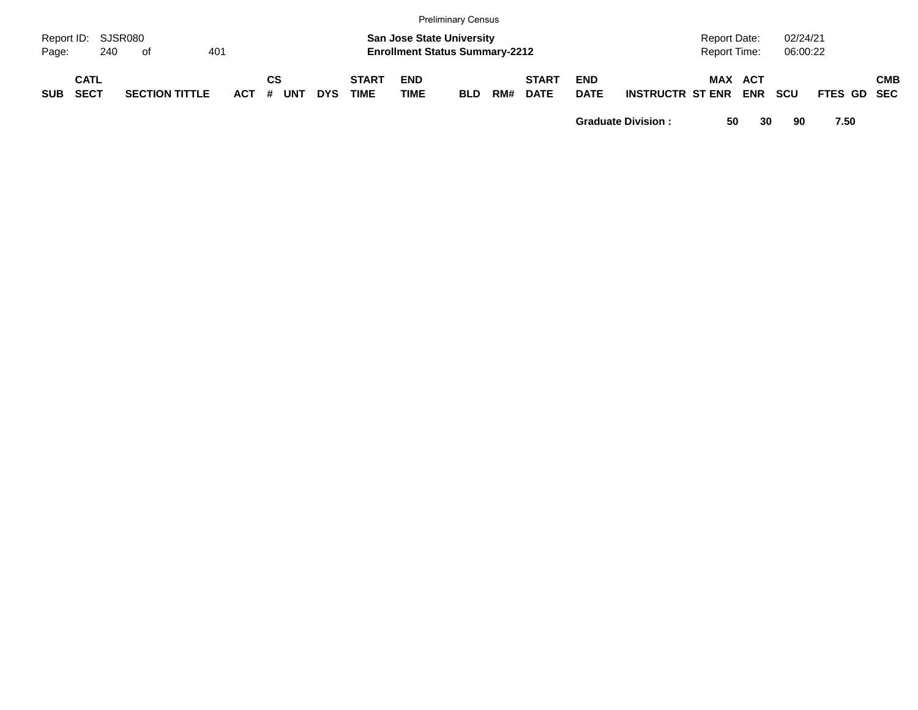|            |                            |     |                       |     |            |         |     |            |                             |                    | <b>Preliminary Census</b>                                                 |     |                             |                           |                         |                                     |                          |                      |             |            |
|------------|----------------------------|-----|-----------------------|-----|------------|---------|-----|------------|-----------------------------|--------------------|---------------------------------------------------------------------------|-----|-----------------------------|---------------------------|-------------------------|-------------------------------------|--------------------------|----------------------|-------------|------------|
| Page:      | Report ID: SJSR080         | 240 | of                    | 401 |            |         |     |            |                             |                    | <b>San Jose State University</b><br><b>Enrollment Status Summary-2212</b> |     |                             |                           |                         | <b>Report Date:</b><br>Report Time: |                          | 02/24/21<br>06:00:22 |             |            |
| <b>SUB</b> | <b>CATL</b><br><b>SECT</b> |     | <b>SECTION TITTLE</b> |     | <b>ACT</b> | СS<br># | UNT | <b>DYS</b> | <b>START</b><br><b>TIME</b> | <b>END</b><br>TIME | <b>BLD</b>                                                                | RM# | <b>START</b><br><b>DATE</b> | <b>END</b><br><b>DATE</b> | <b>INSTRUCTR ST ENR</b> | MAX                                 | <b>ACT</b><br><b>ENR</b> | <b>SCU</b>           | FTES GD SEC | <b>CMB</b> |

**Graduate Division : 50 30 90 7.50**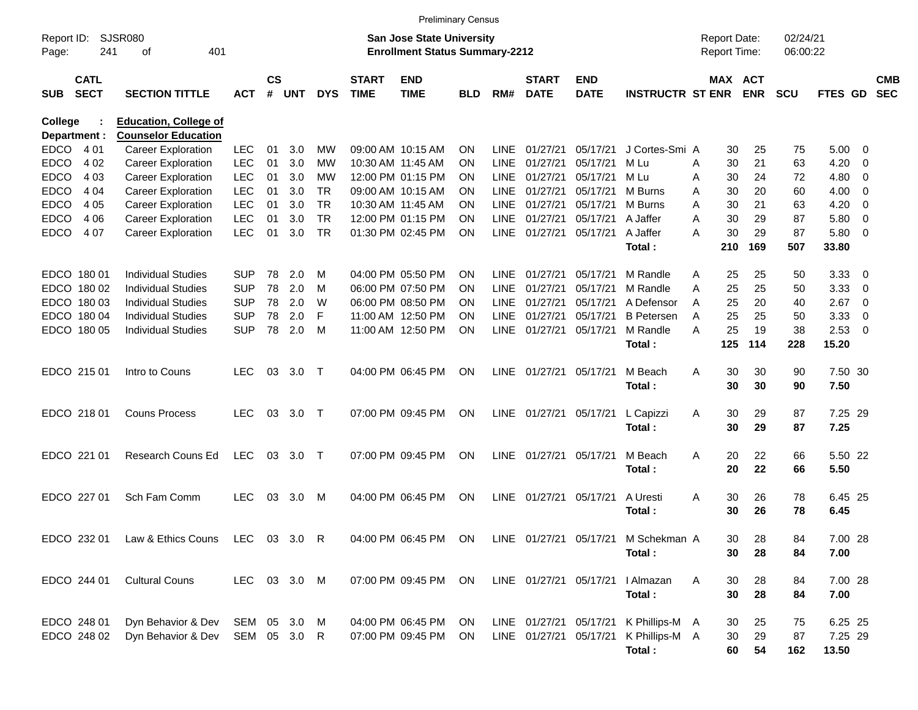|                     |                            |                              |              |                |            |            |                             | <b>Preliminary Census</b>                                                 |            |             |                             |                           |                         |   |                                            |            |                      |         |              |                          |
|---------------------|----------------------------|------------------------------|--------------|----------------|------------|------------|-----------------------------|---------------------------------------------------------------------------|------------|-------------|-----------------------------|---------------------------|-------------------------|---|--------------------------------------------|------------|----------------------|---------|--------------|--------------------------|
| Report ID:<br>Page: | 241                        | SJSR080<br>401<br>οf         |              |                |            |            |                             | <b>San Jose State University</b><br><b>Enrollment Status Summary-2212</b> |            |             |                             |                           |                         |   | <b>Report Date:</b><br><b>Report Time:</b> |            | 02/24/21<br>06:00:22 |         |              |                          |
| <b>SUB</b>          | <b>CATL</b><br><b>SECT</b> | <b>SECTION TITTLE</b>        | <b>ACT</b>   | <b>CS</b><br># | <b>UNT</b> | <b>DYS</b> | <b>START</b><br><b>TIME</b> | <b>END</b><br><b>TIME</b>                                                 | <b>BLD</b> | RM#         | <b>START</b><br><b>DATE</b> | <b>END</b><br><b>DATE</b> | <b>INSTRUCTR ST ENR</b> |   | MAX ACT                                    | <b>ENR</b> | <b>SCU</b>           | FTES GD |              | <b>CMB</b><br><b>SEC</b> |
| <b>College</b>      |                            | <b>Education, College of</b> |              |                |            |            |                             |                                                                           |            |             |                             |                           |                         |   |                                            |            |                      |         |              |                          |
| Department :        |                            | <b>Counselor Education</b>   |              |                |            |            |                             |                                                                           |            |             |                             |                           |                         |   |                                            |            |                      |         |              |                          |
| <b>EDCO</b>         | 4 0 1                      | <b>Career Exploration</b>    | <b>LEC</b>   | 01             | 3.0        | МW         |                             | 09:00 AM 10:15 AM                                                         | <b>ON</b>  | <b>LINE</b> | 01/27/21                    | 05/17/21                  | J Cortes-Smi A          |   | 30                                         | 25         | 75                   | 5.00    | $\mathbf{0}$ |                          |
| <b>EDCO</b>         | 4 0 2                      | <b>Career Exploration</b>    | <b>LEC</b>   | 01             | 3.0        | МW         |                             | 10:30 AM 11:45 AM                                                         | <b>ON</b>  | <b>LINE</b> | 01/27/21                    | 05/17/21                  | M Lu                    | Α | 30                                         | 21         | 63                   | 4.20    | $\mathbf 0$  |                          |
| <b>EDCO</b>         | 4 0 3                      | <b>Career Exploration</b>    | <b>LEC</b>   | 01             | 3.0        | МW         |                             | 12:00 PM 01:15 PM                                                         | <b>ON</b>  | <b>LINE</b> | 01/27/21                    | 05/17/21                  | M Lu                    | Α | 30                                         | 24         | 72                   | 4.80    | $\mathbf 0$  |                          |
| <b>EDCO</b>         | 4 0 4                      | <b>Career Exploration</b>    | <b>LEC</b>   | 01             | 3.0        | <b>TR</b>  |                             | 09:00 AM 10:15 AM                                                         | <b>ON</b>  | <b>LINE</b> | 01/27/21                    | 05/17/21                  | M Burns                 | Α | 30                                         | 20         | 60                   | 4.00    | 0            |                          |
| <b>EDCO</b>         | 4 0 5                      | <b>Career Exploration</b>    | <b>LEC</b>   | 01             | 3.0        | <b>TR</b>  |                             | 10:30 AM 11:45 AM                                                         | <b>ON</b>  | LINE        | 01/27/21                    | 05/17/21                  | M Burns                 | Α | 30                                         | 21         | 63                   | 4.20    | $\mathbf 0$  |                          |
| <b>EDCO</b>         | 4 0 6                      | <b>Career Exploration</b>    | <b>LEC</b>   | 01             | 3.0        | <b>TR</b>  |                             | 12:00 PM 01:15 PM                                                         | <b>ON</b>  | LINE        | 01/27/21                    | 05/17/21                  | A Jaffer                | Α | 30                                         | 29         | 87                   | 5.80    | $\mathbf 0$  |                          |
| <b>EDCO</b>         | 4 0 7                      | <b>Career Exploration</b>    | <b>LEC</b>   | 01             | 3.0        | <b>TR</b>  |                             | 01:30 PM 02:45 PM                                                         | <b>ON</b>  | LINE        | 01/27/21                    | 05/17/21                  | A Jaffer                | А | 30                                         | 29         | 87                   | 5.80    | $\mathbf 0$  |                          |
|                     |                            |                              |              |                |            |            |                             |                                                                           |            |             |                             |                           | Total:                  |   | 210                                        | 169        | 507                  | 33.80   |              |                          |
|                     | EDCO 180 01                | <b>Individual Studies</b>    | <b>SUP</b>   | 78             | 2.0        | м          |                             | 04:00 PM 05:50 PM                                                         | <b>ON</b>  | <b>LINE</b> | 01/27/21                    | 05/17/21                  | M Randle                | A | 25                                         | 25         | 50                   | 3.33    | 0            |                          |
|                     | EDCO 180 02                | <b>Individual Studies</b>    | <b>SUP</b>   | 78             | 2.0        | M          |                             | 06:00 PM 07:50 PM                                                         | <b>ON</b>  | <b>LINE</b> | 01/27/21                    | 05/17/21                  | M Randle                | Α | 25                                         | 25         | 50                   | 3.33    | $\mathbf 0$  |                          |
|                     | EDCO 180 03                | <b>Individual Studies</b>    | <b>SUP</b>   | 78             | 2.0        | W          |                             | 06:00 PM 08:50 PM                                                         | <b>ON</b>  | <b>LINE</b> | 01/27/21                    | 05/17/21                  | A Defensor              | A | 25                                         | 20         | 40                   | 2.67    | $\mathbf 0$  |                          |
|                     | EDCO 180 04                | <b>Individual Studies</b>    | <b>SUP</b>   | 78             | 2.0        | F          |                             | 11:00 AM 12:50 PM                                                         | ON         | <b>LINE</b> | 01/27/21                    | 05/17/21                  | <b>B</b> Petersen       | A | 25                                         | 25         | 50                   | 3.33    | 0            |                          |
|                     | EDCO 180 05                | <b>Individual Studies</b>    | <b>SUP</b>   | 78             | 2.0        | M          |                             | 11:00 AM 12:50 PM                                                         | ON         | LINE        | 01/27/21                    | 05/17/21                  | M Randle                | A | 25                                         | 19         | 38                   | 2.53    | $\mathbf 0$  |                          |
|                     |                            |                              |              |                |            |            |                             |                                                                           |            |             |                             |                           | Total:                  |   | 125                                        | 114        | 228                  | 15.20   |              |                          |
|                     |                            |                              |              |                |            |            |                             |                                                                           |            |             |                             |                           |                         |   |                                            |            |                      |         |              |                          |
|                     | EDCO 215 01                | Intro to Couns               | <b>LEC</b>   | 03             | 3.0        | $\top$     |                             | 04:00 PM 06:45 PM                                                         | ON         | LINE        | 01/27/21                    | 05/17/21                  | M Beach                 | A | 30                                         | 30         | 90                   | 7.50 30 |              |                          |
|                     |                            |                              |              |                |            |            |                             |                                                                           |            |             |                             |                           | Total:                  |   | 30                                         | 30         | 90                   | 7.50    |              |                          |
|                     | EDCO 218 01                | <b>Couns Process</b>         | <b>LEC</b>   | 03             | 3.0        | $\top$     |                             | 07:00 PM 09:45 PM                                                         | ON         | LINE        | 01/27/21                    | 05/17/21                  | L Capizzi               | A | 30                                         | 29         | 87                   | 7.25 29 |              |                          |
|                     |                            |                              |              |                |            |            |                             |                                                                           |            |             |                             |                           | Total:                  |   | 30                                         | 29         | 87                   | 7.25    |              |                          |
|                     |                            |                              |              |                |            |            |                             |                                                                           |            |             |                             |                           |                         |   |                                            |            |                      |         |              |                          |
|                     | EDCO 221 01                | Research Couns Ed            | <b>LEC</b>   | 03             | 3.0        | $\top$     |                             | 07:00 PM 09:45 PM                                                         | ON         | LINE        | 01/27/21                    | 05/17/21                  | M Beach                 | A | 20                                         | 22         | 66                   | 5.50 22 |              |                          |
|                     |                            |                              |              |                |            |            |                             |                                                                           |            |             |                             |                           | Total:                  |   | 20                                         | 22         | 66                   | 5.50    |              |                          |
|                     |                            |                              |              |                |            |            |                             |                                                                           |            |             |                             |                           |                         |   |                                            |            |                      |         |              |                          |
|                     | EDCO 227 01                | Sch Fam Comm                 | <b>LEC</b>   | 03             | 3.0        | м          |                             | 04:00 PM 06:45 PM                                                         | <b>ON</b>  | LINE        | 01/27/21                    | 05/17/21                  | A Uresti                | A | 30                                         | 26         | 78                   | 6.45 25 |              |                          |
|                     |                            |                              |              |                |            |            |                             |                                                                           |            |             |                             |                           | Total:                  |   | 30                                         | 26         | 78                   | 6.45    |              |                          |
|                     |                            |                              |              |                |            |            |                             |                                                                           |            |             |                             |                           |                         |   |                                            |            |                      |         |              |                          |
|                     | EDCO 232 01                | Law & Ethics Couns           | LEC          |                | 03 3.0 R   |            |                             | 04:00 PM 06:45 PM                                                         | ON         |             | LINE 01/27/21 05/17/21      |                           | M Schekman A            |   | 30                                         | 28         | 84                   | 7.00 28 |              |                          |
|                     |                            |                              |              |                |            |            |                             |                                                                           |            |             |                             |                           | Total:                  |   | 30                                         | 28         | 84                   | 7.00    |              |                          |
|                     |                            |                              |              |                |            |            |                             |                                                                           |            |             |                             |                           |                         |   |                                            |            |                      |         |              |                          |
|                     | EDCO 244 01                | <b>Cultural Couns</b>        | LEC          |                | 03 3.0 M   |            |                             | 07:00 PM 09:45 PM                                                         | ON         |             | LINE 01/27/21 05/17/21      |                           | I Almazan               | Α | 30                                         | 28         | 84                   | 7.00 28 |              |                          |
|                     |                            |                              |              |                |            |            |                             |                                                                           |            |             |                             |                           | Total:                  |   | 30                                         | 28         | 84                   | 7.00    |              |                          |
|                     | EDCO 248 01                | Dyn Behavior & Dev           | SEM 05 3.0 M |                |            |            |                             | 04:00 PM 06:45 PM                                                         | ON         |             | LINE 01/27/21 05/17/21      |                           | K Phillips-M A          |   | 30                                         | 25         | 75                   | 6.25 25 |              |                          |
|                     | EDCO 248 02                | Dyn Behavior & Dev           | SEM 05 3.0 R |                |            |            |                             | 07:00 PM 09:45 PM                                                         | ON         |             | LINE 01/27/21 05/17/21      |                           | K Phillips-M A          |   | 30                                         | 29         | 87                   | 7.25 29 |              |                          |
|                     |                            |                              |              |                |            |            |                             |                                                                           |            |             |                             |                           | Total:                  |   | 60                                         | 54         | 162                  | 13.50   |              |                          |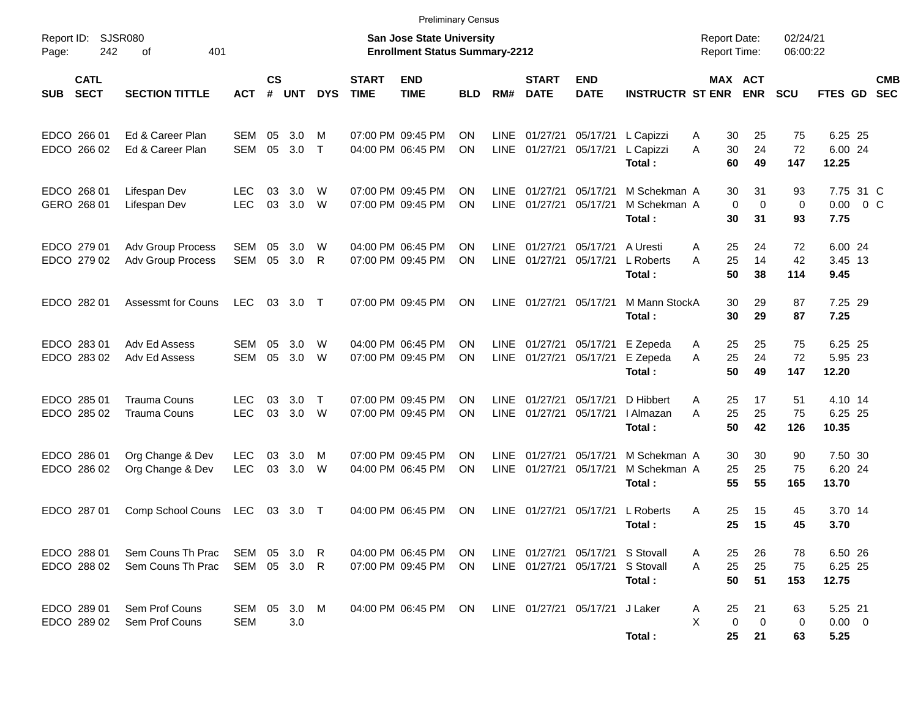|                                          |                                            |                              |                |              |             |                             | <b>Preliminary Census</b>                                                 |            |                            |                             |                                                                      |                                        |                                            |                                                    |                         |                                    |                          |
|------------------------------------------|--------------------------------------------|------------------------------|----------------|--------------|-------------|-----------------------------|---------------------------------------------------------------------------|------------|----------------------------|-----------------------------|----------------------------------------------------------------------|----------------------------------------|--------------------------------------------|----------------------------------------------------|-------------------------|------------------------------------|--------------------------|
| Report ID:<br>242<br>Page:               | SJSR080<br>401<br>οf                       |                              |                |              |             |                             | <b>San Jose State University</b><br><b>Enrollment Status Summary-2212</b> |            |                            |                             |                                                                      |                                        | <b>Report Date:</b><br><b>Report Time:</b> |                                                    | 02/24/21<br>06:00:22    |                                    |                          |
| <b>CATL</b><br><b>SECT</b><br><b>SUB</b> | <b>SECTION TITTLE</b>                      | АСТ                          | <b>CS</b><br># | <b>UNT</b>   | <b>DYS</b>  | <b>START</b><br><b>TIME</b> | <b>END</b><br><b>TIME</b>                                                 | <b>BLD</b> | RM#                        | <b>START</b><br><b>DATE</b> | <b>END</b><br><b>DATE</b>                                            | <b>INSTRUCTR ST ENR</b>                |                                            | <b>MAX ACT</b><br><b>ENR</b>                       | <b>SCU</b>              | <b>FTES GD</b>                     | <b>CMB</b><br><b>SEC</b> |
| EDCO 266 01<br>EDCO 266 02               | Ed & Career Plan<br>Ed & Career Plan       | <b>SEM</b><br>SEM            | 05<br>05       | 3.0<br>3.0   | M<br>$\top$ |                             | 07:00 PM 09:45 PM<br>04:00 PM 06:45 PM                                    | ΟN<br>ΟN   | <b>LINE</b>                | 01/27/21<br>LINE 01/27/21   | 05/17/21<br>05/17/21                                                 | L Capizzi<br>L Capizzi<br>Total:       | A<br>A                                     | 30<br>25<br>30<br>24<br>60<br>49                   | 75<br>72<br>147         | 6.25 25<br>6.00 24<br>12.25        |                          |
| EDCO 268 01<br>GERO 268 01               | Lifespan Dev<br>Lifespan Dev               | <b>LEC</b><br><b>LEC</b>     | 03<br>03       | 3.0<br>3.0   | W<br>W      |                             | 07:00 PM 09:45 PM<br>07:00 PM 09:45 PM                                    | ON<br>ON   | <b>LINE</b><br><b>LINE</b> | 01/27/21<br>01/27/21        | 05/17/21<br>05/17/21                                                 | M Schekman A<br>M Schekman A<br>Total: |                                            | 30<br>31<br>$\mathbf 0$<br>$\mathbf 0$<br>30<br>31 | 93<br>$\mathbf 0$<br>93 | 7.75 31 C<br>$0.00 \t 0 C$<br>7.75 |                          |
| EDCO 279 01<br>EDCO 279 02               | Adv Group Process<br>Adv Group Process     | SEM<br>SEM                   | 05<br>05       | 3.0<br>3.0   | W<br>R      |                             | 04:00 PM 06:45 PM<br>07:00 PM 09:45 PM                                    | ON<br>ON   | <b>LINE</b><br><b>LINE</b> | 01/27/21<br>01/27/21        | 05/17/21<br>05/17/21                                                 | A Uresti<br>L Roberts<br>Total:        | 25<br>A<br>25<br>A                         | 24<br>14<br>50<br>38                               | 72<br>42<br>114         | 6.00 24<br>3.45 13<br>9.45         |                          |
| EDCO 282 01                              | <b>Assessmt for Couns</b>                  | LEC                          |                | 03 3.0       | $\top$      |                             | 07:00 PM 09:45 PM                                                         | ΟN         |                            | LINE 01/27/21               | 05/17/21                                                             | M Mann StockA<br>Total:                |                                            | 30<br>29<br>30<br>29                               | 87<br>87                | 7.25 29<br>7.25                    |                          |
| EDCO 283 01<br>EDCO 283 02               | Adv Ed Assess<br>Adv Ed Assess             | SEM<br>SEM                   | 05<br>05       | 3.0<br>3.0   | W<br>W      |                             | 04:00 PM 06:45 PM<br>07:00 PM 09:45 PM                                    | ON<br>ΟN   | LINE                       | 01/27/21<br>LINE 01/27/21   | 05/17/21<br>05/17/21                                                 | E Zepeda<br>E Zepeda<br>Total:         | 25<br>A<br>25<br>A                         | 25<br>24<br>50<br>49                               | 75<br>72<br>147         | 6.25 25<br>5.95 23<br>12.20        |                          |
| EDCO 285 01<br>EDCO 285 02               | <b>Trauma Couns</b><br><b>Trauma Couns</b> | <b>LEC</b><br><b>LEC</b>     | 03<br>03       | 3.0<br>3.0 W | $\top$      |                             | 07:00 PM 09:45 PM<br>07:00 PM 09:45 PM                                    | ON<br>ON   | <b>LINE</b><br><b>LINE</b> | 01/27/21<br>01/27/21        | 05/17/21<br>05/17/21                                                 | D Hibbert<br>I Almazan<br>Total:       | 25<br>A<br>25<br>A                         | 17<br>25<br>50<br>42                               | 51<br>75<br>126         | 4.10 14<br>6.25 25<br>10.35        |                          |
| EDCO 286 01<br>EDCO 286 02               | Org Change & Dev<br>Org Change & Dev       | <b>LEC</b><br><b>LEC</b>     | 03<br>03       | 3.0<br>3.0   | M<br>W      |                             | 07:00 PM 09:45 PM<br>04:00 PM 06:45 PM                                    | ON<br>ON   | <b>LINE</b><br><b>LINE</b> | 01/27/21<br>01/27/21        | 05/17/21<br>05/17/21                                                 | M Schekman A<br>M Schekman A<br>Total: | 25                                         | 30<br>30<br>25<br>55<br>55                         | 90<br>75<br>165         | 7.50 30<br>6.20 24<br>13.70        |                          |
| EDCO 287 01                              | Comp School Couns                          | LEC                          |                | 03 3.0 T     |             |                             | 04:00 PM 06:45 PM                                                         | ΟN         | <b>LINE</b>                | 01/27/21                    | 05/17/21                                                             | L Roberts<br>Total:                    | Α<br>25<br>25                              | 15<br>15                                           | 45<br>45                | 3.70 14<br>3.70                    |                          |
| EDCO 288 01<br>EDCO 288 02               | Sem Couns Th Prac<br>Sem Couns Th Prac     | SEM 05 3.0 R<br>SEM 05 3.0 R |                |              |             |                             | 04:00 PM 06:45 PM<br>07:00 PM 09:45 PM                                    | ON.<br>ON. |                            |                             | LINE 01/27/21 05/17/21 S Stovall<br>LINE 01/27/21 05/17/21 S Stovall | Total:                                 | A<br>A                                     | 26<br>25<br>25<br>25<br>50<br>51                   | 78<br>75<br>153         | 6.50 26<br>6.25 25<br>12.75        |                          |
| EDCO 289 01<br>EDCO 289 02               | Sem Prof Couns<br>Sem Prof Couns           | SEM 05 3.0 M<br><b>SEM</b>   |                | 3.0          |             |                             | 04:00 PM 06:45 PM                                                         | ON         |                            |                             | LINE 01/27/21 05/17/21 J Laker                                       | Total:                                 | A<br>X                                     | 25<br>21<br>0<br>0<br>25<br>21                     | 63<br>0<br>63           | 5.25 21<br>$0.00 \t 0$<br>5.25     |                          |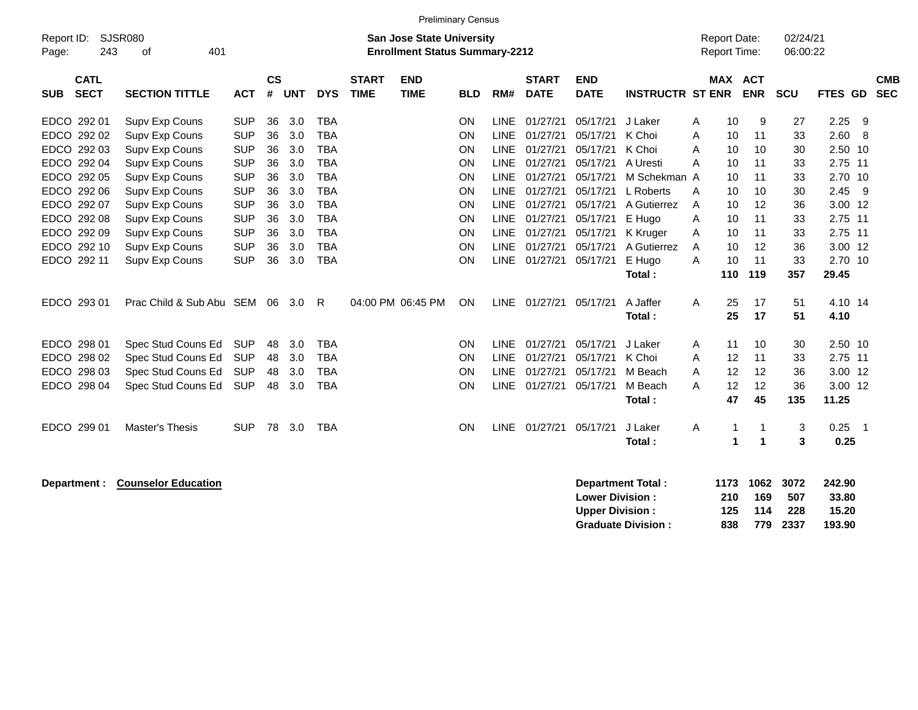|             |              |                             |            |           |            |            |              |                                       | <b>Preliminary Census</b> |             |              |             |                         |                     |      |                |            |                |            |
|-------------|--------------|-----------------------------|------------|-----------|------------|------------|--------------|---------------------------------------|---------------------------|-------------|--------------|-------------|-------------------------|---------------------|------|----------------|------------|----------------|------------|
| Report ID:  |              | SJSR080                     |            |           |            |            |              | <b>San Jose State University</b>      |                           |             |              |             |                         | <b>Report Date:</b> |      |                | 02/24/21   |                |            |
| Page:       | 243          | 401<br>οf                   |            |           |            |            |              | <b>Enrollment Status Summary-2212</b> |                           |             |              |             |                         | Report Time:        |      |                | 06:00:22   |                |            |
|             | <b>CATL</b>  |                             |            | <b>CS</b> |            |            | <b>START</b> | <b>END</b>                            |                           |             | <b>START</b> | <b>END</b>  |                         |                     |      | <b>MAX ACT</b> |            |                | <b>CMB</b> |
| <b>SUB</b>  | <b>SECT</b>  | <b>SECTION TITTLE</b>       | <b>ACT</b> | #         | <b>UNT</b> | <b>DYS</b> | <b>TIME</b>  | <b>TIME</b>                           | <b>BLD</b>                | RM#         | <b>DATE</b>  | <b>DATE</b> | <b>INSTRUCTR ST ENR</b> |                     |      | <b>ENR</b>     | <b>SCU</b> | <b>FTES GD</b> | <b>SEC</b> |
| EDCO 292 01 |              | Supv Exp Couns              | <b>SUP</b> | 36        | 3.0        | <b>TBA</b> |              |                                       | ON                        | <b>LINE</b> | 01/27/21     | 05/17/21    | J Laker                 | Α                   | 10   | 9              | 27         | 2.25           | 9          |
|             | EDCO 292 02  | Supv Exp Couns              | <b>SUP</b> | 36        | 3.0        | <b>TBA</b> |              |                                       | ON                        | <b>LINE</b> | 01/27/21     | 05/17/21    | K Choi                  | Α                   | 10   | 11             | 33         | 2.60           | 8          |
|             | EDCO 292 03  | Supv Exp Couns              | <b>SUP</b> | 36        | 3.0        | <b>TBA</b> |              |                                       | ON                        | <b>LINE</b> | 01/27/21     | 05/17/21    | K Choi                  | Α                   | 10   | 10             | 30         | 2.50 10        |            |
|             | EDCO 292 04  | Supv Exp Couns              | <b>SUP</b> | 36        | 3.0        | <b>TBA</b> |              |                                       | ON                        | <b>LINE</b> | 01/27/21     | 05/17/21    | A Uresti                | A                   | 10   | 11             | 33         | 2.75 11        |            |
|             | EDCO 292 05  | Supv Exp Couns              | <b>SUP</b> | 36        | 3.0        | <b>TBA</b> |              |                                       | ON                        | <b>LINE</b> | 01/27/21     | 05/17/21    | M Schekman A            |                     | 10   | 11             | 33         | 2.70 10        |            |
|             | EDCO 292 06  | Supv Exp Couns              | <b>SUP</b> | 36        | 3.0        | <b>TBA</b> |              |                                       | ON                        | <b>LINE</b> | 01/27/21     | 05/17/21    | L Roberts               | Α                   | 10   | 10             | 30         | 2.45           | 9          |
|             | EDCO 292 07  | Supv Exp Couns              | <b>SUP</b> | 36        | 3.0        | <b>TBA</b> |              |                                       | ON                        | <b>LINE</b> | 01/27/21     | 05/17/21    | A Gutierrez             | A                   | 10   | 12             | 36         | 3.00 12        |            |
|             | EDCO 292 08  | Supv Exp Couns              | <b>SUP</b> | 36        | 3.0        | <b>TBA</b> |              |                                       | ON                        | LINE        | 01/27/21     | 05/17/21    | E Hugo                  | Α                   | 10   | 11             | 33         | 2.75 11        |            |
| <b>EDCO</b> | 292 09       | Supv Exp Couns              | <b>SUP</b> | 36        | 3.0        | <b>TBA</b> |              |                                       | ON                        | <b>LINE</b> | 01/27/21     | 05/17/21    | K Kruger                | Α                   | 10   | 11             | 33         | 2.75 11        |            |
|             | EDCO 292 10  | Supv Exp Couns              | <b>SUP</b> | 36        | 3.0        | <b>TBA</b> |              |                                       | ON                        | <b>LINE</b> | 01/27/21     | 05/17/21    | A Gutierrez             | Α                   | 10   | 12             | 36         | 3.00 12        |            |
| EDCO 292 11 |              | Supv Exp Couns              | <b>SUP</b> | 36        | 3.0        | <b>TBA</b> |              |                                       | ON                        | <b>LINE</b> | 01/27/21     | 05/17/21    | E Hugo                  | A                   | 10   | 11             | 33         | 2.70 10        |            |
|             |              |                             |            |           |            |            |              |                                       |                           |             |              |             | Total:                  |                     | 110  | 119            | 357        | 29.45          |            |
| EDCO 293 01 |              | Prac Child & Sub Abu SEM 06 |            |           | 3.0        | R          |              | 04:00 PM 06:45 PM                     | ON                        | <b>LINE</b> | 01/27/21     | 05/17/21    | A Jaffer                | Α                   | 25   | 17             | 51         | 4.10 14        |            |
|             |              |                             |            |           |            |            |              |                                       |                           |             |              |             | Total:                  |                     | 25   | 17             | 51         | 4.10           |            |
| EDCO 298 01 |              | Spec Stud Couns Ed          | <b>SUP</b> | 48        | 3.0        | <b>TBA</b> |              |                                       | ON                        | <b>LINE</b> | 01/27/21     | 05/17/21    | J Laker                 | Α                   | 11   | 10             | 30         | 2.50 10        |            |
|             | EDCO 298 02  | Spec Stud Couns Ed          | <b>SUP</b> | 48        | 3.0        | <b>TBA</b> |              |                                       | ON                        | LINE        | 01/27/21     | 05/17/21    | K Choi                  | Α                   | 12   | 11             | 33         | 2.75 11        |            |
|             | EDCO 298 03  | Spec Stud Couns Ed          | <b>SUP</b> | 48        | 3.0        | <b>TBA</b> |              |                                       | ON                        | <b>LINE</b> | 01/27/21     | 05/17/21    | M Beach                 | Α                   | 12   | 12             | 36         | 3.00 12        |            |
|             | EDCO 298 04  | Spec Stud Couns Ed          | <b>SUP</b> | 48        | 3.0        | <b>TBA</b> |              |                                       | ON                        | <b>LINE</b> | 01/27/21     | 05/17/21    | M Beach                 | А                   | 12   | 12             | 36         | 3.00 12        |            |
|             |              |                             |            |           |            |            |              |                                       |                           |             |              |             | Total:                  |                     | 47   | 45             | 135        | 11.25          |            |
| EDCO 299 01 |              | Master's Thesis             | <b>SUP</b> | 78        | 3.0        | <b>TBA</b> |              |                                       | ON                        | <b>LINE</b> | 01/27/21     | 05/17/21    | J Laker                 | Α                   | 1    | 1              | 3          | 0.25           | -1         |
|             |              |                             |            |           |            |            |              |                                       |                           |             |              |             | Total:                  |                     | 1    | 1              | 3          | 0.25           |            |
|             |              |                             |            |           |            |            |              |                                       |                           |             |              |             |                         |                     |      |                |            |                |            |
|             | Department : | <b>Counselor Education</b>  |            |           |            |            |              |                                       |                           |             |              |             | Department Total:       |                     | 1173 | 1062           | 3072       | 242.90         |            |

| Department Total:         |     |     |          | 11/3 1002 30/2 242.90 |
|---------------------------|-----|-----|----------|-----------------------|
| <b>Lower Division :</b>   | 210 | 169 | 507      | 33.80                 |
| Upper Division :          | 125 | 114 | - 228    | 15.20                 |
| <b>Graduate Division:</b> | 838 |     | 779 2337 | 193.90                |
|                           |     |     |          |                       |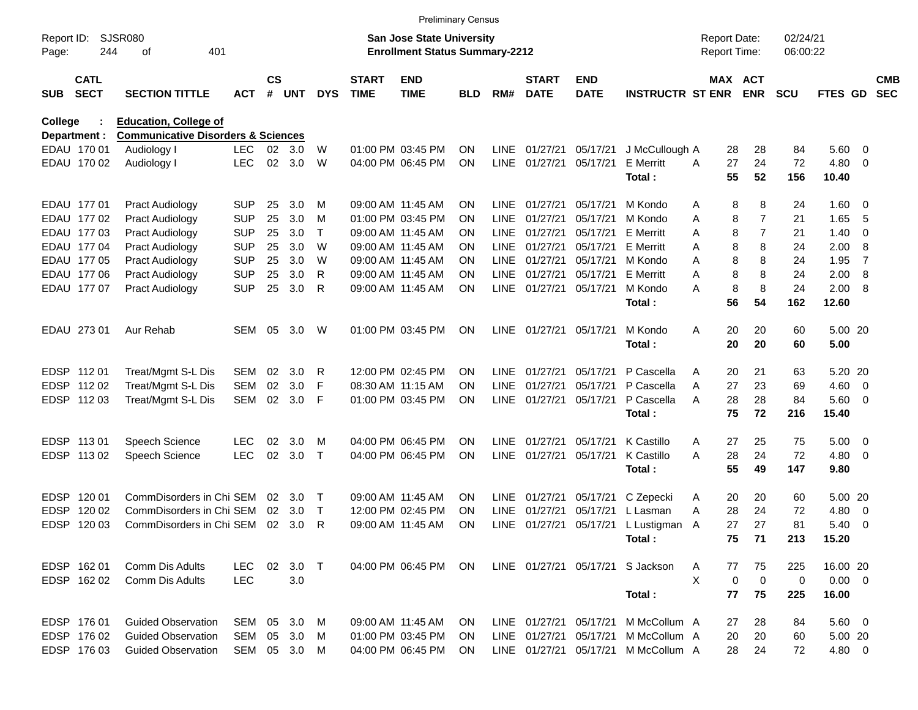|                     |                            |                                               |            |                    |            |              |                             | <b>Preliminary Census</b>                                          |           |             |                             |                           |                            |   |                                     |                |                      |               |                          |                          |
|---------------------|----------------------------|-----------------------------------------------|------------|--------------------|------------|--------------|-----------------------------|--------------------------------------------------------------------|-----------|-------------|-----------------------------|---------------------------|----------------------------|---|-------------------------------------|----------------|----------------------|---------------|--------------------------|--------------------------|
| Report ID:<br>Page: | 244                        | <b>SJSR080</b><br>401<br>οf                   |            |                    |            |              |                             | San Jose State University<br><b>Enrollment Status Summary-2212</b> |           |             |                             |                           |                            |   | <b>Report Date:</b><br>Report Time: |                | 02/24/21<br>06:00:22 |               |                          |                          |
| <b>SUB</b>          | <b>CATL</b><br><b>SECT</b> | <b>SECTION TITTLE</b>                         | <b>ACT</b> | $\mathsf{cs}$<br># | <b>UNT</b> | <b>DYS</b>   | <b>START</b><br><b>TIME</b> | <b>END</b><br><b>TIME</b>                                          | BLD       | RM#         | <b>START</b><br><b>DATE</b> | <b>END</b><br><b>DATE</b> | <b>INSTRUCTR ST ENR</b>    |   | MAX ACT                             | <b>ENR</b>     | <b>SCU</b>           | FTES GD       |                          | <b>CMB</b><br><b>SEC</b> |
| College             |                            | <b>Education, College of</b>                  |            |                    |            |              |                             |                                                                    |           |             |                             |                           |                            |   |                                     |                |                      |               |                          |                          |
|                     | Department :               | <b>Communicative Disorders &amp; Sciences</b> |            |                    |            |              |                             |                                                                    |           |             |                             |                           |                            |   |                                     |                |                      |               |                          |                          |
|                     | EDAU 170 01                | Audiology I                                   | LEC.       | 02                 | 3.0        | W            |                             | 01:00 PM 03:45 PM                                                  | <b>ON</b> | LINE        | 01/27/21                    | 05/17/21                  | J McCullough A             |   | 28                                  | 28             | 84                   | 5.60 0        |                          |                          |
|                     | EDAU 170 02                | Audiology I                                   | <b>LEC</b> | 02                 | 3.0        | W            |                             | 04:00 PM 06:45 PM                                                  | <b>ON</b> | <b>LINE</b> | 01/27/21                    | 05/17/21                  | <b>E</b> Merritt<br>Total: | A | 27<br>55                            | 24<br>52       | 72<br>156            | 4.80<br>10.40 | - 0                      |                          |
|                     | EDAU 177 01                | <b>Pract Audiology</b>                        | <b>SUP</b> | 25                 | 3.0        | м            |                             | 09:00 AM 11:45 AM                                                  | <b>ON</b> | LINE        | 01/27/21                    | 05/17/21                  | M Kondo                    | Α | 8                                   | 8              | 24                   | 1.60 0        |                          |                          |
|                     | EDAU 177 02                | <b>Pract Audiology</b>                        | <b>SUP</b> | 25                 | 3.0        | м            |                             | 01:00 PM 03:45 PM                                                  | <b>ON</b> | <b>LINE</b> | 01/27/21                    | 05/17/21                  | M Kondo                    | Α | 8                                   | 7              | 21                   | 1.65          | -5                       |                          |
|                     | EDAU 177 03                | <b>Pract Audiology</b>                        | <b>SUP</b> | 25                 | 3.0        | Τ            |                             | 09:00 AM 11:45 AM                                                  | <b>ON</b> | LINE        | 01/27/21                    | 05/17/21                  | <b>E</b> Merritt           | Α | 8                                   | $\overline{7}$ | 21                   | 1.40          | - 0                      |                          |
|                     | EDAU 177 04                | <b>Pract Audiology</b>                        | <b>SUP</b> | 25                 | 3.0        | W            |                             | 09:00 AM 11:45 AM                                                  | <b>ON</b> | <b>LINE</b> | 01/27/21                    | 05/17/21                  | <b>E</b> Merritt           | A | 8                                   | 8              | 24                   | 2.00          | 8                        |                          |
|                     | EDAU 177 05                | <b>Pract Audiology</b>                        | <b>SUP</b> | 25                 | 3.0        | W            |                             | 09:00 AM 11:45 AM                                                  | <b>ON</b> | LINE        | 01/27/21                    | 05/17/21                  | M Kondo                    | A | 8                                   | 8              | 24                   | 1.95          | $\overline{7}$           |                          |
|                     | EDAU 177 06                | <b>Pract Audiology</b>                        | <b>SUP</b> | 25                 | 3.0        | R            |                             | 09:00 AM 11:45 AM                                                  | <b>ON</b> | LINE        | 01/27/21                    | 05/17/21                  | <b>E</b> Merritt           | Α | 8                                   | 8              | 24                   | 2.00          | 8                        |                          |
|                     | EDAU 177 07                | <b>Pract Audiology</b>                        | <b>SUP</b> | 25                 | 3.0        | R            |                             | 09:00 AM 11:45 AM                                                  | <b>ON</b> | LINE        | 01/27/21                    | 05/17/21                  | M Kondo                    | Α | 8                                   | 8              | 24                   | 2.00          | 8                        |                          |
|                     |                            |                                               |            |                    |            |              |                             |                                                                    |           |             |                             |                           | Total:                     |   | 56                                  | 54             | 162                  | 12.60         |                          |                          |
|                     | EDAU 273 01                | Aur Rehab                                     | <b>SEM</b> | 05                 | 3.0        | W            |                             | 01:00 PM 03:45 PM                                                  | <b>ON</b> |             | LINE 01/27/21               | 05/17/21                  | M Kondo                    | A | 20                                  | 20             | 60                   | 5.00 20       |                          |                          |
|                     |                            |                                               |            |                    |            |              |                             |                                                                    |           |             |                             |                           | Total:                     |   | 20                                  | 20             | 60                   | 5.00          |                          |                          |
| <b>EDSP</b>         | 112 01                     | Treat/Mgmt S-L Dis                            | <b>SEM</b> | 02                 | 3.0        | R            |                             | 12:00 PM 02:45 PM                                                  | <b>ON</b> | <b>LINE</b> | 01/27/21                    | 05/17/21                  | P Cascella                 | A | 20                                  | 21             | 63                   | 5.20 20       |                          |                          |
| <b>EDSP</b>         | 112 02                     | Treat/Mgmt S-L Dis                            | <b>SEM</b> | 02                 | 3.0        | F            |                             | 08:30 AM 11:15 AM                                                  | <b>ON</b> | LINE        | 01/27/21                    | 05/17/21                  | P Cascella                 | A | 27                                  | 23             | 69                   | 4.60          | $\overline{\phantom{0}}$ |                          |
| <b>EDSP</b>         | 112 03                     | Treat/Mgmt S-L Dis                            | <b>SEM</b> | 02                 | 3.0        | F            |                             | 01:00 PM 03:45 PM                                                  | <b>ON</b> | LINE        | 01/27/21                    | 05/17/21                  | P Cascella                 | A | 28                                  | 28             | 84                   | 5.60 0        |                          |                          |
|                     |                            |                                               |            |                    |            |              |                             |                                                                    |           |             |                             |                           | Total:                     |   | 75                                  | 72             | 216                  | 15.40         |                          |                          |
|                     | EDSP 113 01                | Speech Science                                | <b>LEC</b> | 02                 | 3.0        | M            |                             | 04:00 PM 06:45 PM                                                  | <b>ON</b> | <b>LINE</b> | 01/27/21                    | 05/17/21                  | K Castillo                 | Α | 27                                  | 25             | 75                   | 5.00          | $\overline{\phantom{0}}$ |                          |
| <b>EDSP</b>         | 11302                      | <b>Speech Science</b>                         | <b>LEC</b> | 02                 | 3.0        | $\top$       |                             | 04:00 PM 06:45 PM                                                  | <b>ON</b> | <b>LINE</b> | 01/27/21                    | 05/17/21                  | K Castillo                 | Α | 28                                  | 24             | 72                   | $4.80$ 0      |                          |                          |
|                     |                            |                                               |            |                    |            |              |                             |                                                                    |           |             |                             |                           | Total:                     |   | 55                                  | 49             | 147                  | 9.80          |                          |                          |
| <b>EDSP</b>         | 120 01                     | CommDisorders in Chi SEM                      |            | 02                 | 3.0        | $\top$       |                             | 09:00 AM 11:45 AM                                                  | <b>ON</b> | LINE        | 01/27/21                    | 05/17/21                  | C Zepecki                  | A | 20                                  | 20             | 60                   | 5.00 20       |                          |                          |
| <b>EDSP</b>         | 120 02                     | CommDisorders in Chi SEM                      |            | 02                 | 3.0        | $\mathsf{T}$ |                             | 12:00 PM 02:45 PM                                                  | <b>ON</b> | <b>LINE</b> | 01/27/21                    | 05/17/21                  | L Lasman                   | Α | 28                                  | 24             | 72                   | 4.80          | $\overline{\mathbf{0}}$  |                          |
| <b>EDSP</b>         | 120 03                     | CommDisorders in Chi SEM                      |            | 02 <sub>o</sub>    | 3.0        | R            |                             | 09:00 AM_11:45 AM                                                  | <b>ON</b> |             | LINE 01/27/21               | 05/17/21                  | L Lustigman A              |   | 27                                  | 27             | 81                   | 5.40          | - 0                      |                          |
|                     |                            |                                               |            |                    |            |              |                             |                                                                    |           |             |                             |                           | Total:                     |   | 75                                  | 71             | 213                  | 15.20         |                          |                          |
|                     | EDSP 162 01                | Comm Dis Adults                               | <b>LEC</b> | 02                 | $3.0$ T    |              |                             | 04:00 PM 06:45 PM                                                  | ON        |             |                             | LINE 01/27/21 05/17/21    | S Jackson                  | A | 77                                  | 75             | 225                  | 16.00 20      |                          |                          |
|                     | EDSP 162 02                | Comm Dis Adults                               | <b>LEC</b> |                    | 3.0        |              |                             |                                                                    |           |             |                             |                           |                            | X | 0                                   | $\mathbf 0$    | 0                    | $0.00 \t 0$   |                          |                          |
|                     |                            |                                               |            |                    |            |              |                             |                                                                    |           |             |                             |                           | Total:                     |   | 77                                  | 75             | 225                  | 16.00         |                          |                          |
|                     | EDSP 176 01                | <b>Guided Observation</b>                     | SEM        | 05                 | 3.0        | M            |                             | 09:00 AM 11:45 AM                                                  | <b>ON</b> |             | LINE 01/27/21               | 05/17/21                  | M McCollum A               |   | 27                                  | 28             | 84                   | 5.60 0        |                          |                          |
|                     | EDSP 176 02                | <b>Guided Observation</b>                     | SEM        | 05                 | 3.0        | M            |                             | 01:00 PM 03:45 PM                                                  | <b>ON</b> |             | LINE 01/27/21               | 05/17/21                  | M McCollum A               |   | 20                                  | 20             | 60                   | 5.00 20       |                          |                          |
|                     | EDSP 176 03                | <b>Guided Observation</b>                     | SEM 05 3.0 |                    |            | M            |                             | 04:00 PM 06:45 PM                                                  | <b>ON</b> |             | LINE 01/27/21 05/17/21      |                           | M McCollum A               |   | 28                                  | 24             | 72                   | 4.80 0        |                          |                          |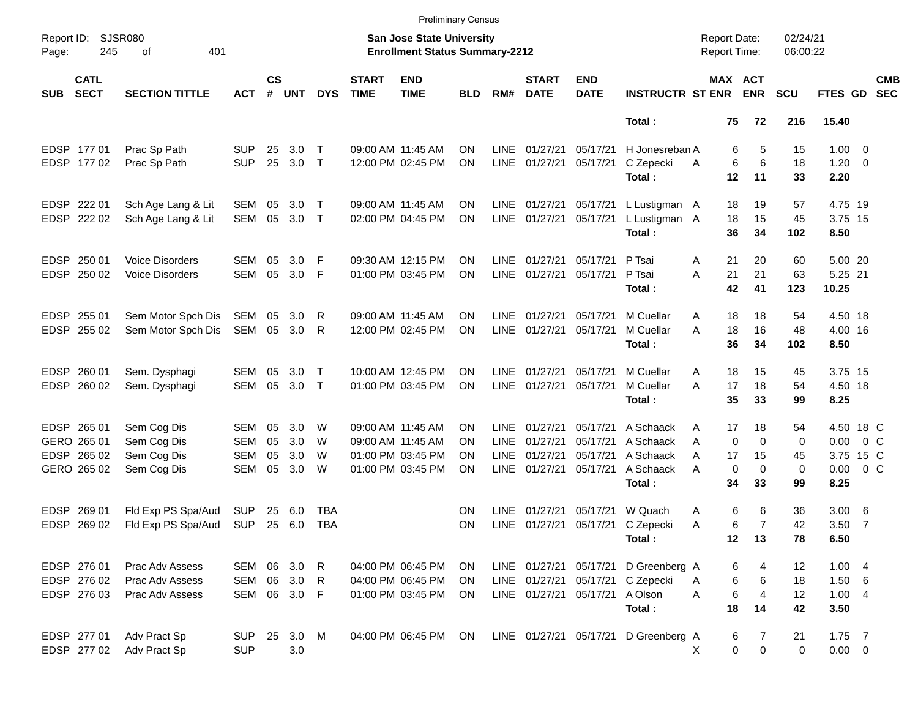|             |                                                  |                        |            |                    |            |             |                             |                                                                           | <b>Preliminary Census</b> |             |                             |                           |                             |                                            |                |                      |                |                         |                          |
|-------------|--------------------------------------------------|------------------------|------------|--------------------|------------|-------------|-----------------------------|---------------------------------------------------------------------------|---------------------------|-------------|-----------------------------|---------------------------|-----------------------------|--------------------------------------------|----------------|----------------------|----------------|-------------------------|--------------------------|
| Page:       | <b>SJSR080</b><br>Report ID:<br>245<br>401<br>of |                        |            |                    |            |             |                             | <b>San Jose State University</b><br><b>Enrollment Status Summary-2212</b> |                           |             |                             |                           |                             | <b>Report Date:</b><br><b>Report Time:</b> |                | 02/24/21<br>06:00:22 |                |                         |                          |
| <b>SUB</b>  | <b>CATL</b><br><b>SECT</b>                       | <b>SECTION TITTLE</b>  | <b>ACT</b> | $\mathsf{cs}$<br># | <b>UNT</b> | <b>DYS</b>  | <b>START</b><br><b>TIME</b> | <b>END</b><br><b>TIME</b>                                                 | <b>BLD</b>                | RM#         | <b>START</b><br><b>DATE</b> | <b>END</b><br><b>DATE</b> | <b>INSTRUCTR ST ENR ENR</b> |                                            | <b>MAX ACT</b> | <b>SCU</b>           | <b>FTES GD</b> |                         | <b>CMB</b><br><b>SEC</b> |
|             |                                                  |                        |            |                    |            |             |                             |                                                                           |                           |             |                             |                           | Total:                      | 75                                         | 72             | 216                  | 15.40          |                         |                          |
|             | EDSP 177 01                                      | Prac Sp Path           | <b>SUP</b> | 25                 | 3.0        | $\mathsf T$ |                             | 09:00 AM 11:45 AM                                                         | ΟN                        | LINE        | 01/27/21                    | 05/17/21                  | H Jonesreban A              | 6                                          | 5              | 15                   | $1.00 \t 0$    |                         |                          |
|             | EDSP 177 02                                      | Prac Sp Path           | <b>SUP</b> | 25                 | 3.0        | $\top$      |                             | 12:00 PM 02:45 PM                                                         | <b>ON</b>                 | LINE        | 01/27/21                    | 05/17/21                  | C Zepecki                   | 6<br>A                                     | 6              | 18                   | 1.20           | $\overline{\mathbf{0}}$ |                          |
|             |                                                  |                        |            |                    |            |             |                             |                                                                           |                           |             |                             |                           | Total:                      | 12                                         | 11             | 33                   | 2.20           |                         |                          |
|             | EDSP 222 01                                      | Sch Age Lang & Lit     | SEM        | 05                 | 3.0        | $\mathsf T$ |                             | 09:00 AM 11:45 AM                                                         | <b>ON</b>                 |             | LINE 01/27/21               | 05/17/21                  | L Lustigman A               | 18                                         | 19             | 57                   | 4.75 19        |                         |                          |
|             | EDSP 222 02                                      | Sch Age Lang & Lit     | SEM        | 05                 | 3.0        | $\top$      |                             | 02:00 PM 04:45 PM                                                         | <b>ON</b>                 |             | LINE 01/27/21               | 05/17/21                  | L Lustigman A               | 18                                         | 15             | 45                   | 3.75 15        |                         |                          |
|             |                                                  |                        |            |                    |            |             |                             |                                                                           |                           |             |                             |                           | Total:                      | 36                                         | 34             | 102                  | 8.50           |                         |                          |
|             | EDSP 250 01                                      | <b>Voice Disorders</b> | SEM        | 05                 | 3.0        | F           |                             | 09:30 AM 12:15 PM                                                         | ON                        |             | LINE 01/27/21               | 05/17/21                  | P Tsai                      | 21<br>A                                    | 20             | 60                   | 5.00 20        |                         |                          |
|             | EDSP 250 02                                      | <b>Voice Disorders</b> | <b>SEM</b> | 05                 | 3.0        | F           |                             | 01:00 PM 03:45 PM                                                         | <b>ON</b>                 |             | LINE 01/27/21               | 05/17/21                  | P Tsai                      | 21<br>Α                                    | 21             | 63                   | 5.25 21        |                         |                          |
|             |                                                  |                        |            |                    |            |             |                             |                                                                           |                           |             |                             |                           | Total:                      | 42                                         | 41             | 123                  | 10.25          |                         |                          |
|             | EDSP 255 01                                      | Sem Motor Spch Dis     | SEM        | 05                 | 3.0        | R           |                             | 09:00 AM 11:45 AM                                                         | ON                        | LINE        | 01/27/21                    | 05/17/21                  | M Cuellar                   | 18<br>A                                    | 18             | 54                   | 4.50 18        |                         |                          |
|             | EDSP 255 02                                      | Sem Motor Spch Dis     | SEM        |                    | 05 3.0     | R           |                             | 12:00 PM 02:45 PM                                                         | <b>ON</b>                 | LINE        | 01/27/21                    | 05/17/21                  | M Cuellar                   | A<br>18                                    | 16             | 48                   | 4.00 16        |                         |                          |
|             |                                                  |                        |            |                    |            |             |                             |                                                                           |                           |             |                             |                           | Total:                      | 36                                         | 34             | 102                  | 8.50           |                         |                          |
|             | EDSP 260 01                                      | Sem. Dysphagi          | SEM        | 05                 | 3.0        | Т           |                             | 10:00 AM 12:45 PM                                                         | ON                        | LINE        | 01/27/21                    | 05/17/21                  | M Cuellar                   | 18<br>A                                    | 15             | 45                   | 3.75 15        |                         |                          |
|             | EDSP 260 02                                      | Sem. Dysphagi          | <b>SEM</b> | 05                 | 3.0        | $\top$      |                             | 01:00 PM 03:45 PM                                                         | <b>ON</b>                 |             | LINE 01/27/21               | 05/17/21                  | M Cuellar                   | A<br>17                                    | 18             | 54                   | 4.50 18        |                         |                          |
|             |                                                  |                        |            |                    |            |             |                             |                                                                           |                           |             |                             |                           | Total:                      | 35                                         | 33             | 99                   | 8.25           |                         |                          |
|             | EDSP 265 01                                      | Sem Cog Dis            | SEM        | 05                 | 3.0        | W           |                             | 09:00 AM 11:45 AM                                                         | ON                        | LINE        | 01/27/21                    | 05/17/21                  | A Schaack                   | 17<br>Α                                    | 18             | 54                   | 4.50 18 C      |                         |                          |
|             | GERO 265 01                                      | Sem Cog Dis            | <b>SEM</b> | 05                 | 3.0        | W           |                             | 09:00 AM 11:45 AM                                                         | ON                        | <b>LINE</b> | 01/27/21                    | 05/17/21                  | A Schaack                   | 0<br>A                                     | $\Omega$       | 0                    | 0.00           | $0\,$ C                 |                          |
|             | EDSP 265 02                                      | Sem Cog Dis            | <b>SEM</b> | 05                 | 3.0        | W           |                             | 01:00 PM 03:45 PM                                                         | ON                        | LINE        | 01/27/21                    | 05/17/21                  | A Schaack                   | 17<br>Α                                    | 15             | 45                   | 3.75 15 C      |                         |                          |
|             | GERO 265 02                                      | Sem Cog Dis            | <b>SEM</b> | 05                 | 3.0        | W           |                             | 01:00 PM 03:45 PM                                                         | ΟN                        |             | LINE 01/27/21               | 05/17/21                  | A Schaack                   | $\mathbf 0$<br>A                           | $\Omega$       | $\mathbf 0$          | 0.00           | 0 <sup>o</sup>          |                          |
|             |                                                  |                        |            |                    |            |             |                             |                                                                           |                           |             |                             |                           | Total:                      | 34                                         | 33             | 99                   | 8.25           |                         |                          |
| <b>EDSP</b> | 269 01                                           | Fld Exp PS Spa/Aud     | <b>SUP</b> | 25                 | 6.0        | TBA         |                             |                                                                           | ON                        | <b>LINE</b> | 01/27/21                    | 05/17/21                  | W Quach                     | 6<br>A                                     | 6              | 36                   | $3.00\quad 6$  |                         |                          |
|             | EDSP 269 02                                      | Fld Exp PS Spa/Aud     | <b>SUP</b> |                    | 25 6.0     | <b>TBA</b>  |                             |                                                                           | <b>ON</b>                 | LINE        | 01/27/21                    | 05/17/21                  | C Zepecki                   | 6<br>Α                                     | $\overline{7}$ | 42                   | $3.50$ 7       |                         |                          |
|             |                                                  |                        |            |                    |            |             |                             |                                                                           |                           |             |                             |                           | Total:                      | 12                                         | 13             | 78                   | 6.50           |                         |                          |
|             | EDSP 276 01                                      | Prac Adv Assess        | SEM        |                    | 06 3.0     | R           |                             | 04:00 PM 06:45 PM                                                         | <b>ON</b>                 |             | LINE 01/27/21 05/17/21      |                           | D Greenberg A               | 6                                          | 4              | 12                   | 1.004          |                         |                          |
|             | EDSP 276 02                                      | Prac Adv Assess        | SEM        |                    | 06 3.0     | R           |                             | 04:00 PM 06:45 PM                                                         | <b>ON</b>                 |             | LINE 01/27/21               | 05/17/21                  | C Zepecki                   | 6<br>A                                     | 6              | 18                   | 1.50 6         |                         |                          |
|             | EDSP 276 03                                      | Prac Adv Assess        | SEM        |                    | 06 3.0 F   |             |                             | 01:00 PM 03:45 PM                                                         | <b>ON</b>                 |             | LINE 01/27/21 05/17/21      |                           | A Olson                     | 6<br>Α                                     | 4              | 12                   | 1.004          |                         |                          |
|             |                                                  |                        |            |                    |            |             |                             |                                                                           |                           |             |                             |                           | Total:                      | 18                                         | 14             | 42                   | 3.50           |                         |                          |
|             | EDSP 277 01                                      | Adv Pract Sp           | <b>SUP</b> | 25                 | 3.0 M      |             |                             | 04:00 PM 06:45 PM                                                         | ON                        |             | LINE 01/27/21 05/17/21      |                           | D Greenberg A               | 6                                          | 7              | 21                   | $1.75$ 7       |                         |                          |
|             | EDSP 277 02                                      | Adv Pract Sp           | <b>SUP</b> |                    | $3.0\,$    |             |                             |                                                                           |                           |             |                             |                           |                             | 0<br>X                                     | 0              | 0                    | $0.00 \t 0$    |                         |                          |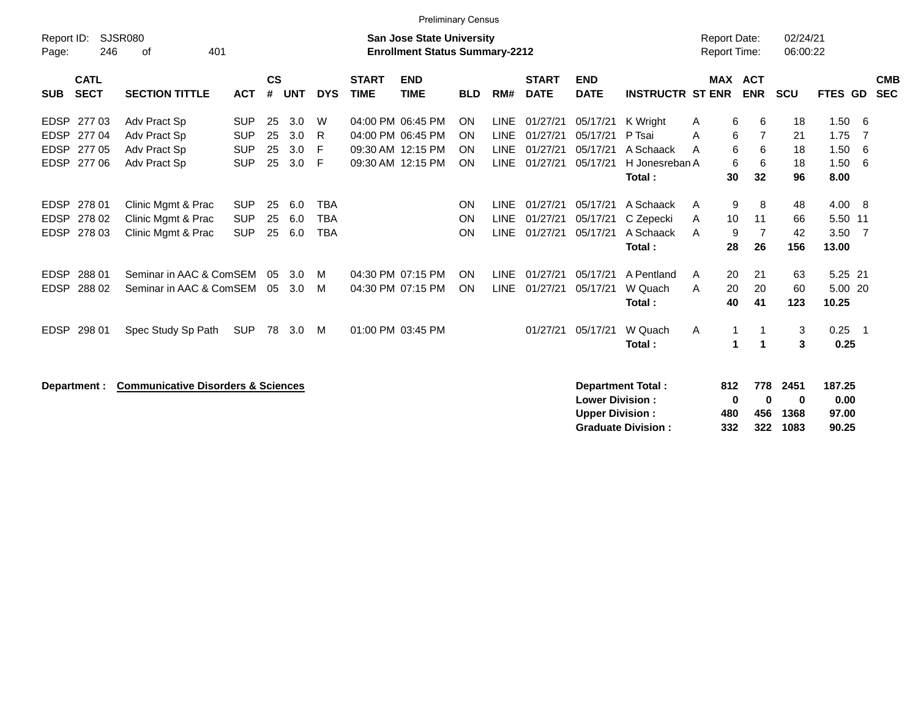|                                      | <b>Preliminary Census</b>                     |                          |               |            |                          |              |                                       |                 |                            |                      |                                                  |                          |                     |                           |            |               |                          |            |
|--------------------------------------|-----------------------------------------------|--------------------------|---------------|------------|--------------------------|--------------|---------------------------------------|-----------------|----------------------------|----------------------|--------------------------------------------------|--------------------------|---------------------|---------------------------|------------|---------------|--------------------------|------------|
| Report ID:                           | <b>SJSR080</b>                                |                          |               |            |                          |              | <b>San Jose State University</b>      |                 |                            |                      |                                                  |                          | <b>Report Date:</b> |                           | 02/24/21   |               |                          |            |
| Page:                                | 246<br>401<br>οf                              |                          |               |            |                          |              | <b>Enrollment Status Summary-2212</b> |                 |                            |                      |                                                  |                          |                     | Report Time:              | 06:00:22   |               |                          |            |
| <b>CATL</b>                          |                                               |                          | $\mathsf{cs}$ |            |                          | <b>START</b> | <b>END</b>                            |                 |                            | <b>START</b>         | <b>END</b>                                       |                          |                     | <b>MAX ACT</b>            |            |               |                          | <b>CMB</b> |
| <b>SECT</b><br><b>SUB</b>            | <b>SECTION TITTLE</b>                         | <b>ACT</b>               | #             | <b>UNT</b> | <b>DYS</b>               | <b>TIME</b>  | <b>TIME</b>                           | <b>BLD</b>      | RM#                        | <b>DATE</b>          | <b>DATE</b>                                      | <b>INSTRUCTR ST ENR</b>  |                     | <b>ENR</b>                | <b>SCU</b> | FTES GD       |                          | <b>SEC</b> |
|                                      |                                               |                          |               |            |                          |              |                                       |                 |                            |                      |                                                  |                          |                     |                           |            |               |                          |            |
| <b>EDSP</b><br>277 03                | Adv Pract Sp                                  | <b>SUP</b>               | 25            | 3.0        | W                        |              | 04:00 PM 06:45 PM                     | <b>ON</b>       | <b>LINE</b>                | 01/27/21             | 05/17/21                                         | K Wright                 | A                   | 6<br>6                    | 18         | 1.50          | - 6                      |            |
| EDSP 277 04                          | Adv Pract Sp                                  | <b>SUP</b>               | 25            | 3.0        | R                        |              | 04:00 PM 06:45 PM                     | <b>ON</b>       | <b>LINE</b>                | 01/27/21             | 05/17/21                                         | P Tsai                   | A                   | 6<br>$\overline{7}$       | 21         | 1.75          | - 7                      |            |
| <b>EDSP</b><br>27705                 | Adv Pract Sp                                  | <b>SUP</b>               | 25            | 3.0        | -F                       |              | 09:30 AM 12:15 PM                     | ON              | <b>LINE</b>                | 01/27/21             | 05/17/21                                         | A Schaack                | A                   | 6<br>6                    | 18         | 1.50          | - 6                      |            |
| EDSP 277 06                          | Adv Pract Sp                                  | <b>SUP</b>               | 25            | 3.0        | -F                       |              | 09:30 AM 12:15 PM                     | <b>ON</b>       | <b>LINE</b>                | 01/27/21             | 05/17/21                                         | H Jonesreban A           |                     | 6<br>6                    | 18         | 1.50          | - 6                      |            |
|                                      |                                               |                          |               |            |                          |              |                                       |                 |                            |                      |                                                  | Total :                  |                     | 30<br>32                  | 96         | 8.00          |                          |            |
|                                      |                                               |                          |               |            |                          |              |                                       |                 |                            |                      |                                                  |                          |                     |                           |            |               |                          |            |
| EDSP 278 01                          | Clinic Mgmt & Prac                            | <b>SUP</b>               | 25            | 6.0        | <b>TBA</b>               |              |                                       | ON              | <b>LINE</b>                | 01/27/21             | 05/17/21                                         | A Schaack                | A                   | 9<br>8                    | 48         | 4.00 8        |                          |            |
| <b>EDSP</b><br>278 02<br>EDSP 278 03 | Clinic Mgmt & Prac                            | <b>SUP</b><br><b>SUP</b> | 25            | 6.0        | <b>TBA</b><br><b>TBA</b> |              |                                       | ON<br><b>ON</b> | <b>LINE</b><br><b>LINE</b> | 01/27/21<br>01/27/21 | 05/17/21<br>05/17/21                             | C Zepecki<br>A Schaack   | A                   | 10<br>11<br>7             | 66<br>42   | 5.50 11       | $\overline{7}$           |            |
|                                      | Clinic Mgmt & Prac                            |                          | 25            | 6.0        |                          |              |                                       |                 |                            |                      |                                                  | Total :                  | A                   | 9<br>28<br>26             | 156        | 3.50<br>13.00 |                          |            |
|                                      |                                               |                          |               |            |                          |              |                                       |                 |                            |                      |                                                  |                          |                     |                           |            |               |                          |            |
| <b>EDSP</b><br>288 01                | Seminar in AAC & ComSEM                       |                          | 05            | 3.0        | M                        |              | 04:30 PM 07:15 PM                     | ON              | <b>LINE</b>                | 01/27/21             | 05/17/21                                         | A Pentland               | A                   | 20<br>21                  | 63         | 5.25 21       |                          |            |
| <b>EDSP</b><br>288 02                | Seminar in AAC & ComSEM                       |                          | 05            | 3.0        | M                        |              | 04:30 PM 07:15 PM                     | ON              | <b>LINE</b>                | 01/27/21             | 05/17/21                                         | W Quach                  | A                   | 20<br>20                  | 60         | 5.00 20       |                          |            |
|                                      |                                               |                          |               |            |                          |              |                                       |                 |                            |                      |                                                  | Total:                   |                     | 41<br>40                  | 123        | 10.25         |                          |            |
|                                      |                                               |                          |               |            |                          |              |                                       |                 |                            |                      |                                                  |                          |                     |                           |            |               |                          |            |
| EDSP 298 01                          | Spec Study Sp Path                            | <b>SUP</b>               | 78            | 3.0        | M                        |              | 01:00 PM 03:45 PM                     |                 |                            | 01/27/21             | 05/17/21                                         | W Quach                  | A                   | 1                         | 3          | 0.25          | $\overline{\phantom{0}}$ |            |
|                                      |                                               |                          |               |            |                          |              |                                       |                 |                            |                      |                                                  | Total:                   |                     | $\blacktriangleleft$<br>1 | 3          | 0.25          |                          |            |
|                                      |                                               |                          |               |            |                          |              |                                       |                 |                            |                      |                                                  |                          |                     |                           |            |               |                          |            |
|                                      |                                               |                          |               |            |                          |              |                                       |                 |                            |                      |                                                  |                          |                     |                           |            |               |                          |            |
| Department :                         | <b>Communicative Disorders &amp; Sciences</b> |                          |               |            |                          |              |                                       |                 |                            |                      |                                                  | <b>Department Total:</b> | 812                 | 778                       | 2451       | 187.25        |                          |            |
|                                      |                                               |                          |               |            |                          |              |                                       |                 |                            |                      | <b>Lower Division:</b><br><b>Upper Division:</b> |                          |                     | $\bf{0}$<br>0             | 0          | 0.00<br>97.00 |                          |            |
|                                      |                                               |                          |               |            |                          |              |                                       |                 |                            |                      |                                                  |                          | 480                 | 456                       | 1368       |               |                          |            |

**Graduate Division : 332 322 1083 90.25**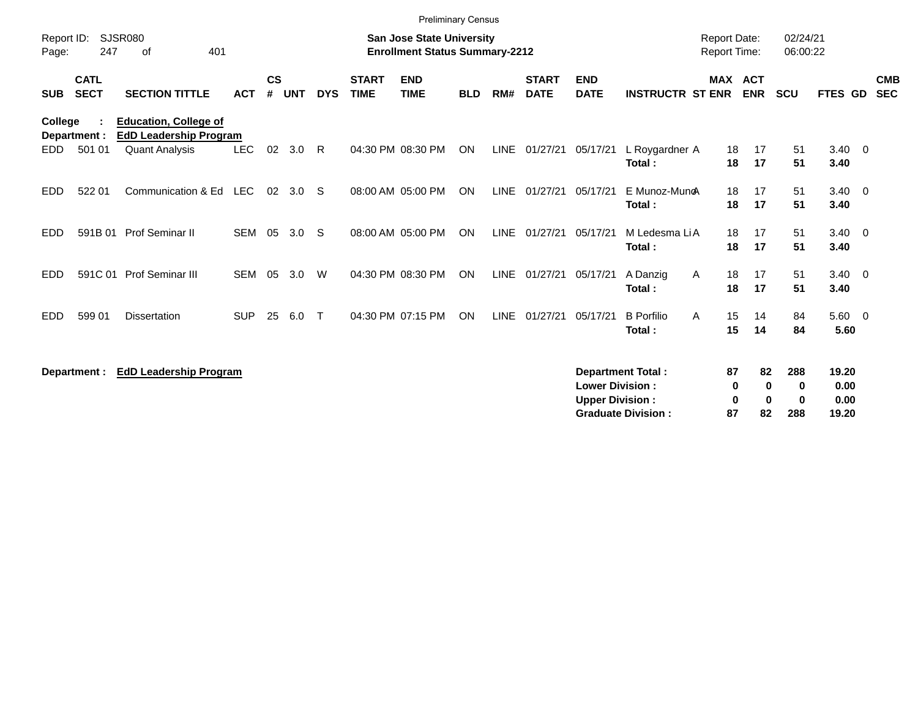|                     |                            |                                                               |            |                    |            |              |                             | <b>Preliminary Census</b>                                                 |            |             |                             |                                                  |                                                       |                                     |                           |                                       |                                |                          |
|---------------------|----------------------------|---------------------------------------------------------------|------------|--------------------|------------|--------------|-----------------------------|---------------------------------------------------------------------------|------------|-------------|-----------------------------|--------------------------------------------------|-------------------------------------------------------|-------------------------------------|---------------------------|---------------------------------------|--------------------------------|--------------------------|
| Report ID:<br>Page: | 247                        | <b>SJSR080</b><br>401<br>οf                                   |            |                    |            |              |                             | <b>San Jose State University</b><br><b>Enrollment Status Summary-2212</b> |            |             |                             |                                                  |                                                       | <b>Report Date:</b><br>Report Time: |                           | 02/24/21<br>06:00:22                  |                                |                          |
| <b>SUB</b>          | <b>CATL</b><br><b>SECT</b> | <b>SECTION TITTLE</b>                                         | <b>ACT</b> | $\mathsf{cs}$<br># | <b>UNT</b> | <b>DYS</b>   | <b>START</b><br><b>TIME</b> | <b>END</b><br><b>TIME</b>                                                 | <b>BLD</b> | RM#         | <b>START</b><br><b>DATE</b> | <b>END</b><br><b>DATE</b>                        | <b>INSTRUCTR ST ENR</b>                               |                                     | MAX ACT<br><b>ENR</b>     | <b>SCU</b>                            | <b>FTES GD</b>                 | <b>CMB</b><br><b>SEC</b> |
| College             | Department :               | <b>Education, College of</b><br><b>EdD Leadership Program</b> |            |                    |            |              |                             |                                                                           |            |             |                             |                                                  |                                                       |                                     |                           |                                       |                                |                          |
| EDD.                | 501 01                     | <b>Quant Analysis</b>                                         | <b>LEC</b> | 02                 | 3.0        | R.           |                             | 04:30 PM 08:30 PM                                                         | ON         |             | LINE 01/27/21               | 05/17/21                                         | L Roygardner A<br>Total:                              | 18<br>18                            | 17<br>17                  | 51<br>51                              | $3.40 \ 0$<br>3.40             |                          |
| <b>EDD</b>          | 522 01                     | Communication & Ed LEC                                        |            | 02                 | 3.0        | -S           |                             | 08:00 AM 05:00 PM                                                         | <b>ON</b>  |             | LINE 01/27/21               | 05/17/21                                         | E Munoz-MuncA<br>Total:                               | 18<br>18                            | 17<br>17                  | 51<br>51                              | $3.40 \ 0$<br>3.40             |                          |
| <b>EDD</b>          | 591B 01                    | Prof Seminar II                                               | <b>SEM</b> | 05                 | 3.0        | -S           |                             | 08:00 AM 05:00 PM                                                         | <b>ON</b>  |             | LINE 01/27/21               | 05/17/21                                         | M Ledesma LiA<br>Total:                               | 18<br>18                            | 17<br>17                  | 51<br>51                              | $3.40 \quad 0$<br>3.40         |                          |
| EDD                 | 591C 01                    | Prof Seminar III                                              | <b>SEM</b> | 05                 | 3.0        | W            |                             | 04:30 PM 08:30 PM                                                         | <b>ON</b>  | <b>LINE</b> | 01/27/21                    | 05/17/21                                         | A Danzig<br>Total:                                    | 18<br>A<br>18                       | 17<br>17                  | 51<br>51                              | $3.40 \ 0$<br>3.40             |                          |
| <b>EDD</b>          | 599 01                     | <b>Dissertation</b>                                           | <b>SUP</b> | 25                 | 6.0        | $\mathsf{T}$ |                             | 04:30 PM 07:15 PM                                                         | ON         | <b>LINE</b> | 01/27/21                    | 05/17/21                                         | <b>B</b> Porfilio<br>Total:                           | 15<br>A<br>15                       | 14<br>14                  | 84<br>84                              | $5.60 \quad 0$<br>5.60         |                          |
|                     | Department :               | <b>EdD Leadership Program</b>                                 |            |                    |            |              |                             |                                                                           |            |             |                             | <b>Lower Division:</b><br><b>Upper Division:</b> | <b>Department Total:</b><br><b>Graduate Division:</b> | 87<br>0<br>0<br>87                  | 82<br>0<br>$\bf{0}$<br>82 | 288<br>$\bf{0}$<br>$\mathbf 0$<br>288 | 19.20<br>0.00<br>0.00<br>19.20 |                          |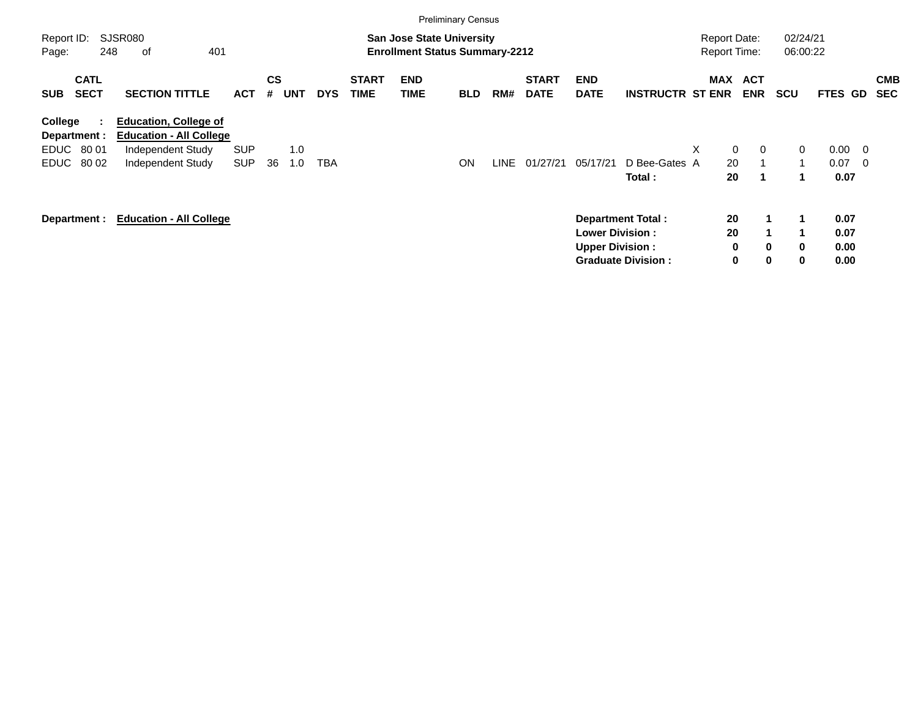|                                                |                            |                                                                                                          |                          |                    |            |            |                             | <b>Preliminary Census</b>                                                 |            |             |                             |                                                  |                                                       |     |                                            |                           |                      |                              |                                                     |                          |
|------------------------------------------------|----------------------------|----------------------------------------------------------------------------------------------------------|--------------------------|--------------------|------------|------------|-----------------------------|---------------------------------------------------------------------------|------------|-------------|-----------------------------|--------------------------------------------------|-------------------------------------------------------|-----|--------------------------------------------|---------------------------|----------------------|------------------------------|-----------------------------------------------------|--------------------------|
| Report ID:<br>Page:                            | 248                        | SJSR080<br>401<br>оf                                                                                     |                          |                    |            |            |                             | <b>San Jose State University</b><br><b>Enrollment Status Summary-2212</b> |            |             |                             |                                                  |                                                       |     | <b>Report Date:</b><br><b>Report Time:</b> |                           | 02/24/21<br>06:00:22 |                              |                                                     |                          |
| <b>SUB</b>                                     | <b>CATL</b><br><b>SECT</b> | <b>SECTION TITTLE</b>                                                                                    | <b>ACT</b>               | $\mathsf{cs}$<br># | <b>UNT</b> | <b>DYS</b> | <b>START</b><br><b>TIME</b> | <b>END</b><br><b>TIME</b>                                                 | <b>BLD</b> | RM#         | <b>START</b><br><b>DATE</b> | <b>END</b><br><b>DATE</b>                        | <b>INSTRUCTR ST ENR</b>                               | MAX | <b>ACT</b>                                 | <b>ENR</b>                | <b>SCU</b>           | FTES GD                      |                                                     | <b>CMB</b><br><b>SEC</b> |
| College<br>Department :<br>EDUC<br><b>EDUC</b> | ÷.<br>80 01<br>80 02       | <b>Education, College of</b><br><b>Education - All College</b><br>Independent Study<br>Independent Study | <b>SUP</b><br><b>SUP</b> | 36                 | 1.0<br>1.0 | TBA        |                             |                                                                           | <b>ON</b>  | <b>LINE</b> | 01/27/21                    | 05/17/21                                         | D Bee-Gates A<br>Total:                               | X   | $\mathbf 0$<br>20<br>20                    | $\overline{0}$<br>1       | 0<br>$\mathbf{1}$    | 0.00<br>0.07<br>0.07         | $\overline{\phantom{0}}$<br>$\overline{\mathbf{0}}$ |                          |
| Department :                                   |                            | <b>Education - All College</b>                                                                           |                          |                    |            |            |                             |                                                                           |            |             |                             | <b>Lower Division:</b><br><b>Upper Division:</b> | <b>Department Total:</b><br><b>Graduate Division:</b> |     | 20<br>20<br>0<br>0                         | 1<br>$\bf{0}$<br>$\bf{0}$ | 1<br>0<br>0          | 0.07<br>0.07<br>0.00<br>0.00 |                                                     |                          |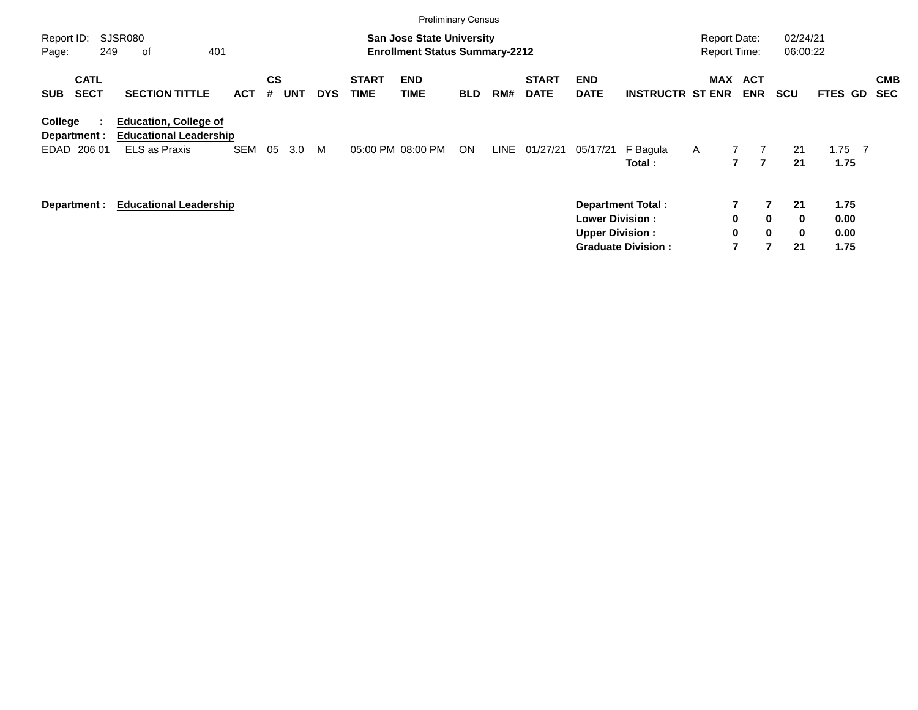|                                          |                                                                                       |            |         |                          |                             | <b>Preliminary Census</b>                                                 |            |      |                             |                                                   |                                                       |                                            |                                                                  |                           |                                |                          |
|------------------------------------------|---------------------------------------------------------------------------------------|------------|---------|--------------------------|-----------------------------|---------------------------------------------------------------------------|------------|------|-----------------------------|---------------------------------------------------|-------------------------------------------------------|--------------------------------------------|------------------------------------------------------------------|---------------------------|--------------------------------|--------------------------|
| Report ID:<br>249<br>Page:               | SJSR080<br>401<br>οf                                                                  |            |         |                          |                             | <b>San Jose State University</b><br><b>Enrollment Status Summary-2212</b> |            |      |                             |                                                   |                                                       | <b>Report Date:</b><br><b>Report Time:</b> |                                                                  | 02/24/21<br>06:00:22      |                                |                          |
| <b>CATL</b><br><b>SECT</b><br><b>SUB</b> | <b>SECTION TITTLE</b>                                                                 | <b>ACT</b> | CS<br># | <b>UNT</b><br><b>DYS</b> | <b>START</b><br><b>TIME</b> | <b>END</b><br>TIME                                                        | <b>BLD</b> | RM#  | <b>START</b><br><b>DATE</b> | <b>END</b><br><b>DATE</b>                         | <b>INSTRUCTR ST ENR</b>                               | MAX                                        | <b>ACT</b><br><b>ENR</b>                                         | <b>SCU</b>                | <b>FTES GD</b>                 | <b>CMB</b><br><b>SEC</b> |
| College<br>Department :<br>EDAD 206 01   | <b>Education, College of</b><br><b>Educational Leadership</b><br><b>ELS as Praxis</b> | <b>SEM</b> | 05      | M<br>3.0                 |                             | 05:00 PM 08:00 PM                                                         | <b>ON</b>  | LINE | 01/27/21                    | 05/17/21                                          | F Bagula<br>Total:                                    | $\mathsf{A}$                               | $\mathbf{7}$<br>7                                                | 21<br>21                  | 1.75<br>$\overline{7}$<br>1.75 |                          |
| Department :                             | <b>Educational Leadership</b>                                                         |            |         |                          |                             |                                                                           |            |      |                             | <b>Lower Division :</b><br><b>Upper Division:</b> | <b>Department Total:</b><br><b>Graduate Division:</b> |                                            | $\overline{7}$<br>0<br>$\mathbf 0$<br>0<br>$\mathbf 0$<br>7<br>7 | 21<br>$\bf{0}$<br>0<br>21 | 1.75<br>0.00<br>0.00<br>1.75   |                          |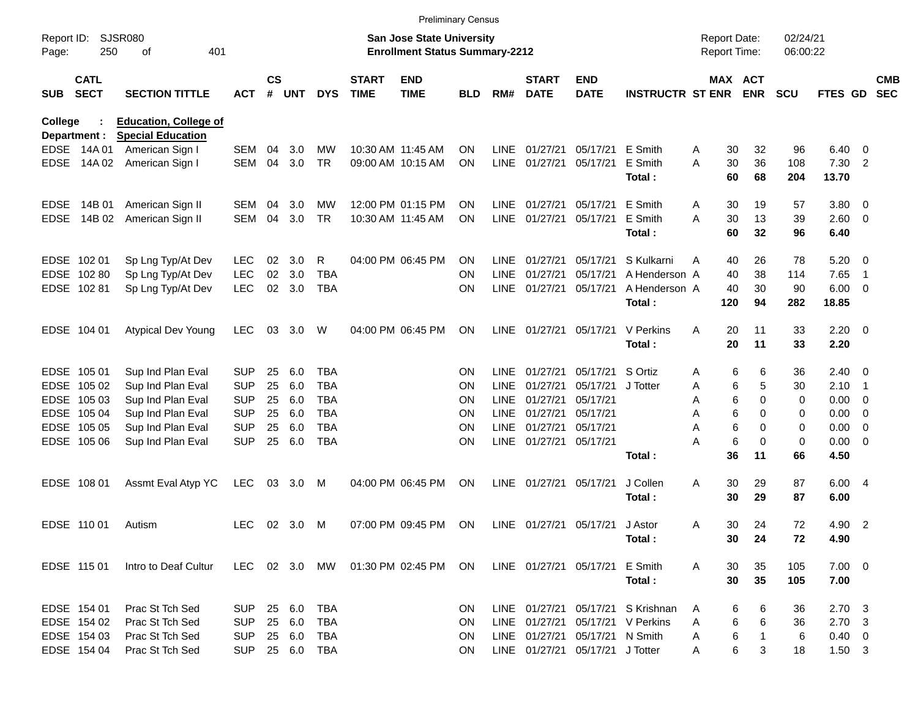|                     |                            |                                                          |            |                    |            |            |                             | <b>Preliminary Census</b>                                                 |            |             |                             |                                 |                         |   |         |                                     |                      |                |                          |                          |
|---------------------|----------------------------|----------------------------------------------------------|------------|--------------------|------------|------------|-----------------------------|---------------------------------------------------------------------------|------------|-------------|-----------------------------|---------------------------------|-------------------------|---|---------|-------------------------------------|----------------------|----------------|--------------------------|--------------------------|
| Report ID:<br>Page: | 250                        | <b>SJSR080</b><br>401<br>οf                              |            |                    |            |            |                             | <b>San Jose State University</b><br><b>Enrollment Status Summary-2212</b> |            |             |                             |                                 |                         |   |         | <b>Report Date:</b><br>Report Time: | 02/24/21<br>06:00:22 |                |                          |                          |
| <b>SUB</b>          | <b>CATL</b><br><b>SECT</b> | <b>SECTION TITTLE</b>                                    | <b>ACT</b> | $\mathsf{cs}$<br># | <b>UNT</b> | <b>DYS</b> | <b>START</b><br><b>TIME</b> | <b>END</b><br><b>TIME</b>                                                 | <b>BLD</b> | RM#         | <b>START</b><br><b>DATE</b> | <b>END</b><br><b>DATE</b>       | <b>INSTRUCTR ST ENR</b> |   |         | MAX ACT<br><b>ENR</b>               | <b>SCU</b>           | FTES GD        |                          | <b>CMB</b><br><b>SEC</b> |
| <b>College</b>      | Department :               | <b>Education, College of</b><br><b>Special Education</b> |            |                    |            |            |                             |                                                                           |            |             |                             |                                 |                         |   |         |                                     |                      |                |                          |                          |
|                     | EDSE 14A 01                | American Sign I                                          | SEM        | 04                 | 3.0        | MW         |                             | 10:30 AM 11:45 AM                                                         | <b>ON</b>  | LINE        | 01/27/21                    | 05/17/21                        | E Smith                 | A | 30      | 32                                  | 96                   | $6.40 \quad 0$ |                          |                          |
| <b>EDSE</b>         | 14A 02                     | American Sign I                                          | <b>SEM</b> | 04                 | 3.0        | <b>TR</b>  |                             | 09:00 AM 10:15 AM                                                         | <b>ON</b>  | <b>LINE</b> | 01/27/21                    | 05/17/21                        | E Smith                 | Α | 30      | 36                                  | 108                  | 7.30           | $\overline{2}$           |                          |
|                     |                            |                                                          |            |                    |            |            |                             |                                                                           |            |             |                             |                                 | Total:                  |   | 60      | 68                                  | 204                  | 13.70          |                          |                          |
| <b>EDSE</b>         | 14B 01                     | American Sign II                                         | <b>SEM</b> | 04                 | 3.0        | MW         |                             | 12:00 PM 01:15 PM                                                         | <b>ON</b>  | <b>LINE</b> | 01/27/21                    | 05/17/21                        | E Smith                 | A | 30      | 19                                  | 57                   | 3.80 0         |                          |                          |
| <b>EDSE</b>         | 14B 02                     | American Sign II                                         | <b>SEM</b> | 04                 | 3.0        | <b>TR</b>  |                             | 10:30 AM 11:45 AM                                                         | <b>ON</b>  | LINE        | 01/27/21                    | 05/17/21                        | E Smith                 | Α | 30      | 13                                  | 39                   | $2.60 \t 0$    |                          |                          |
|                     |                            |                                                          |            |                    |            |            |                             |                                                                           |            |             |                             |                                 | Total:                  |   | 60      | 32                                  | 96                   | 6.40           |                          |                          |
|                     | EDSE 102 01                | Sp Lng Typ/At Dev                                        | <b>LEC</b> | 02                 | 3.0        | R          |                             | 04:00 PM 06:45 PM                                                         | <b>ON</b>  | <b>LINE</b> | 01/27/21                    | 05/17/21                        | S Kulkarni              | A | 40      | 26                                  | 78                   | 5.20           | $\overline{\mathbf{0}}$  |                          |
|                     | EDSE 102 80                | Sp Lng Typ/At Dev                                        | <b>LEC</b> | 02                 | 3.0        | <b>TBA</b> |                             |                                                                           | <b>ON</b>  | <b>LINE</b> | 01/27/21                    | 05/17/21                        | A Henderson A           |   | 40      | 38                                  | 114                  | 7.65           | $\overline{1}$           |                          |
|                     | EDSE 102 81                | Sp Lng Typ/At Dev                                        | <b>LEC</b> | 02                 | 3.0        | <b>TBA</b> |                             |                                                                           | <b>ON</b>  | LINE        | 01/27/21                    | 05/17/21                        | A Henderson A           |   | 40      | 30                                  | 90                   | $6.00 \quad 0$ |                          |                          |
|                     |                            |                                                          |            |                    |            |            |                             |                                                                           |            |             |                             |                                 | Total:                  |   | 120     | 94                                  | 282                  | 18.85          |                          |                          |
|                     | EDSE 104 01                | <b>Atypical Dev Young</b>                                | <b>LEC</b> | 03                 | 3.0        | W          |                             | 04:00 PM 06:45 PM                                                         | <b>ON</b>  |             | LINE 01/27/21               | 05/17/21                        | V Perkins               | A | 20      | 11                                  | 33                   | $2.20 \t 0$    |                          |                          |
|                     |                            |                                                          |            |                    |            |            |                             |                                                                           |            |             |                             |                                 | Total:                  |   | 20      | 11                                  | 33                   | 2.20           |                          |                          |
|                     | EDSE 105 01                | Sup Ind Plan Eval                                        | <b>SUP</b> | 25                 | 6.0        | <b>TBA</b> |                             |                                                                           | <b>ON</b>  | <b>LINE</b> | 01/27/21                    | 05/17/21                        | S Ortiz                 | Α | 6       | 6                                   | 36                   | $2.40 \ 0$     |                          |                          |
|                     | EDSE 105 02                | Sup Ind Plan Eval                                        | <b>SUP</b> | 25                 | 6.0        | <b>TBA</b> |                             |                                                                           | <b>ON</b>  | LINE        | 01/27/21                    | 05/17/21                        | J Totter                | A | 6       | 5                                   | 30                   | 2.10           | $\overline{\phantom{1}}$ |                          |
|                     | EDSE 105 03                | Sup Ind Plan Eval                                        | <b>SUP</b> | 25                 | 6.0        | <b>TBA</b> |                             |                                                                           | <b>ON</b>  | <b>LINE</b> | 01/27/21                    | 05/17/21                        |                         | Α | 6       | 0                                   | 0                    | 0.00           | $\overline{\phantom{0}}$ |                          |
|                     | EDSE 105 04                | Sup Ind Plan Eval                                        | <b>SUP</b> | 25                 | 6.0        | <b>TBA</b> |                             |                                                                           | <b>ON</b>  | LINE        | 01/27/21                    | 05/17/21                        |                         | A | 6       | 0                                   | 0                    | 0.00           | $\overline{\mathbf{0}}$  |                          |
|                     | EDSE 105 05                | Sup Ind Plan Eval                                        | <b>SUP</b> | 25                 | 6.0        | <b>TBA</b> |                             |                                                                           | <b>ON</b>  | <b>LINE</b> | 01/27/21                    | 05/17/21                        |                         | Α | 6       | 0                                   | 0                    | 0.00           | $\overline{\mathbf{0}}$  |                          |
|                     | EDSE 105 06                | Sup Ind Plan Eval                                        | <b>SUP</b> | 25                 | 6.0        | <b>TBA</b> |                             |                                                                           | <b>ON</b>  |             | LINE 01/27/21               | 05/17/21                        | Total:                  | Α | 6<br>36 | 0<br>11                             | 0<br>66              | 0.00<br>4.50   | $\overline{\phantom{0}}$ |                          |
|                     |                            |                                                          |            |                    |            |            |                             |                                                                           |            |             |                             |                                 |                         |   |         |                                     |                      |                |                          |                          |
|                     | EDSE 108 01                | Assmt Eval Atyp YC                                       | <b>LEC</b> | 03                 | 3.0        | M          |                             | 04:00 PM 06:45 PM                                                         | ON         | <b>LINE</b> | 01/27/21                    | 05/17/21                        | J Collen                | A | 30      | 29                                  | 87                   | 6.00 4         |                          |                          |
|                     |                            |                                                          |            |                    |            |            |                             |                                                                           |            |             |                             |                                 | Total:                  |   | 30      | 29                                  | 87                   | 6.00           |                          |                          |
|                     | EDSE 110 01                | Autism                                                   | <b>LEC</b> |                    | 02 3.0     | M          |                             | 07:00 PM 09:45 PM                                                         | ON         |             | LINE 01/27/21               | 05/17/21                        | J Astor                 | A | 30      | 24                                  | 72                   | 4.90 2         |                          |                          |
|                     |                            |                                                          |            |                    |            |            |                             |                                                                           |            |             |                             |                                 | Total:                  |   | 30      | 24                                  | 72                   | 4.90           |                          |                          |
|                     | EDSE 115 01                | Intro to Deaf Cultur                                     | LEC        |                    | 02 3.0     | MW         |                             | 01:30 PM 02:45 PM                                                         | <b>ON</b>  |             |                             | LINE 01/27/21 05/17/21          | E Smith                 | A | 30      | 35                                  | 105                  | $7.00 \t 0$    |                          |                          |
|                     |                            |                                                          |            |                    |            |            |                             |                                                                           |            |             |                             |                                 | Total:                  |   | 30      | 35                                  | 105                  | 7.00           |                          |                          |
|                     | EDSE 154 01                | Prac St Tch Sed                                          | <b>SUP</b> |                    | 25 6.0     | <b>TBA</b> |                             |                                                                           | <b>ON</b>  |             |                             | LINE 01/27/21 05/17/21          | S Krishnan              | A | 6       | 6                                   | 36                   | $2.70 \quad 3$ |                          |                          |
|                     | EDSE 154 02                | Prac St Tch Sed                                          | <b>SUP</b> |                    | 25 6.0     | <b>TBA</b> |                             |                                                                           | ON         |             | LINE 01/27/21               | 05/17/21                        | V Perkins               | Α | 6       | 6                                   | 36                   | $2.70 \quad 3$ |                          |                          |
|                     | EDSE 154 03                | Prac St Tch Sed                                          | <b>SUP</b> |                    | 25 6.0     | <b>TBA</b> |                             |                                                                           | ON         |             | LINE 01/27/21 05/17/21      |                                 | N Smith                 | Α | 6       | 1                                   | 6                    | $0.40 \quad 0$ |                          |                          |
|                     | EDSE 154 04                | Prac St Tch Sed                                          | <b>SUP</b> |                    | 25 6.0     | <b>TBA</b> |                             |                                                                           | <b>ON</b>  |             |                             | LINE 01/27/21 05/17/21 J Totter |                         | A | 6       | 3                                   | 18                   | $1.50 \t3$     |                          |                          |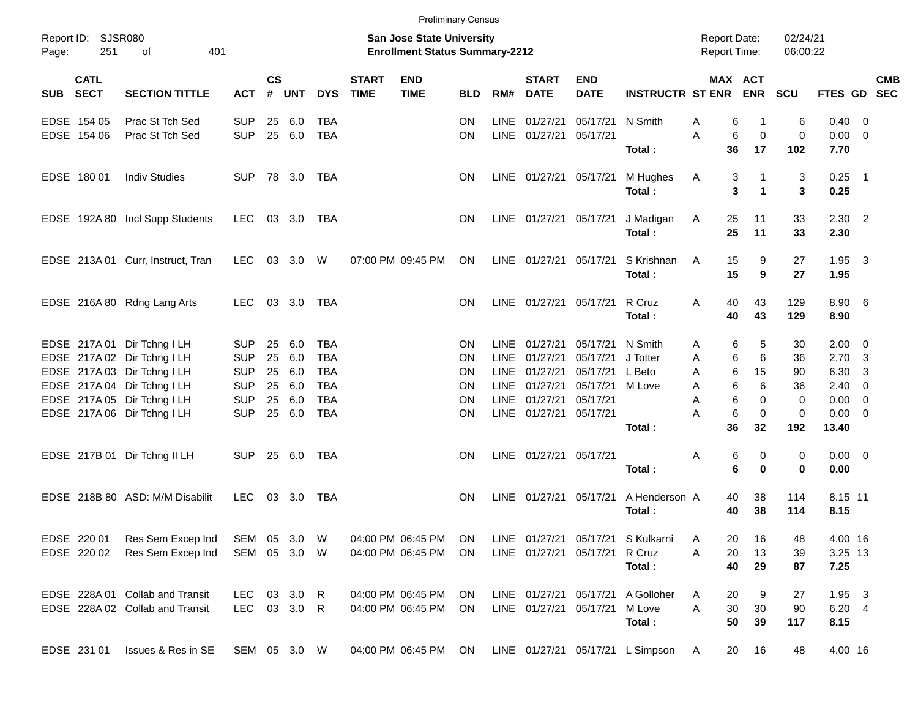|            |                            |                                            |              |                    |            |            |                             |                                                                           | <b>Preliminary Census</b> |             |                             |                               |                                                        |                                     |                   |                      |                     |                         |            |
|------------|----------------------------|--------------------------------------------|--------------|--------------------|------------|------------|-----------------------------|---------------------------------------------------------------------------|---------------------------|-------------|-----------------------------|-------------------------------|--------------------------------------------------------|-------------------------------------|-------------------|----------------------|---------------------|-------------------------|------------|
| Page:      | Report ID: SJSR080<br>251  | of<br>401                                  |              |                    |            |            |                             | <b>San Jose State University</b><br><b>Enrollment Status Summary-2212</b> |                           |             |                             |                               |                                                        | <b>Report Date:</b><br>Report Time: |                   | 02/24/21<br>06:00:22 |                     |                         |            |
| <b>SUB</b> | <b>CATL</b><br><b>SECT</b> | <b>SECTION TITTLE</b>                      | <b>ACT</b>   | $\mathsf{cs}$<br># | <b>UNT</b> | <b>DYS</b> | <b>START</b><br><b>TIME</b> | <b>END</b><br><b>TIME</b>                                                 | <b>BLD</b>                | RM#         | <b>START</b><br><b>DATE</b> | <b>END</b><br><b>DATE</b>     | <b>INSTRUCTR ST ENR</b>                                | MAX ACT                             | <b>ENR</b>        | <b>SCU</b>           | FTES GD SEC         |                         | <b>CMB</b> |
|            | EDSE 154 05                | Prac St Tch Sed                            | <b>SUP</b>   | 25                 | 6.0        | <b>TBA</b> |                             |                                                                           | <b>ON</b>                 | <b>LINE</b> | 01/27/21                    | 05/17/21                      | N Smith                                                | 6<br>Α                              | 1                 | 6                    | $0.40 \ 0$          |                         |            |
|            | EDSE 154 06                | Prac St Tch Sed                            | <b>SUP</b>   |                    | 25 6.0     | <b>TBA</b> |                             |                                                                           | <b>ON</b>                 |             | LINE 01/27/21 05/17/21      |                               | Total:                                                 | A<br>6<br>36                        | $\mathbf 0$<br>17 | 0<br>102             | $0.00 \t 0$<br>7.70 |                         |            |
|            |                            |                                            |              |                    |            |            |                             |                                                                           |                           |             |                             |                               |                                                        |                                     |                   |                      |                     |                         |            |
|            | EDSE 180 01                | <b>Indiv Studies</b>                       | <b>SUP</b>   |                    | 78 3.0     | TBA        |                             |                                                                           | <b>ON</b>                 |             |                             | LINE 01/27/21 05/17/21        | M Hughes                                               | A<br>3<br>3                         | 1<br>1            | 3<br>3               | $0.25$ 1<br>0.25    |                         |            |
|            |                            |                                            |              |                    |            |            |                             |                                                                           |                           |             |                             |                               | Total:                                                 |                                     |                   |                      |                     |                         |            |
|            |                            | EDSE 192A 80 Incl Supp Students            | LEC.         |                    | 03 3.0     | TBA        |                             |                                                                           | <b>ON</b>                 |             |                             | LINE 01/27/21 05/17/21        | J Madigan                                              | A<br>25                             | 11                | 33                   | $2.30$ 2            |                         |            |
|            |                            |                                            |              |                    |            |            |                             |                                                                           |                           |             |                             |                               | Total:                                                 | 25                                  | 11                | 33                   | 2.30                |                         |            |
|            |                            | EDSE 213A 01 Curr, Instruct, Tran          | LEC.         |                    | 03 3.0     | W          |                             | 07:00 PM 09:45 PM                                                         | ON                        |             | LINE 01/27/21 05/17/21      |                               | S Krishnan                                             | 15<br>A                             | 9                 | 27                   | 1.95                | $\overline{\mathbf{3}}$ |            |
|            |                            |                                            |              |                    |            |            |                             |                                                                           |                           |             |                             |                               | Total:                                                 | 15                                  | 9                 | 27                   | 1.95                |                         |            |
|            |                            | EDSE 216A 80 Rdng Lang Arts                | LEC.         |                    | 03 3.0     | TBA        |                             |                                                                           | <b>ON</b>                 |             |                             | LINE 01/27/21 05/17/21        | R Cruz                                                 | A<br>40                             | 43                | 129                  | 8.90 6              |                         |            |
|            |                            |                                            |              |                    |            |            |                             |                                                                           |                           |             |                             |                               | Total:                                                 | 40                                  | 43                | 129                  | 8.90                |                         |            |
|            |                            | EDSE 217A 01 Dir Tchng I LH                | <b>SUP</b>   | 25                 | 6.0        | TBA        |                             |                                                                           | <b>ON</b>                 | LINE        | 01/27/21                    | 05/17/21                      | N Smith                                                | 6<br>Α                              | 5                 | 30                   | $2.00 \t 0$         |                         |            |
|            |                            | EDSE 217A 02 Dir Tchng I LH                | <b>SUP</b>   | 25                 | 6.0        | <b>TBA</b> |                             |                                                                           | <b>ON</b>                 | <b>LINE</b> | 01/27/21                    | 05/17/21                      | J Totter                                               | 6<br>A                              | 6                 | 36                   | $2.70 \quad 3$      |                         |            |
|            |                            | EDSE 217A 03 Dir Tchng I LH                | <b>SUP</b>   | 25                 | 6.0        | <b>TBA</b> |                             |                                                                           | <b>ON</b>                 | <b>LINE</b> | 01/27/21                    | 05/17/21                      | L Beto                                                 | A<br>6                              | 15                | 90                   | 6.30                | -3                      |            |
|            |                            | EDSE 217A 04 Dir Tchng I LH                | <b>SUP</b>   | 25                 | 6.0        | <b>TBA</b> |                             |                                                                           | ΟN                        | <b>LINE</b> | 01/27/21                    | 05/17/21                      | M Love                                                 | 6<br>A                              | 6                 | 36                   | $2.40 \ 0$          |                         |            |
|            |                            | EDSE 217A 05 Dir Tchng I LH                | <b>SUP</b>   | 25                 | 6.0        | <b>TBA</b> |                             |                                                                           | ON                        | LINE        | 01/27/21                    | 05/17/21                      |                                                        | 6<br>A                              | 0                 | 0                    | $0.00 \t 0$         |                         |            |
|            |                            | EDSE 217A 06 Dir Tchng I LH                | <b>SUP</b>   | 25                 | 6.0        | <b>TBA</b> |                             |                                                                           | ON                        |             | LINE 01/27/21 05/17/21      |                               |                                                        | 6<br>A                              | $\mathbf 0$       | 0                    | $0.00 \t 0$         |                         |            |
|            |                            |                                            |              |                    |            |            |                             |                                                                           |                           |             |                             |                               | Total:                                                 | 36                                  | 32                | 192                  | 13.40               |                         |            |
|            |                            | EDSE 217B 01 Dir Tchng II LH               | <b>SUP</b>   |                    | 25 6.0     | TBA        |                             |                                                                           | <b>ON</b>                 |             | LINE 01/27/21 05/17/21      |                               |                                                        | Α<br>6                              | 0                 | 0                    | $0.00 \t 0$         |                         |            |
|            |                            |                                            |              |                    |            |            |                             |                                                                           |                           |             |                             |                               | Total:                                                 | 6                                   | $\bf{0}$          | 0                    | 0.00                |                         |            |
|            |                            | EDSE 218B 80 ASD: M/M Disabilit            | LEC.         |                    | 03 3.0     | TBA        |                             |                                                                           | <b>ON</b>                 |             | LINE 01/27/21 05/17/21      |                               | A Henderson A                                          | 40                                  | 38                | 114                  | 8.15 11             |                         |            |
|            |                            |                                            |              |                    |            |            |                             |                                                                           |                           |             |                             |                               | Total:                                                 | 40                                  | 38                | 114                  | 8.15                |                         |            |
|            |                            | EDSE 220 01 Res Sem Excep Ind SEM 05 3.0 W |              |                    |            |            |                             |                                                                           |                           |             |                             |                               | 04:00 PM 06:45 PM ON LINE 01/27/21 05/17/21 S Kulkarni | 20<br>A                             | 16                | 48                   | 4.00 16             |                         |            |
|            | EDSE 220 02                | Res Sem Excep Ind                          | SEM 05 3.0 W |                    |            |            |                             | 04:00 PM 06:45 PM                                                         | ON.                       |             |                             | LINE 01/27/21 05/17/21 R Cruz |                                                        | A<br>20                             | 13                | 39                   | 3.25 13             |                         |            |
|            |                            |                                            |              |                    |            |            |                             |                                                                           |                           |             |                             |                               | Total:                                                 | 40                                  | 29                | 87                   | 7.25                |                         |            |
|            |                            | EDSE 228A 01 Collab and Transit            | LEC 03 3.0 R |                    |            |            |                             | 04:00 PM 06:45 PM                                                         | ON.                       |             |                             |                               | LINE 01/27/21 05/17/21 A Golloher                      | A<br>20                             | 9                 | 27                   | $1.95 \quad 3$      |                         |            |
|            |                            | EDSE 228A 02 Collab and Transit            | LEC 03 3.0 R |                    |            |            |                             | 04:00 PM 06:45 PM                                                         | ON                        |             |                             | LINE 01/27/21 05/17/21 M Love |                                                        | A<br>30                             | 30                | 90                   | 6.20 4              |                         |            |
|            |                            |                                            |              |                    |            |            |                             |                                                                           |                           |             |                             |                               | Total:                                                 | 50                                  | 39                | 117                  | 8.15                |                         |            |
|            | EDSE 231 01                | Issues & Res in SE                         | SEM 05 3.0 W |                    |            |            |                             | 04:00 PM 06:45 PM                                                         | ON                        |             |                             |                               | LINE 01/27/21 05/17/21 L Simpson                       | $\mathsf{A}$<br>20                  | 16                | 48                   | 4.00 16             |                         |            |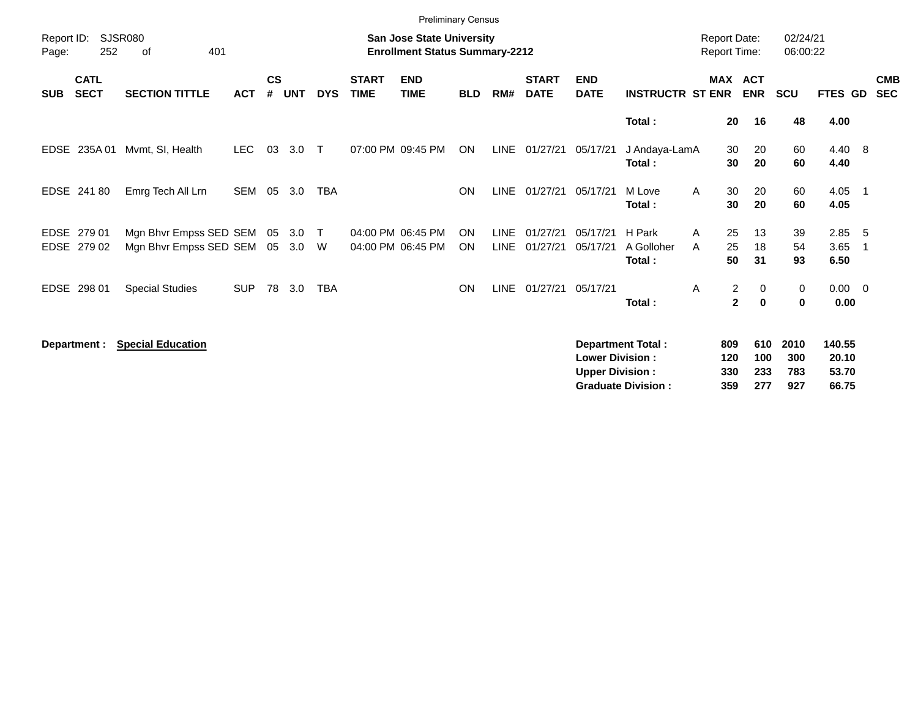|                            |                            |                                                  |            |                    |            |             |                             | <b>Preliminary Census</b>                                          |            |                            |                             |                                                  |                                                       |                                     |                          |                           |                                   |                          |
|----------------------------|----------------------------|--------------------------------------------------|------------|--------------------|------------|-------------|-----------------------------|--------------------------------------------------------------------|------------|----------------------------|-----------------------------|--------------------------------------------------|-------------------------------------------------------|-------------------------------------|--------------------------|---------------------------|-----------------------------------|--------------------------|
| Report ID:<br>Page:        | 252                        | <b>SJSR080</b><br>401<br>of                      |            |                    |            |             |                             | San Jose State University<br><b>Enrollment Status Summary-2212</b> |            |                            |                             |                                                  |                                                       | <b>Report Date:</b><br>Report Time: |                          | 02/24/21<br>06:00:22      |                                   |                          |
| <b>SUB</b>                 | <b>CATL</b><br><b>SECT</b> | <b>SECTION TITTLE</b>                            | <b>ACT</b> | $\mathsf{cs}$<br># | <b>UNT</b> | <b>DYS</b>  | <b>START</b><br><b>TIME</b> | <b>END</b><br><b>TIME</b>                                          | <b>BLD</b> | RM#                        | <b>START</b><br><b>DATE</b> | <b>END</b><br><b>DATE</b>                        | <b>INSTRUCTR ST ENR</b>                               | MAX ACT                             | <b>ENR</b>               | <b>SCU</b>                | FTES GD                           | <b>CMB</b><br><b>SEC</b> |
|                            |                            |                                                  |            |                    |            |             |                             |                                                                    |            |                            |                             |                                                  | Total:                                                | 20                                  | 16                       | 48                        | 4.00                              |                          |
| <b>EDSE</b>                |                            | 235A 01 Mvmt, SI, Health                         | <b>LEC</b> | 03                 | 3.0        | $\top$      |                             | 07:00 PM 09:45 PM                                                  | ON         | LINE                       | 01/27/21                    | 05/17/21                                         | J Andaya-LamA<br>Total:                               | 30<br>30                            | 20<br>20                 | 60<br>60                  | 4.40 8<br>4.40                    |                          |
|                            | EDSE 241 80                | Emrg Tech All Lrn                                | SEM        |                    | 05 3.0     | TBA         |                             |                                                                    | <b>ON</b>  | <b>LINE</b>                | 01/27/21                    | 05/17/21                                         | M Love<br>Total:                                      | 30<br>A<br>30                       | 20<br>20                 | 60<br>60                  | $4.05$ 1<br>4.05                  |                          |
| <b>EDSE</b><br><b>EDSE</b> | 279 01<br>279 02           | Mgn Bhvr Empss SED SEM<br>Mgn Bhyr Empss SED SEM |            | 05<br>05           | 3.0<br>3.0 | $\top$<br>W |                             | 04:00 PM 06:45 PM<br>04:00 PM 06:45 PM                             | ON<br>ON   | <b>LINE</b><br><b>LINE</b> | 01/27/21<br>01/27/21        | 05/17/21<br>05/17/21                             | H Park<br>A Golloher<br>Total:                        | 25<br>A<br>25<br>A<br>50            | 13<br>18<br>31           | 39<br>54<br>93            | $2.85$ 5<br>3.65<br>6.50          | - 1                      |
|                            | EDSE 298 01                | <b>Special Studies</b>                           | <b>SUP</b> | 78                 | 3.0        | <b>TBA</b>  |                             |                                                                    | ON         | <b>LINE</b>                | 01/27/21                    | 05/17/21                                         | Total:                                                | 2<br>Α<br>$\mathbf{2}$              | 0<br>0                   | 0<br>$\mathbf 0$          | $0.00 \t 0$<br>0.00               |                          |
|                            | Department :               | <b>Special Education</b>                         |            |                    |            |             |                             |                                                                    |            |                            |                             | <b>Lower Division:</b><br><b>Upper Division:</b> | <b>Department Total:</b><br><b>Graduate Division:</b> | 809<br>120<br>330<br>359            | 610<br>100<br>233<br>277 | 2010<br>300<br>783<br>927 | 140.55<br>20.10<br>53.70<br>66.75 |                          |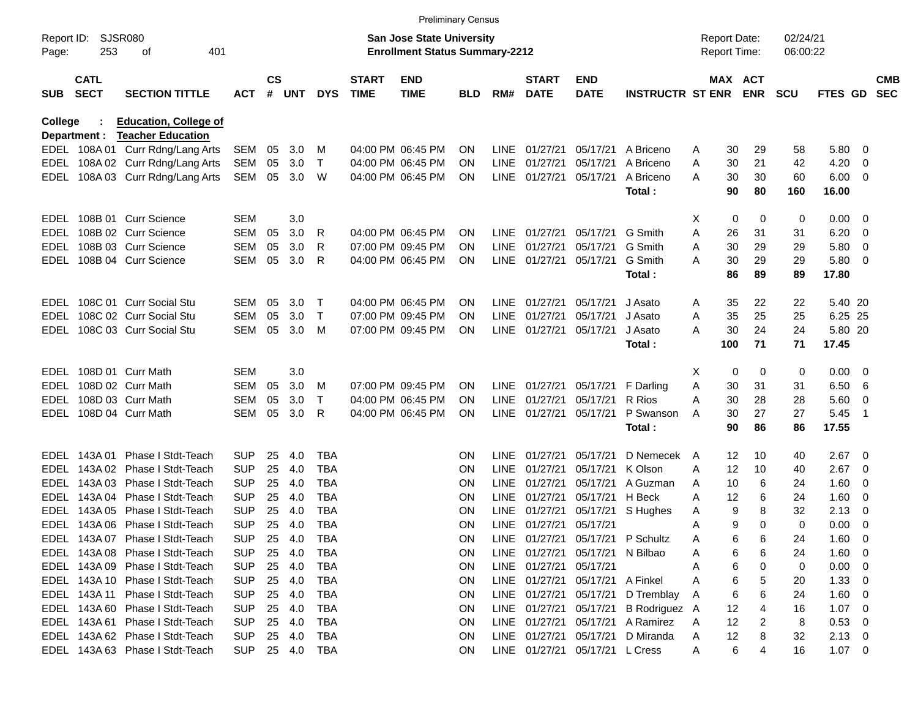|                     |                            |                                  |            |           |        |             |                             | <b>Preliminary Census</b>                                                 |            |             |                             |                                |                                  |   |                                            |            |                      |             |                         |                          |
|---------------------|----------------------------|----------------------------------|------------|-----------|--------|-------------|-----------------------------|---------------------------------------------------------------------------|------------|-------------|-----------------------------|--------------------------------|----------------------------------|---|--------------------------------------------|------------|----------------------|-------------|-------------------------|--------------------------|
| Report ID:<br>Page: | 253                        | SJSR080<br>οf<br>401             |            |           |        |             |                             | <b>San Jose State University</b><br><b>Enrollment Status Summary-2212</b> |            |             |                             |                                |                                  |   | <b>Report Date:</b><br><b>Report Time:</b> |            | 02/24/21<br>06:00:22 |             |                         |                          |
| <b>SUB</b>          | <b>CATL</b><br><b>SECT</b> | <b>SECTION TITTLE</b>            | <b>ACT</b> | <b>CS</b> | # UNT  | <b>DYS</b>  | <b>START</b><br><b>TIME</b> | <b>END</b><br><b>TIME</b>                                                 | <b>BLD</b> | RM#         | <b>START</b><br><b>DATE</b> | <b>END</b><br><b>DATE</b>      | <b>INSTRUCTR ST ENR</b>          |   | MAX ACT                                    | <b>ENR</b> | <b>SCU</b>           | FTES GD     |                         | <b>CMB</b><br><b>SEC</b> |
| College             |                            | <b>Education, College of</b>     |            |           |        |             |                             |                                                                           |            |             |                             |                                |                                  |   |                                            |            |                      |             |                         |                          |
|                     | Department :               | <b>Teacher Education</b>         |            |           |        |             |                             |                                                                           |            |             |                             |                                |                                  |   |                                            |            |                      |             |                         |                          |
|                     |                            | EDEL 108A 01 Curr Rdng/Lang Arts | SEM        | 05        | 3.0    | м           |                             | 04:00 PM 06:45 PM                                                         | ON         | LINE        | 01/27/21                    | 05/17/21                       | A Briceno                        | A | 30                                         | 29         | 58                   | 5.80        | - 0                     |                          |
| EDEL                |                            | 108A 02 Curr Rdng/Lang Arts      | SEM        | 05        | 3.0    | Τ           |                             | 04:00 PM 06:45 PM                                                         | ON         | <b>LINE</b> | 01/27/21                    | 05/17/21                       | A Briceno                        | A | 30                                         | 21         | 42                   | 4.20        | 0                       |                          |
| EDEL                |                            | 108A 03 Curr Rdng/Lang Arts      | SEM        | 05        | 3.0    | W           |                             | 04:00 PM 06:45 PM                                                         | <b>ON</b>  |             | LINE 01/27/21               | 05/17/21                       | A Briceno                        | A | 30                                         | 30         | 60                   | 6.00        | $\overline{\mathbf{0}}$ |                          |
|                     |                            |                                  |            |           |        |             |                             |                                                                           |            |             |                             |                                | Total:                           |   | 90                                         | 80         | 160                  | 16.00       |                         |                          |
| EDEL                |                            | 108B 01 Curr Science             | SEM        |           | 3.0    |             |                             |                                                                           |            |             |                             |                                |                                  | X | 0                                          | 0          | 0                    | 0.00        | - 0                     |                          |
| EDEL                |                            | 108B 02 Curr Science             | SEM        | 05        | 3.0    | R           |                             | 04:00 PM 06:45 PM                                                         | ΟN         | LINE        | 01/27/21                    | 05/17/21                       | G Smith                          | A | 26                                         | 31         | 31                   | 6.20        | - 0                     |                          |
| EDEL                |                            | 108B 03 Curr Science             | SEM        | 05        | 3.0    | R           |                             | 07:00 PM 09:45 PM                                                         | ON         | LINE        | 01/27/21                    | 05/17/21                       | G Smith                          | A | 30                                         | 29         | 29                   | 5.80        | 0                       |                          |
| EDEL                |                            | 108B 04 Curr Science             | SEM        | 05        | 3.0    | R           |                             | 04:00 PM 06:45 PM                                                         | ON         |             | LINE 01/27/21               | 05/17/21                       | G Smith                          | A | 30                                         | 29         | 29                   | 5.80        | - 0                     |                          |
|                     |                            |                                  |            |           |        |             |                             |                                                                           |            |             |                             |                                | Total:                           |   | 86                                         | 89         | 89                   | 17.80       |                         |                          |
| EDEL                |                            | 108C 01 Curr Social Stu          | SEM        | 05        | 3.0    | $\top$      |                             | 04:00 PM 06:45 PM                                                         | ON         |             | LINE 01/27/21               | 05/17/21                       | J Asato                          | A | 35                                         | 22         | 22                   | 5.40 20     |                         |                          |
| EDEL                |                            | 108C 02 Curr Social Stu          | SEM        | 05        | 3.0    | $\mathsf T$ |                             | 07:00 PM 09:45 PM                                                         | ON         | <b>LINE</b> | 01/27/21                    | 05/17/21                       | J Asato                          | A | 35                                         | 25         | 25                   | 6.25 25     |                         |                          |
| EDEL                |                            | 108C 03 Curr Social Stu          | SEM        | 05        | 3.0    | м           |                             | 07:00 PM 09:45 PM                                                         | ON.        |             | LINE 01/27/21               | 05/17/21                       | J Asato                          | A | 30                                         | 24         | 24                   | 5.80 20     |                         |                          |
|                     |                            |                                  |            |           |        |             |                             |                                                                           |            |             |                             |                                | Total:                           |   | 100                                        | 71         | 71                   | 17.45       |                         |                          |
| EDEL                |                            | 108D 01 Curr Math                | <b>SEM</b> |           | 3.0    |             |                             |                                                                           |            |             |                             |                                |                                  | X | 0                                          | 0          | 0                    | 0.00        | - 0                     |                          |
| EDEL                |                            | 108D 02 Curr Math                | SEM        | 05        | 3.0    | м           |                             | 07:00 PM 09:45 PM                                                         | <b>ON</b>  |             | LINE 01/27/21               | 05/17/21                       | F Darling                        | Α | 30                                         | 31         | 31                   | 6.50        | -6                      |                          |
| EDEL                |                            | 108D 03 Curr Math                | SEM        | 05        | 3.0    | Т           |                             | 04:00 PM 06:45 PM                                                         | ON         | LINE        | 01/27/21                    | 05/17/21                       | R Rios                           | Α | 30                                         | 28         | 28                   | 5.60        | 0                       |                          |
| EDEL                |                            | 108D 04 Curr Math                | SEM        | 05        | 3.0    | R           |                             | 04:00 PM 06:45 PM                                                         | ΟN         |             | LINE 01/27/21               | 05/17/21                       | P Swanson                        | A | 30                                         | 27         | 27                   | 5.45        | $\overline{1}$          |                          |
|                     |                            |                                  |            |           |        |             |                             |                                                                           |            |             |                             |                                | Total:                           |   | 90                                         | 86         | 86                   | 17.55       |                         |                          |
| EDEL                | 143A 01                    | Phase I Stdt-Teach               | <b>SUP</b> | 25        | 4.0    | TBA         |                             |                                                                           | ON         | <b>LINE</b> | 01/27/21                    | 05/17/21                       | D Nemecek                        | A | 12                                         | 10         | 40                   | 2.67        | - 0                     |                          |
| EDEL                |                            | 143A 02 Phase I Stdt-Teach       | <b>SUP</b> | 25        | 4.0    | <b>TBA</b>  |                             |                                                                           | ΟN         | <b>LINE</b> | 01/27/21                    | 05/17/21                       | K Olson                          | A | 12                                         | 10         | 40                   | 2.67        | - 0                     |                          |
| EDEL                | 143A 03                    | Phase I Stdt-Teach               | <b>SUP</b> | 25        | 4.0    | <b>TBA</b>  |                             |                                                                           | ΟN         | <b>LINE</b> | 01/27/21                    | 05/17/21                       | A Guzman                         | A | 10                                         | 6          | 24                   | 1.60        | 0                       |                          |
| EDEL                |                            | 143A 04 Phase I Stdt-Teach       | <b>SUP</b> | 25        | 4.0    | <b>TBA</b>  |                             |                                                                           | ΟN         | <b>LINE</b> | 01/27/21                    | 05/17/21                       | H Beck                           | A | 12                                         | 6          | 24                   | 1.60        | 0                       |                          |
| EDEL                | 143A 05                    | Phase I Stdt-Teach               | <b>SUP</b> | 25        | 4.0    | <b>TBA</b>  |                             |                                                                           | ΟN         | <b>LINE</b> | 01/27/21                    | 05/17/21                       | S Hughes                         | A | 9                                          | 8          | 32                   | 2.13        | 0                       |                          |
| EDEL                |                            | 143A 06 Phase I Stdt-Teach       | <b>SUP</b> | 25        | 4.0    | <b>TBA</b>  |                             |                                                                           | ΟN         |             | LINE 01/27/21               | 05/17/21                       |                                  | A | 9                                          | 0          | $\Omega$             | 0.00        | 0                       |                          |
|                     |                            | EDEL 143A 07 Phase I Stdt-Teach  | <b>SUP</b> | 25        | 4.0    | TBA         |                             |                                                                           | <b>ON</b>  |             |                             |                                | LINE 01/27/21 05/17/21 P Schultz | A | 6                                          | 6          | 24                   | 1.60        | $\overline{\mathbf{0}}$ |                          |
|                     |                            | EDEL 143A 08 Phase I Stdt-Teach  | <b>SUP</b> | 25        | 4.0    | TBA         |                             |                                                                           | 0N         |             |                             | LINE 01/27/21 05/17/21         | N Bilbao                         | Α | 6                                          | 6          | 24                   | $1.60 \ 0$  |                         |                          |
|                     |                            | EDEL 143A 09 Phase I Stdt-Teach  | SUP        | 25        | 4.0    | TBA         |                             |                                                                           | ON.        |             | LINE 01/27/21 05/17/21      |                                |                                  | Α | 6                                          | 0          | 0                    | $0.00 \t 0$ |                         |                          |
|                     |                            | EDEL 143A 10 Phase I Stdt-Teach  | <b>SUP</b> | 25        | 4.0    | TBA         |                             |                                                                           | ON.        |             |                             | LINE 01/27/21 05/17/21         | A Finkel                         | Α | 6                                          | 5          | 20                   | $1.33 \ 0$  |                         |                          |
|                     |                            | EDEL 143A 11 Phase I Stdt-Teach  | <b>SUP</b> | 25        | 4.0    | TBA         |                             |                                                                           | ON.        |             |                             | LINE 01/27/21 05/17/21         | D Tremblay                       | A | 6                                          | 6          | 24                   | $1.60 \ 0$  |                         |                          |
|                     |                            | EDEL 143A 60 Phase I Stdt-Teach  | <b>SUP</b> | 25        | 4.0    | TBA         |                             |                                                                           | ON.        |             |                             | LINE 01/27/21 05/17/21         | B Rodriguez A                    |   | 12                                         |            | 16                   | $1.07 \ 0$  |                         |                          |
|                     |                            | EDEL 143A 61 Phase I Stdt-Teach  | <b>SUP</b> | 25        | 4.0    | TBA         |                             |                                                                           | ON.        |             |                             | LINE 01/27/21 05/17/21         | A Ramirez                        | A | 12                                         | 2          | 8                    | 0.53 0      |                         |                          |
|                     |                            | EDEL 143A 62 Phase I Stdt-Teach  | <b>SUP</b> | 25        | 4.0    | TBA         |                             |                                                                           | ON.        |             |                             | LINE 01/27/21 05/17/21         | D Miranda                        | A | 12                                         | 8          | 32                   | $2.13 \t 0$ |                         |                          |
|                     |                            | EDEL 143A 63 Phase I Stdt-Teach  | SUP        |           | 25 4.0 | TBA         |                             |                                                                           | ON.        |             |                             | LINE 01/27/21 05/17/21 L Cress |                                  | A | 6                                          | 4          | 16                   | $1.07 \t 0$ |                         |                          |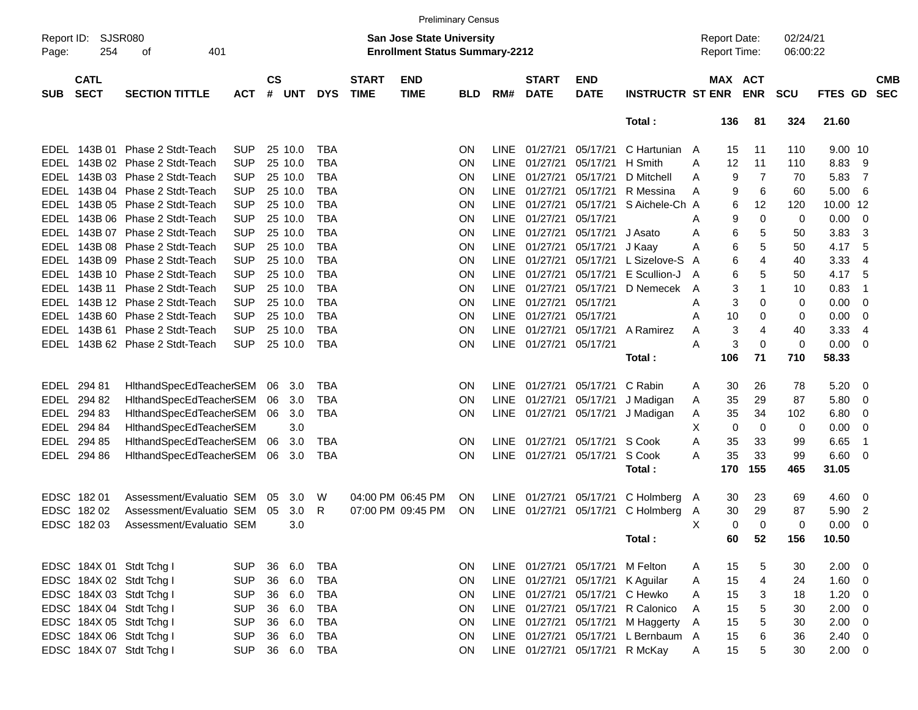|                     |                            |                                 |            |                    |            |            |                             |                                                                           | <b>Preliminary Census</b> |             |                             |                                 |                                |   |                                     |                |                      |                |                         |                          |
|---------------------|----------------------------|---------------------------------|------------|--------------------|------------|------------|-----------------------------|---------------------------------------------------------------------------|---------------------------|-------------|-----------------------------|---------------------------------|--------------------------------|---|-------------------------------------|----------------|----------------------|----------------|-------------------------|--------------------------|
| Report ID:<br>Page: | SJSR080<br>254             | 401<br>оf                       |            |                    |            |            |                             | <b>San Jose State University</b><br><b>Enrollment Status Summary-2212</b> |                           |             |                             |                                 |                                |   | <b>Report Date:</b><br>Report Time: |                | 02/24/21<br>06:00:22 |                |                         |                          |
| <b>SUB</b>          | <b>CATL</b><br><b>SECT</b> | <b>SECTION TITTLE</b>           | <b>ACT</b> | $\mathsf{cs}$<br># | <b>UNT</b> | <b>DYS</b> | <b>START</b><br><b>TIME</b> | <b>END</b><br><b>TIME</b>                                                 | <b>BLD</b>                | RM#         | <b>START</b><br><b>DATE</b> | <b>END</b><br><b>DATE</b>       | <b>INSTRUCTR ST ENR</b>        |   | MAX ACT                             | <b>ENR</b>     | <b>SCU</b>           | <b>FTES GD</b> |                         | <b>CMB</b><br><b>SEC</b> |
|                     |                            |                                 |            |                    |            |            |                             |                                                                           |                           |             |                             |                                 | Total:                         |   | 136                                 | 81             | 324                  | 21.60          |                         |                          |
| EDEL                | 143B 01                    | Phase 2 Stdt-Teach              | <b>SUP</b> |                    | 25 10.0    | <b>TBA</b> |                             |                                                                           | <b>ON</b>                 | LINE        | 01/27/21                    | 05/17/21                        | C Hartunian                    | A | 15                                  | 11             | 110                  | 9.00 10        |                         |                          |
|                     |                            | EDEL 143B 02 Phase 2 Stdt-Teach | <b>SUP</b> |                    | 25 10.0    | <b>TBA</b> |                             |                                                                           | ON                        | <b>LINE</b> | 01/27/21                    | 05/17/21                        | H Smith                        | Α | 12                                  | 11             | 110                  | 8.83           | - 9                     |                          |
| EDEL                |                            | 143B 03 Phase 2 Stdt-Teach      | <b>SUP</b> |                    | 25 10.0    | <b>TBA</b> |                             |                                                                           | ON                        | <b>LINE</b> | 01/27/21                    | 05/17/21                        | D Mitchell                     | Α | 9                                   | 7              | 70                   | 5.83           | $\overline{7}$          |                          |
| EDEL                |                            | 143B 04 Phase 2 Stdt-Teach      | <b>SUP</b> |                    | 25 10.0    | <b>TBA</b> |                             |                                                                           | ON                        | <b>LINE</b> | 01/27/21                    | 05/17/21                        | R Messina                      | Α | 9                                   | 6              | 60                   | 5.00           | 6                       |                          |
| EDEL                |                            | 143B 05 Phase 2 Stdt-Teach      | <b>SUP</b> |                    | 25 10.0    | <b>TBA</b> |                             |                                                                           | ON                        | <b>LINE</b> | 01/27/21                    | 05/17/21                        | S Aichele-Ch A                 |   | 6                                   | 12             | 120                  | 10.00 12       |                         |                          |
| EDEL                |                            | 143B 06 Phase 2 Stdt-Teach      | <b>SUP</b> |                    | 25 10.0    | <b>TBA</b> |                             |                                                                           | ON                        | <b>LINE</b> | 01/27/21                    | 05/17/21                        |                                | Α | 9                                   | 0              | 0                    | 0.00           | $\overline{\mathbf{0}}$ |                          |
| EDEL                |                            | 143B 07 Phase 2 Stdt-Teach      | <b>SUP</b> |                    | 25 10.0    | <b>TBA</b> |                             |                                                                           | ON                        | <b>LINE</b> | 01/27/21                    | 05/17/21                        | J Asato                        | Α | 6                                   | 5              | 50                   | 3.83           | 3                       |                          |
| EDEL                |                            | 143B 08 Phase 2 Stdt-Teach      | <b>SUP</b> |                    | 25 10.0    | <b>TBA</b> |                             |                                                                           | ON                        | <b>LINE</b> | 01/27/21                    | 05/17/21                        | J Kaay                         | Α | 6                                   | 5              | 50                   | 4.17           | -5                      |                          |
| EDEL                |                            | 143B 09 Phase 2 Stdt-Teach      | <b>SUP</b> |                    | 25 10.0    | <b>TBA</b> |                             |                                                                           | ON                        | <b>LINE</b> | 01/27/21                    | 05/17/21                        | L Sizelove-S                   | A | 6                                   | 4              | 40                   | 3.33           | 4                       |                          |
| EDEL                |                            | 143B 10 Phase 2 Stdt-Teach      | <b>SUP</b> |                    | 25 10.0    | <b>TBA</b> |                             |                                                                           | ON                        | <b>LINE</b> | 01/27/21                    | 05/17/21                        | E Scullion-J                   | A | 6                                   | 5              | 50                   | 4.17           | 5                       |                          |
| EDEL                | 143B 11                    | Phase 2 Stdt-Teach              | <b>SUP</b> |                    | 25 10.0    | <b>TBA</b> |                             |                                                                           | ON                        | <b>LINE</b> | 01/27/21                    | 05/17/21                        | D Nemecek                      | A | 3                                   | 1              | 10                   | 0.83           | -1                      |                          |
| EDEL                |                            | 143B 12 Phase 2 Stdt-Teach      | <b>SUP</b> |                    | 25 10.0    | <b>TBA</b> |                             |                                                                           | ON                        | <b>LINE</b> | 01/27/21                    | 05/17/21                        |                                |   |                                     | 0              |                      |                | 0                       |                          |
|                     |                            |                                 |            |                    | 25 10.0    | <b>TBA</b> |                             |                                                                           |                           |             |                             | 05/17/21                        |                                | Α | 3                                   |                | 0                    | 0.00           |                         |                          |
| EDEL                |                            | 143B 60 Phase 2 Stdt-Teach      | <b>SUP</b> |                    |            |            |                             |                                                                           | ON                        | <b>LINE</b> | 01/27/21                    |                                 |                                | Α | 10                                  | 0              | 0                    | 0.00           | 0                       |                          |
| EDEL                | 143B 61                    | Phase 2 Stdt-Teach              | <b>SUP</b> |                    | 25 10.0    | <b>TBA</b> |                             |                                                                           | ON                        | <b>LINE</b> | 01/27/21                    | 05/17/21                        | A Ramirez                      | Α | 3                                   | 4              | 40                   | 3.33           | $\overline{4}$          |                          |
|                     |                            | EDEL 143B 62 Phase 2 Stdt-Teach | <b>SUP</b> |                    | 25 10.0    | <b>TBA</b> |                             |                                                                           | <b>ON</b>                 |             | LINE 01/27/21               | 05/17/21                        |                                | А | 3                                   | 0              | 0                    | 0.00           | 0                       |                          |
|                     |                            |                                 |            |                    |            |            |                             |                                                                           |                           |             |                             |                                 | Total:                         |   | 106                                 | 71             | 710                  | 58.33          |                         |                          |
| EDEL                | 294 81                     | <b>HithandSpecEdTeacherSEM</b>  |            | 06                 | 3.0        | <b>TBA</b> |                             |                                                                           | ON                        | <b>LINE</b> | 01/27/21                    | 05/17/21                        | C Rabin                        | A | 30                                  | 26             | 78                   | 5.20           | $\overline{\mathbf{0}}$ |                          |
| EDEL                | 294 82                     | <b>HithandSpecEdTeacherSEM</b>  |            | 06                 | 3.0        | <b>TBA</b> |                             |                                                                           | ON                        | <b>LINE</b> | 01/27/21                    | 05/17/21                        | J Madigan                      | A | 35                                  | 29             | 87                   | 5.80           | $\overline{0}$          |                          |
| <b>EDEL</b>         | 294 83                     | <b>HithandSpecEdTeacherSEM</b>  |            | 06                 | 3.0        | <b>TBA</b> |                             |                                                                           | ON                        | LINE        | 01/27/21                    | 05/17/21                        | J Madigan                      | A | 35                                  | 34             | 102                  | 6.80           | $\overline{0}$          |                          |
| EDEL                | 294 84                     | HithandSpecEdTeacherSEM         |            |                    | 3.0        |            |                             |                                                                           |                           |             |                             |                                 |                                | Χ | 0                                   | 0              | 0                    | 0.00           | 0                       |                          |
| EDEL                | 294 85                     | HithandSpecEdTeacherSEM         |            | 06                 | 3.0        | TBA        |                             |                                                                           | ON                        | LINE.       | 01/27/21                    | 05/17/21                        | S Cook                         | Α | 35                                  | 33             | 99                   | 6.65           | -1                      |                          |
| EDEL                | 294 86                     | HithandSpecEdTeacherSEM         |            | 06                 | 3.0        | <b>TBA</b> |                             |                                                                           | <b>ON</b>                 | LINE        | 01/27/21                    | 05/17/21                        | S Cook                         | Α | 35                                  | 33             | 99                   | 6.60           | $\overline{\mathbf{0}}$ |                          |
|                     |                            |                                 |            |                    |            |            |                             |                                                                           |                           |             |                             |                                 | Total:                         |   | 170                                 | 155            | 465                  | 31.05          |                         |                          |
|                     |                            |                                 |            |                    |            |            |                             |                                                                           |                           |             |                             |                                 |                                |   |                                     |                |                      |                |                         |                          |
| <b>EDSC</b>         | 182 01                     | Assessment/Evaluatio SEM        |            | 05                 | 3.0        | W          |                             | 04:00 PM 06:45 PM                                                         | <b>ON</b>                 | LINE        | 01/27/21                    | 05/17/21                        | C Holmberg A                   |   | 30                                  | 23             | 69                   | 4.60           | $\overline{\mathbf{0}}$ |                          |
| <b>EDSC</b>         | 18202                      | Assessment/Evaluatio SEM        |            | 05                 | 3.0        | R          |                             | 07:00 PM 09:45 PM                                                         | <b>ON</b>                 | LINE        | 01/27/21                    | 05/17/21                        | C Holmberg                     | A | 30                                  | 29             | 87                   | 5.90           | $\overline{2}$          |                          |
|                     | EDSC 182 03                | Assessment/Evaluatio SEM        |            |                    | 3.0        |            |                             |                                                                           |                           |             |                             |                                 |                                | Χ | 0                                   | $\Omega$       | 0                    | 0.00           | 0                       |                          |
|                     |                            |                                 |            |                    |            |            |                             |                                                                           |                           |             |                             |                                 | Total:                         |   | 60                                  | 52             | 156                  | 10.50          |                         |                          |
|                     |                            |                                 |            |                    |            |            |                             |                                                                           |                           |             |                             |                                 |                                |   |                                     |                |                      |                |                         |                          |
|                     |                            | EDSC 184X 01 Stdt Tchg I        | <b>SUP</b> |                    | 36 6.0     | <b>TBA</b> |                             |                                                                           | ON.                       |             |                             | LINE 01/27/21 05/17/21 M Felton |                                | A | 15                                  | 5              | 30                   | $2.00 \t 0$    |                         |                          |
|                     |                            | EDSC 184X 02 Stdt Tchg I        | <b>SUP</b> |                    | 36 6.0     | <b>TBA</b> |                             |                                                                           | ON                        |             |                             | LINE 01/27/21 05/17/21          | K Aguilar                      | A | 15                                  | $\overline{4}$ | 24                   | 1.60 0         |                         |                          |
|                     |                            | EDSC 184X 03 Stdt Tchg I        | <b>SUP</b> |                    | 36 6.0     | <b>TBA</b> |                             |                                                                           | ON                        |             |                             | LINE 01/27/21 05/17/21          | C Hewko                        | Α | 15                                  | 3              | 18                   | $1.20 \t 0$    |                         |                          |
|                     |                            | EDSC 184X 04 Stdt Tchg I        | <b>SUP</b> |                    | 36 6.0     | <b>TBA</b> |                             |                                                                           | ON                        |             |                             | LINE 01/27/21 05/17/21          | R Calonico                     | Α | 15                                  | $\mathbf 5$    | 30                   | $2.00 \t 0$    |                         |                          |
|                     |                            | EDSC 184X 05 Stdt Tchg I        | <b>SUP</b> |                    | 36 6.0     | <b>TBA</b> |                             |                                                                           | ON                        |             | LINE 01/27/21 05/17/21      |                                 | M Haggerty                     | A | 15                                  | 5              | 30                   | $2.00 \t 0$    |                         |                          |
|                     |                            | EDSC 184X 06 Stdt Tchg I        | <b>SUP</b> |                    | 36 6.0     | <b>TBA</b> |                             |                                                                           | ON                        |             |                             | LINE 01/27/21 05/17/21          | L Bernbaum A                   |   | 15                                  | 6              | 36                   | $2.40 \ 0$     |                         |                          |
|                     |                            | EDSC 184X 07 Stdt Tchg I        | <b>SUP</b> |                    | 36 6.0     | <b>TBA</b> |                             |                                                                           | ON                        |             |                             |                                 | LINE 01/27/21 05/17/21 R McKay | Α | 15                                  | 5              | 30                   | $2.00 \t 0$    |                         |                          |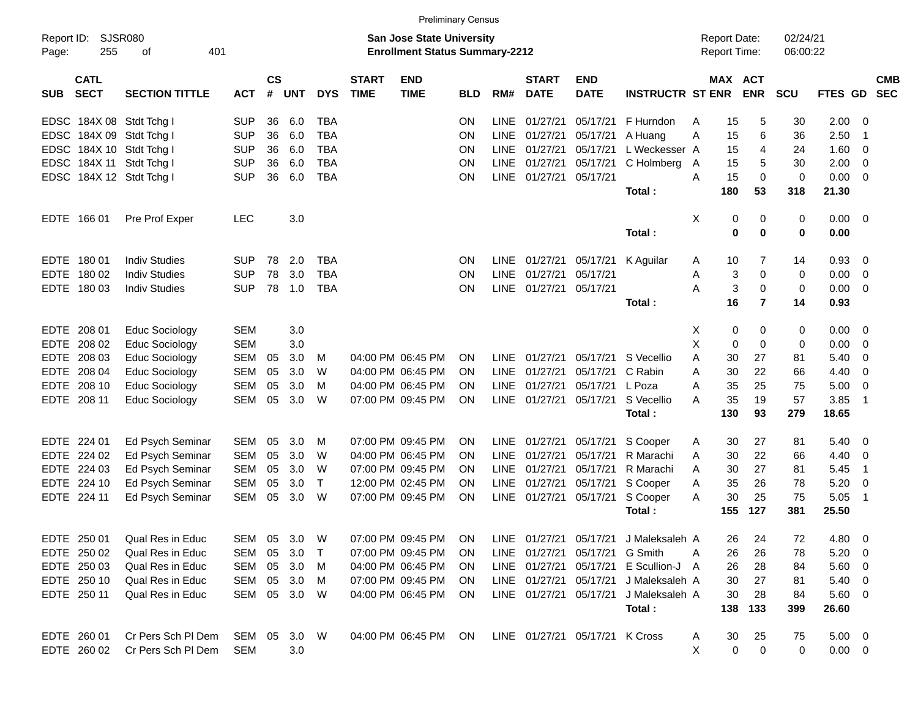|                     |                            |                          |            |                |              |              |                             |                                                                           | <b>Preliminary Census</b> |             |                             |                           |                                                            |   |                                            |                |                      |             |                          |                          |
|---------------------|----------------------------|--------------------------|------------|----------------|--------------|--------------|-----------------------------|---------------------------------------------------------------------------|---------------------------|-------------|-----------------------------|---------------------------|------------------------------------------------------------|---|--------------------------------------------|----------------|----------------------|-------------|--------------------------|--------------------------|
| Report ID:<br>Page: | 255                        | SJSR080<br>οf            | 401        |                |              |              |                             | <b>San Jose State University</b><br><b>Enrollment Status Summary-2212</b> |                           |             |                             |                           |                                                            |   | <b>Report Date:</b><br><b>Report Time:</b> |                | 02/24/21<br>06:00:22 |             |                          |                          |
| <b>SUB</b>          | <b>CATL</b><br><b>SECT</b> | <b>SECTION TITTLE</b>    | <b>ACT</b> | <b>CS</b><br># | <b>UNT</b>   | <b>DYS</b>   | <b>START</b><br><b>TIME</b> | <b>END</b><br><b>TIME</b>                                                 | <b>BLD</b>                | RM#         | <b>START</b><br><b>DATE</b> | <b>END</b><br><b>DATE</b> | <b>INSTRUCTR ST ENR</b>                                    |   | MAX ACT                                    | <b>ENR</b>     | <b>SCU</b>           | FTES GD     |                          | <b>CMB</b><br><b>SEC</b> |
|                     |                            | EDSC 184X 08 Stdt Tchg I | <b>SUP</b> | 36             | 6.0          | TBA          |                             |                                                                           | ΟN                        | LINE        | 01/27/21                    | 05/17/21                  | F Hurndon                                                  | A | 15                                         | 5              | 30                   | 2.00        | - 0                      |                          |
|                     |                            | EDSC 184X 09 Stdt Tchg I | <b>SUP</b> | 36             | 6.0          | <b>TBA</b>   |                             |                                                                           | ON                        | LINE        | 01/27/21                    | 05/17/21                  | A Huang                                                    | A | 15                                         | 6              | 36                   | 2.50        | $\overline{1}$           |                          |
|                     |                            | EDSC 184X 10 Stdt Tchg I | <b>SUP</b> | 36             | 6.0          | <b>TBA</b>   |                             |                                                                           | ON                        | LINE        | 01/27/21                    | 05/17/21                  | L Weckesser A                                              |   | 15                                         | 4              | 24                   | 1.60        | 0                        |                          |
|                     |                            | EDSC 184X 11 Stdt Tchg I | <b>SUP</b> | 36             | 6.0          | <b>TBA</b>   |                             |                                                                           | ON                        | LINE        | 01/27/21                    | 05/17/21                  | C Holmberg                                                 | A | 15                                         | 5              | 30                   | 2.00        | 0                        |                          |
|                     |                            | EDSC 184X 12 Stdt Tchg I | <b>SUP</b> | 36             | 6.0          | <b>TBA</b>   |                             |                                                                           | ON                        |             | LINE 01/27/21               | 05/17/21                  |                                                            | A | 15                                         | $\mathbf 0$    | $\mathbf 0$          | 0.00        | $\Omega$                 |                          |
|                     |                            |                          |            |                |              |              |                             |                                                                           |                           |             |                             |                           | Total:                                                     |   | 180                                        | 53             | 318                  | 21.30       |                          |                          |
|                     | EDTE 166 01                | Pre Prof Exper           | <b>LEC</b> |                | 3.0          |              |                             |                                                                           |                           |             |                             |                           |                                                            | X | 0                                          | 0              | 0                    | 0.00        | $\overline{\phantom{0}}$ |                          |
|                     |                            |                          |            |                |              |              |                             |                                                                           |                           |             |                             |                           | Total:                                                     |   | 0                                          | $\bf{0}$       | 0                    | 0.00        |                          |                          |
| <b>EDTE</b>         | 18001                      | <b>Indiv Studies</b>     | <b>SUP</b> | 78             | 2.0          | TBA          |                             |                                                                           | ON.                       | <b>LINE</b> | 01/27/21                    | 05/17/21                  | K Aguilar                                                  | A | 10                                         | 7              | 14                   | 0.93        | - 0                      |                          |
| <b>EDTE</b>         | 180 02                     | <b>Indiv Studies</b>     | <b>SUP</b> | 78             | 3.0          | <b>TBA</b>   |                             |                                                                           | ΟN                        | LINE        | 01/27/21                    | 05/17/21                  |                                                            | Α | 3                                          | $\mathbf 0$    | 0                    | 0.00        | - 0                      |                          |
|                     | EDTE 180 03                | <b>Indiv Studies</b>     | <b>SUP</b> | 78             | 1.0          | <b>TBA</b>   |                             |                                                                           | ON                        |             | LINE 01/27/21               | 05/17/21                  |                                                            | A | 3                                          | $\mathbf 0$    | $\mathbf 0$          | 0.00        | - 0                      |                          |
|                     |                            |                          |            |                |              |              |                             |                                                                           |                           |             |                             |                           | Total:                                                     |   | 16                                         | $\overline{7}$ | 14                   | 0.93        |                          |                          |
| <b>EDTE</b>         | 208 01                     | <b>Educ Sociology</b>    | <b>SEM</b> |                | 3.0          |              |                             |                                                                           |                           |             |                             |                           |                                                            | Χ | 0                                          | 0              | 0                    | 0.00        | - 0                      |                          |
| <b>EDTE</b>         | 208 02                     | Educ Sociology           | <b>SEM</b> |                | 3.0          |              |                             |                                                                           |                           |             |                             |                           |                                                            | X | 0                                          | $\mathbf 0$    | 0                    | 0.00        | 0                        |                          |
| <b>EDTE</b>         | 208 03                     | Educ Sociology           | <b>SEM</b> | 05             | 3.0          | M            |                             | 04:00 PM 06:45 PM                                                         | ON.                       | LINE        | 01/27/21                    | 05/17/21                  | S Vecellio                                                 | A | 30                                         | 27             | 81                   | 5.40        | 0                        |                          |
| <b>EDTE</b>         | 208 04                     | Educ Sociology           | <b>SEM</b> | 05             | 3.0          | W            |                             | 04:00 PM 06:45 PM                                                         | ON.                       | LINE        | 01/27/21                    | 05/17/21                  | C Rabin                                                    | A | 30                                         | 22             | 66                   | 4.40        | 0                        |                          |
| <b>EDTE</b>         | 208 10                     | Educ Sociology           | <b>SEM</b> | 05             | 3.0          | M            |                             | 04:00 PM 06:45 PM                                                         | ON.                       | LINE        | 01/27/21                    | 05/17/21                  | L Poza                                                     | A | 35                                         | 25             | 75                   | 5.00        | 0                        |                          |
|                     | EDTE 208 11                | <b>Educ Sociology</b>    | <b>SEM</b> | 05             | 3.0          | W            |                             | 07:00 PM 09:45 PM                                                         | <b>ON</b>                 |             | LINE 01/27/21               | 05/17/21                  | S Vecellio                                                 | A | 35                                         | 19             | 57                   | 3.85        | $\overline{1}$           |                          |
|                     |                            |                          |            |                |              |              |                             |                                                                           |                           |             |                             |                           | Total:                                                     |   | 130                                        | 93             | 279                  | 18.65       |                          |                          |
| <b>EDTE</b>         | 224 01                     | Ed Psych Seminar         | SEM        | 05             | 3.0          | M            |                             | 07:00 PM 09:45 PM                                                         | ON.                       | LINE        | 01/27/21                    | 05/17/21                  | S Cooper                                                   | A | 30                                         | 27             | 81                   | 5.40        | - 0                      |                          |
| <b>EDTE</b>         | 224 02                     | Ed Psych Seminar         | <b>SEM</b> | 05             | 3.0          | W            |                             | 04:00 PM 06:45 PM                                                         | ON.                       | LINE        | 01/27/21                    | 05/17/21                  | R Marachi                                                  | A | 30                                         | 22             | 66                   | 4.40        | 0                        |                          |
| <b>EDTE</b>         | 224 03                     | Ed Psych Seminar         | <b>SEM</b> | 05             | 3.0          | W            |                             | 07:00 PM 09:45 PM                                                         | ON.                       | LINE        | 01/27/21                    | 05/17/21                  | R Marachi                                                  | A | 30                                         | 27             | 81                   | 5.45        | $\overline{1}$           |                          |
| <b>EDTE</b>         | 224 10                     | Ed Psych Seminar         | <b>SEM</b> | 05             | 3.0          | $\mathsf{T}$ |                             | 12:00 PM 02:45 PM                                                         | ΟN                        | LINE        | 01/27/21                    | 05/17/21                  | S Cooper                                                   | A | 35                                         | 26             | 78                   | 5.20        | 0                        |                          |
|                     | EDTE 224 11                | Ed Psych Seminar         | <b>SEM</b> | 05             | 3.0          | W            |                             | 07:00 PM 09:45 PM                                                         | <b>ON</b>                 |             | LINE 01/27/21               | 05/17/21                  | S Cooper                                                   | A | 30                                         | 25             | 75                   | 5.05        | $\overline{1}$           |                          |
|                     |                            |                          |            |                |              |              |                             |                                                                           |                           |             |                             |                           | Total:                                                     |   | 155                                        | 127            | 381                  | 25.50       |                          |                          |
|                     | EDTE 250 01                | Qual Res in Educ         |            |                |              | SEM 05 3.0 W |                             |                                                                           |                           |             |                             |                           | 07:00 PM 09:45 PM ON LINE 01/27/21 05/17/21 J Maleksaleh A |   | 26                                         | 24             | 72                   | 4.80        | $\overline{\mathbf{0}}$  |                          |
|                     | EDTE 250 02                | Qual Res in Educ         |            | SEM 05         | 3.0          | $\top$       |                             | 07:00 PM 09:45 PM                                                         | <b>ON</b>                 |             | LINE 01/27/21 05/17/21      |                           | G Smith                                                    | A | 26                                         | 26             | 78                   | 5.20        | - 0                      |                          |
|                     | EDTE 250 03                | Qual Res in Educ         |            |                | SEM 05 3.0   | M            |                             | 04:00 PM 06:45 PM                                                         | <b>ON</b>                 |             | LINE 01/27/21 05/17/21      |                           | E Scullion-J A                                             |   | 26                                         | 28             | 84                   | 5.60        | - 0                      |                          |
|                     | EDTE 250 10                | Qual Res in Educ         | SEM        |                | 05 3.0       | M            |                             | 07:00 PM 09:45 PM                                                         | <b>ON</b>                 |             | LINE 01/27/21 05/17/21      |                           | J Maleksaleh A                                             |   | 30                                         | 27             | 81                   | 5.40        | - 0                      |                          |
|                     | EDTE 250 11                | Qual Res in Educ         |            |                | SEM 05 3.0   | W            |                             | 04:00 PM 06:45 PM                                                         | ON.                       |             | LINE 01/27/21 05/17/21      |                           | J Maleksaleh A                                             |   | 30                                         | 28             | 84                   | 5.60        | - 0                      |                          |
|                     |                            |                          |            |                |              |              |                             |                                                                           |                           |             |                             |                           | Total:                                                     |   | 138                                        | 133            | 399                  | 26.60       |                          |                          |
|                     | EDTE 260 01                | Cr Pers Sch Pl Dem       |            |                | SEM 05 3.0 W |              |                             | 04:00 PM 06:45 PM ON                                                      |                           |             |                             | LINE 01/27/21 05/17/21    | K Cross                                                    | A | 30                                         | 25             | 75                   | $5.00 \t 0$ |                          |                          |
|                     | EDTE 260 02                | Cr Pers Sch PI Dem       | <b>SEM</b> |                | 3.0          |              |                             |                                                                           |                           |             |                             |                           |                                                            | X | $\mathbf 0$                                | $\pmb{0}$      | 0                    | $0.00 \t 0$ |                          |                          |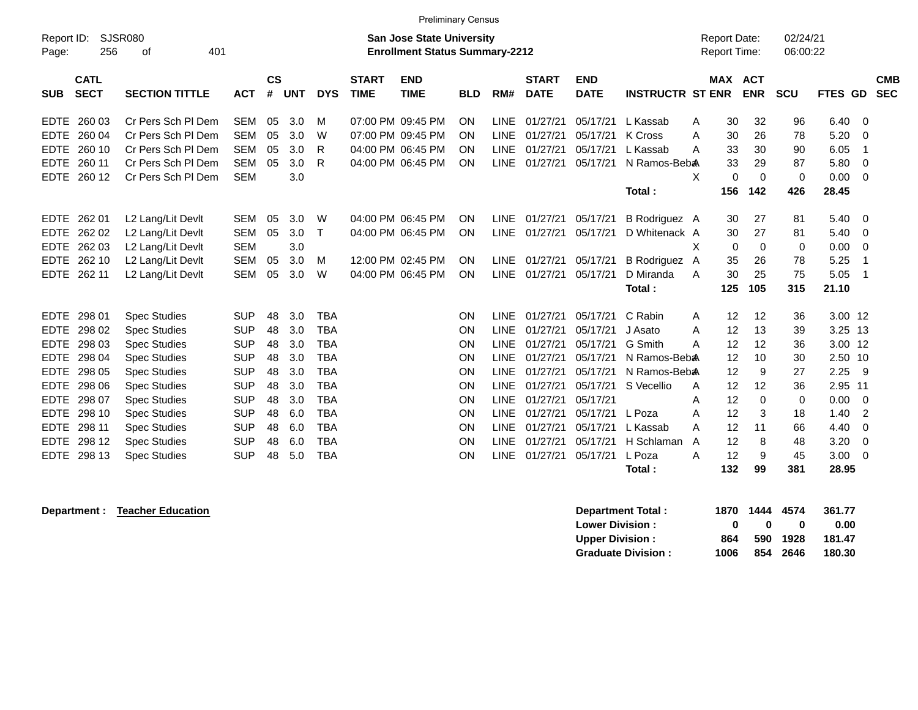|                           | <b>Preliminary Census</b> |                                  |               |            |            |              |                                       |            |             |              |             |                          |                |                     |             |             |                |                |            |
|---------------------------|---------------------------|----------------------------------|---------------|------------|------------|--------------|---------------------------------------|------------|-------------|--------------|-------------|--------------------------|----------------|---------------------|-------------|-------------|----------------|----------------|------------|
| Report ID:                | SJSR080                   | <b>San Jose State University</b> |               |            |            |              | <b>Report Date:</b>                   |            | 02/24/21    |              |             |                          |                |                     |             |             |                |                |            |
| 256<br>Page:              | 401<br>оf                 |                                  |               |            |            |              | <b>Enrollment Status Summary-2212</b> |            |             |              |             |                          |                | <b>Report Time:</b> |             | 06:00:22    |                |                |            |
|                           |                           |                                  |               |            |            |              |                                       |            |             |              |             |                          |                |                     |             |             |                |                |            |
| <b>CATL</b>               |                           |                                  | $\mathsf{cs}$ |            |            | <b>START</b> | <b>END</b>                            |            |             | <b>START</b> | <b>END</b>  |                          |                | MAX ACT             |             |             |                |                | <b>CMB</b> |
| <b>SECT</b><br><b>SUB</b> | <b>SECTION TITTLE</b>     | <b>ACT</b>                       | #             | <b>UNT</b> | <b>DYS</b> | <b>TIME</b>  | <b>TIME</b>                           | <b>BLD</b> | RM#         | <b>DATE</b>  | <b>DATE</b> | <b>INSTRUCTR ST ENR</b>  |                |                     | <b>ENR</b>  | <b>SCU</b>  | <b>FTES GD</b> |                | <b>SEC</b> |
| <b>EDTE</b><br>260 03     | Cr Pers Sch PI Dem        | <b>SEM</b>                       | 05            | 3.0        | м          |              | 07:00 PM 09:45 PM                     | ON         | <b>LINE</b> | 01/27/21     | 05/17/21    | L Kassab                 | A              | 30                  | 32          | 96          | 6.40           | - 0            |            |
| EDTE 260 04               | Cr Pers Sch PI Dem        | <b>SEM</b>                       | 05            | 3.0        | W          |              | 07:00 PM 09:45 PM                     | ON         | <b>LINE</b> | 01/27/21     | 05/17/21    | K Cross                  | А              | 30                  | 26          | 78          | 5.20           | $\Omega$       |            |
| <b>EDTE</b><br>260 10     | Cr Pers Sch PI Dem        | <b>SEM</b>                       | 05            | 3.0        | R          |              | 04:00 PM 06:45 PM                     | ON         | <b>LINE</b> | 01/27/21     | 05/17/21    | L Kassab                 | А              | 33                  | 30          | 90          | 6.05           | -1             |            |
| 260 11<br><b>EDTE</b>     | Cr Pers Sch PI Dem        | <b>SEM</b>                       | 05            | 3.0        | R          |              | 04:00 PM 06:45 PM                     | ON         | <b>LINE</b> | 01/27/21     | 05/17/21    | N Ramos-Beb <sub>a</sub> |                | 33                  | 29          | 87          | 5.80           | - 0            |            |
| <b>EDTE</b><br>260 12     | Cr Pers Sch PI Dem        | <b>SEM</b>                       |               | 3.0        |            |              |                                       |            |             |              |             |                          | X              | $\Omega$            | $\Omega$    | $\Omega$    | 0.00           | $\Omega$       |            |
|                           |                           |                                  |               |            |            |              |                                       |            |             |              |             | Total:                   |                | 156                 | 142         | 426         | 28.45          |                |            |
|                           |                           |                                  |               |            |            |              |                                       |            |             |              |             |                          |                |                     |             |             |                |                |            |
| EDTE 262 01               | L2 Lang/Lit Devlt         | <b>SEM</b>                       | 05            | 3.0        | W          |              | 04:00 PM 06:45 PM                     | ON         | <b>LINE</b> | 01/27/21     | 05/17/21    | B Rodriguez A            |                | 30                  | 27          | 81          | 5.40           | $\Omega$       |            |
| EDTE 262 02               | L2 Lang/Lit Devlt         | <b>SEM</b>                       | 05            | 3.0        | $\top$     |              | 04:00 PM 06:45 PM                     | ON         | <b>LINE</b> | 01/27/21     | 05/17/21    | D Whitenack A            |                | 30                  | 27          | 81          | 5.40           | - 0            |            |
| EDTE 262 03               | L2 Lang/Lit Devlt         | <b>SEM</b>                       |               | 3.0        |            |              |                                       |            |             |              |             |                          | X              | 0                   | 0           | 0           | 0.00           | 0              |            |
| EDTE 262 10               | L2 Lang/Lit Devlt         | <b>SEM</b>                       | 05            | 3.0        | М          |              | 12:00 PM 02:45 PM                     | ON         | <b>LINE</b> | 01/27/21     | 05/17/21    | <b>B</b> Rodriguez       | $\overline{A}$ | 35                  | 26          | 78          | 5.25           | $\overline{1}$ |            |
| EDTE 262 11               | L2 Lang/Lit Devlt         | <b>SEM</b>                       | 05            | 3.0        | W          |              | 04:00 PM 06:45 PM                     | ON         | <b>LINE</b> | 01/27/21     | 05/17/21    | D Miranda                | A              | 30                  | 25          | 75          | 5.05           | $\overline{1}$ |            |
|                           |                           |                                  |               |            |            |              |                                       |            |             |              |             | Total:                   |                | 125                 | 105         | 315         | 21.10          |                |            |
|                           |                           |                                  |               |            |            |              |                                       |            |             |              |             |                          |                |                     |             |             |                |                |            |
| EDTE 298 01               | <b>Spec Studies</b>       | <b>SUP</b>                       | 48            | 3.0        | <b>TBA</b> |              |                                       | ON         | <b>LINE</b> | 01/27/21     | 05/17/21    | C Rabin                  | A              | 12                  | 12          | 36          | 3.00 12        |                |            |
| <b>EDTE</b><br>298 02     | <b>Spec Studies</b>       | <b>SUP</b>                       | 48            | 3.0        | <b>TBA</b> |              |                                       | ON         | <b>LINE</b> | 01/27/21     | 05/17/21    | J Asato                  | A              | 12                  | 13          | 39          | $3.25$ 13      |                |            |
| EDTE 298 03               | <b>Spec Studies</b>       | <b>SUP</b>                       | 48            | 3.0        | <b>TBA</b> |              |                                       | ON         | <b>LINE</b> | 01/27/21     | 05/17/21    | G Smith                  | А              | 12                  | 12          | 36          | 3.00 12        |                |            |
| <b>EDTE</b><br>298 04     | <b>Spec Studies</b>       | <b>SUP</b>                       | 48            | 3.0        | <b>TBA</b> |              |                                       | ON         | <b>LINE</b> | 01/27/21     | 05/17/21    | N Ramos-Beb <sub>a</sub> |                | 12                  | 10          | 30          | 2.50 10        |                |            |
| 298 05<br><b>EDTE</b>     | <b>Spec Studies</b>       | <b>SUP</b>                       | 48            | 3.0        | <b>TBA</b> |              |                                       | ON         | <b>LINE</b> | 01/27/21     | 05/17/21    | N Ramos-Beb <sub>a</sub> |                | 12                  | 9           | 27          | 2.25           | - 9            |            |
| EDTE 298 06               | <b>Spec Studies</b>       | <b>SUP</b>                       | 48            | 3.0        | <b>TBA</b> |              |                                       | ON         | <b>LINE</b> | 01/27/21     | 05/17/21    | S Vecellio               | A              | 12                  | 12          | 36          | 2.95 11        |                |            |
| 298 07<br><b>EDTE</b>     | <b>Spec Studies</b>       | <b>SUP</b>                       | 48            | 3.0        | <b>TBA</b> |              |                                       | ON         | <b>LINE</b> | 01/27/21     | 05/17/21    |                          | A              | 12                  | $\mathbf 0$ | $\mathbf 0$ | 0.00           | - 0            |            |
| <b>EDTE</b><br>298 10     | <b>Spec Studies</b>       | <b>SUP</b>                       | 48            | 6.0        | <b>TBA</b> |              |                                       | ON         | <b>LINE</b> | 01/27/21     | 05/17/21    | L Poza                   | Α              | 12                  | 3           | 18          | 1.40           | $\overline{2}$ |            |
| <b>EDTE</b><br>298 11     | <b>Spec Studies</b>       | <b>SUP</b>                       | 48            | 6.0        | <b>TBA</b> |              |                                       | ON         | <b>LINE</b> | 01/27/21     | 05/17/21    | L Kassab                 | А              | 12                  | 11          | 66          | 4.40           | $\Omega$       |            |
| EDTE 298 12               | <b>Spec Studies</b>       | <b>SUP</b>                       | 48            | 6.0        | <b>TBA</b> |              |                                       | ON         | <b>LINE</b> | 01/27/21     | 05/17/21    | H Schlaman               | A              | 12                  | 8           | 48          | 3.20           | - 0            |            |
| <b>EDTE</b><br>298 13     | <b>Spec Studies</b>       | <b>SUP</b>                       | 48            | 5.0        | <b>TBA</b> |              |                                       | ON         | LINE        | 01/27/21     | 05/17/21    | L Poza                   | Α              | 12                  | 9           | 45          | 3.00           | 0              |            |
|                           |                           |                                  |               |            |            |              |                                       |            |             |              |             | Total:                   |                | 132                 | 99          | 381         | 28.95          |                |            |

**Department : Teacher Education** *Separtment Total : 1870* **1444 4574 361.77 Lower Division :**  $\hspace{1.6cm} 0 \hspace{1.2cm} 0 \hspace{1.2cm} 0 \hspace{1.2cm} 0 \hspace{1.2cm} 0.00$ **Upper Division : 864 590 1928 181.47 Graduate Division : 1006 854 2646 180.30**